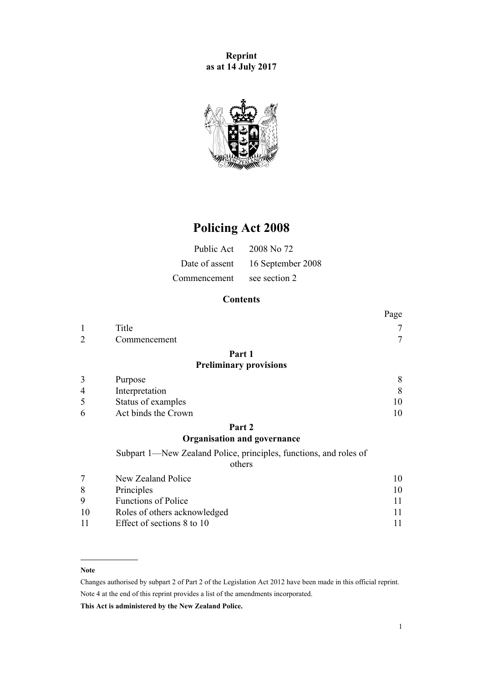**Reprint as at 14 July 2017**



# **Policing Act 2008**

| Public Act     | 2008 No 72        |
|----------------|-------------------|
| Date of assent | 16 September 2008 |
| Commencement   | see section 2     |

## **Contents**

| Page |
|------|
| 7    |
|      |
|      |
|      |
| 8    |
| 8    |
| 10   |
| 10   |
|      |

## **[Part 2](#page-9-0) [Organisation and governance](#page-9-0)**

[Subpart 1—New Zealand Police, principles, functions, and roles of](#page-9-0)

## [others](#page-9-0)

|          | New Zealand Police           | 10 |
|----------|------------------------------|----|
| 8        | Principles                   | 10 |
| <b>Q</b> | <b>Functions of Police</b>   |    |
| 10       | Roles of others acknowledged |    |
|          | Effect of sections 8 to 10   |    |

#### **Note**

Changes authorised by [subpart 2](http://prd-lgnz-nlb.prd.pco.net.nz/pdflink.aspx?id=DLM2998524) of Part 2 of the Legislation Act 2012 have been made in this official reprint. Note 4 at the end of this reprint provides a list of the amendments incorporated.

**This Act is administered by the New Zealand Police.**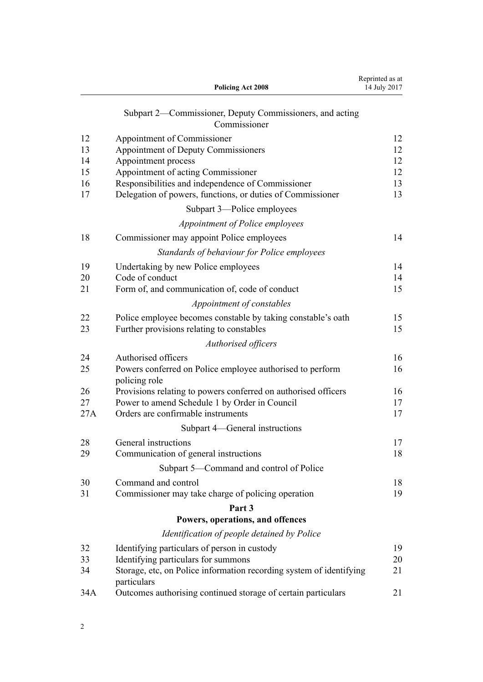|     | <b>Policing Act 2008</b>                                                     | Reprinted as at<br>14 July 2017 |
|-----|------------------------------------------------------------------------------|---------------------------------|
|     | Subpart 2—Commissioner, Deputy Commissioners, and acting<br>Commissioner     |                                 |
| 12  | Appointment of Commissioner                                                  | 12                              |
| 13  | <b>Appointment of Deputy Commissioners</b>                                   | 12                              |
| 14  | Appointment process                                                          | 12                              |
| 15  | Appointment of acting Commissioner                                           | 12                              |
| 16  | Responsibilities and independence of Commissioner                            | 13                              |
| 17  | Delegation of powers, functions, or duties of Commissioner                   | 13                              |
|     | Subpart 3—Police employees                                                   |                                 |
|     | Appointment of Police employees                                              |                                 |
| 18  | Commissioner may appoint Police employees                                    | 14                              |
|     | Standards of behaviour for Police employees                                  |                                 |
| 19  | Undertaking by new Police employees                                          | 14                              |
| 20  | Code of conduct                                                              | 14                              |
| 21  | Form of, and communication of, code of conduct                               | 15                              |
|     | Appointment of constables                                                    |                                 |
| 22  | Police employee becomes constable by taking constable's oath                 | 15                              |
| 23  | Further provisions relating to constables                                    | 15                              |
|     | Authorised officers                                                          |                                 |
| 24  | Authorised officers                                                          | 16                              |
| 25  | Powers conferred on Police employee authorised to perform<br>policing role   | 16                              |
| 26  | Provisions relating to powers conferred on authorised officers               | 16                              |
| 27  | Power to amend Schedule 1 by Order in Council                                | 17                              |
| 27A | Orders are confirmable instruments                                           | 17                              |
|     | Subpart 4—General instructions                                               |                                 |
| 28  | General instructions                                                         | 17                              |
| 29  | Communication of general instructions                                        | 18                              |
|     | Subpart 5—Command and control of Police                                      |                                 |
| 30  | Command and control                                                          | 18                              |
| 31  | Commissioner may take charge of policing operation                           | 19                              |
|     | Part 3                                                                       |                                 |
|     | Powers, operations, and offences                                             |                                 |
|     | Identification of people detained by Police                                  |                                 |
| 32  | Identifying particulars of person in custody                                 | 19                              |
| 33  | Identifying particulars for summons                                          | 20                              |
| 34  | Storage, etc, on Police information recording system of identifying          | 21                              |
| 34A | particulars<br>Outcomes authorising continued storage of certain particulars | 21                              |

2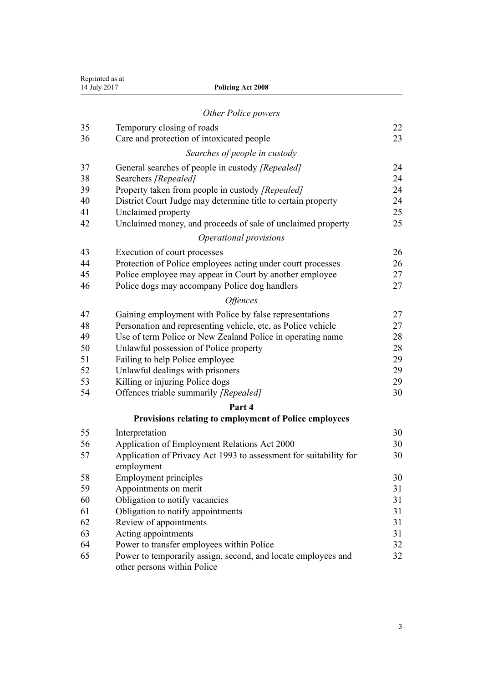| 14 July 2017 | Reprinted as at<br><b>Policing Act 2008</b>                                                  |    |
|--------------|----------------------------------------------------------------------------------------------|----|
|              | Other Police powers                                                                          |    |
| 35           | Temporary closing of roads                                                                   | 22 |
| 36           | Care and protection of intoxicated people                                                    | 23 |
|              | Searches of people in custody                                                                |    |
| 37           | General searches of people in custody [Repealed]                                             | 24 |
| 38           | Searchers [Repealed]                                                                         | 24 |
| 39           | Property taken from people in custody [Repealed]                                             | 24 |
| 40           | District Court Judge may determine title to certain property                                 | 24 |
| 41           | Unclaimed property                                                                           | 25 |
| 42           | Unclaimed money, and proceeds of sale of unclaimed property                                  | 25 |
|              | Operational provisions                                                                       |    |
| 43           | Execution of court processes                                                                 | 26 |
| 44           | Protection of Police employees acting under court processes                                  | 26 |
| 45           | Police employee may appear in Court by another employee                                      | 27 |
| 46           | Police dogs may accompany Police dog handlers                                                | 27 |
|              | <i><b>Offences</b></i>                                                                       |    |
| 47           | Gaining employment with Police by false representations                                      | 27 |
| 48           | Personation and representing vehicle, etc, as Police vehicle                                 | 27 |
| 49           | Use of term Police or New Zealand Police in operating name                                   | 28 |
| 50           | Unlawful possession of Police property                                                       | 28 |
| 51           | Failing to help Police employee                                                              | 29 |
| 52           | Unlawful dealings with prisoners                                                             | 29 |
| 53           | Killing or injuring Police dogs                                                              | 29 |
| 54           | Offences triable summarily [Repealed]                                                        | 30 |
|              | Part 4                                                                                       |    |
|              | Provisions relating to employment of Police employees                                        |    |
| 55           | Interpretation                                                                               | 30 |
| 56           | Application of Employment Relations Act 2000                                                 | 30 |
| 57           | Application of Privacy Act 1993 to assessment for suitability for                            | 30 |
|              | employment                                                                                   |    |
| 58           | <b>Employment principles</b>                                                                 | 30 |
| 59           | Appointments on merit                                                                        | 31 |
| 60           | Obligation to notify vacancies                                                               | 31 |
| 61           | Obligation to notify appointments                                                            | 31 |
| 62           | Review of appointments                                                                       | 31 |
| 63           | Acting appointments                                                                          | 31 |
| 64           | Power to transfer employees within Police                                                    | 32 |
| 65           | Power to temporarily assign, second, and locate employees and<br>other persons within Police | 32 |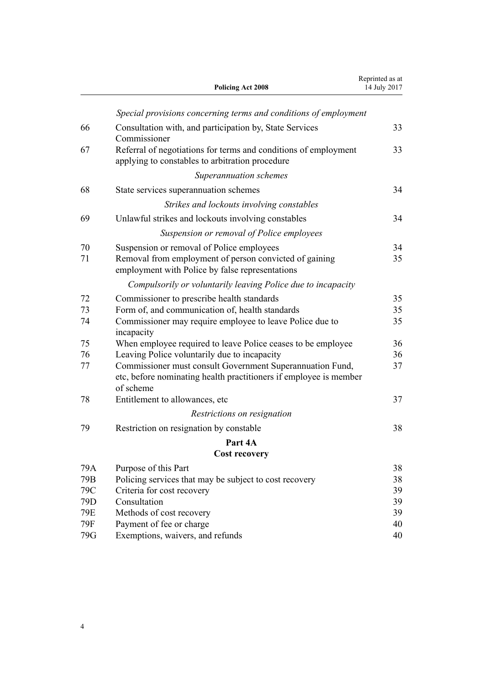|          | <b>Policing Act 2008</b>                                                                                                                    | Reprinted as at<br>14 July 2017 |
|----------|---------------------------------------------------------------------------------------------------------------------------------------------|---------------------------------|
|          | Special provisions concerning terms and conditions of employment                                                                            |                                 |
| 66       | Consultation with, and participation by, State Services<br>Commissioner                                                                     | 33                              |
| 67       | Referral of negotiations for terms and conditions of employment<br>applying to constables to arbitration procedure                          | 33                              |
|          | Superannuation schemes                                                                                                                      |                                 |
| 68       | State services superannuation schemes                                                                                                       | 34                              |
|          | Strikes and lockouts involving constables                                                                                                   |                                 |
| 69       | Unlawful strikes and lockouts involving constables                                                                                          | 34                              |
|          | Suspension or removal of Police employees                                                                                                   |                                 |
| 70       | Suspension or removal of Police employees                                                                                                   | 34                              |
| 71       | Removal from employment of person convicted of gaining<br>employment with Police by false representations                                   | 35                              |
|          | Compulsorily or voluntarily leaving Police due to incapacity                                                                                |                                 |
| 72       | Commissioner to prescribe health standards                                                                                                  | 35                              |
| 73<br>74 | Form of, and communication of, health standards<br>Commissioner may require employee to leave Police due to<br>incapacity                   | 35<br>35                        |
| 75       | When employee required to leave Police ceases to be employee                                                                                | 36                              |
| 76       | Leaving Police voluntarily due to incapacity                                                                                                | 36                              |
| 77       | Commissioner must consult Government Superannuation Fund,<br>etc, before nominating health practitioners if employee is member<br>of scheme | 37                              |
| 78       | Entitlement to allowances, etc.                                                                                                             | 37                              |
|          | Restrictions on resignation                                                                                                                 |                                 |
| 79       | Restriction on resignation by constable                                                                                                     | 38                              |
|          | Part 4A                                                                                                                                     |                                 |
|          | <b>Cost recovery</b>                                                                                                                        |                                 |
| 79A      | Purpose of this Part                                                                                                                        | 38                              |
| 79B      | Policing services that may be subject to cost recovery                                                                                      | 38                              |
| 79C      | Criteria for cost recovery                                                                                                                  | 39                              |
| 79D      | Consultation                                                                                                                                | 39                              |
| 79E      | Methods of cost recovery                                                                                                                    | 39                              |
| 79F      | Payment of fee or charge                                                                                                                    | 40                              |
| 79G      | Exemptions, waivers, and refunds                                                                                                            | 40                              |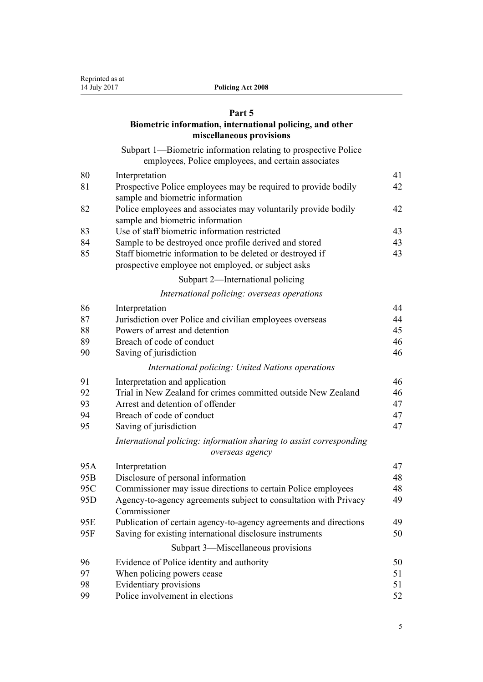#### **[Part 5](#page-40-0)**

## **[Biometric information, international policing, and other](#page-40-0) [miscellaneous provisions](#page-40-0)**

[Subpart 1—Biometric information relating to prospective Police](#page-40-0) [employees, Police employees, and certain associates](#page-40-0)

| 80              | Interpretation                                                                                                  | 41 |
|-----------------|-----------------------------------------------------------------------------------------------------------------|----|
| 81              | Prospective Police employees may be required to provide bodily                                                  | 42 |
|                 | sample and biometric information                                                                                |    |
| 82              | Police employees and associates may voluntarily provide bodily<br>sample and biometric information              | 42 |
| 83              | Use of staff biometric information restricted                                                                   | 43 |
| 84              | Sample to be destroyed once profile derived and stored                                                          | 43 |
| 85              | Staff biometric information to be deleted or destroyed if<br>prospective employee not employed, or subject asks | 43 |
|                 | Subpart 2—International policing                                                                                |    |
|                 | International policing: overseas operations                                                                     |    |
| 86              | Interpretation                                                                                                  | 44 |
| 87              | Jurisdiction over Police and civilian employees overseas                                                        | 44 |
| 88              | Powers of arrest and detention                                                                                  | 45 |
| 89              | Breach of code of conduct                                                                                       | 46 |
| 90              | Saving of jurisdiction                                                                                          | 46 |
|                 | International policing: United Nations operations                                                               |    |
| 91              | Interpretation and application                                                                                  | 46 |
| 92              | Trial in New Zealand for crimes committed outside New Zealand                                                   | 46 |
| 93              | Arrest and detention of offender                                                                                | 47 |
| 94              | Breach of code of conduct                                                                                       | 47 |
| 95              | Saving of jurisdiction                                                                                          | 47 |
|                 | International policing: information sharing to assist corresponding                                             |    |
|                 | overseas agency                                                                                                 |    |
| 95A             | Interpretation                                                                                                  | 47 |
| 95 <sub>R</sub> | Disclosure of personal information                                                                              | 48 |

| 95 <sub>B</sub> | Disclosure of personal information                                               | 48 |
|-----------------|----------------------------------------------------------------------------------|----|
| 95C             | Commissioner may issue directions to certain Police employees                    | 48 |
| 95 <sub>D</sub> | Agency-to-agency agreements subject to consultation with Privacy<br>Commissioner | 49 |
| 95E             | Publication of certain agency-to-agency agreements and directions                | 49 |
| 95F             | Saving for existing international disclosure instruments                         | 50 |
|                 | Subpart 3—Miscellaneous provisions                                               |    |
| 96              | Evidence of Police identity and authority                                        | 50 |
| 97              | When policing powers cease                                                       | 51 |
| 98              | Evidentiary provisions                                                           | 51 |
| 99              | Police involvement in elections                                                  | 52 |
|                 |                                                                                  |    |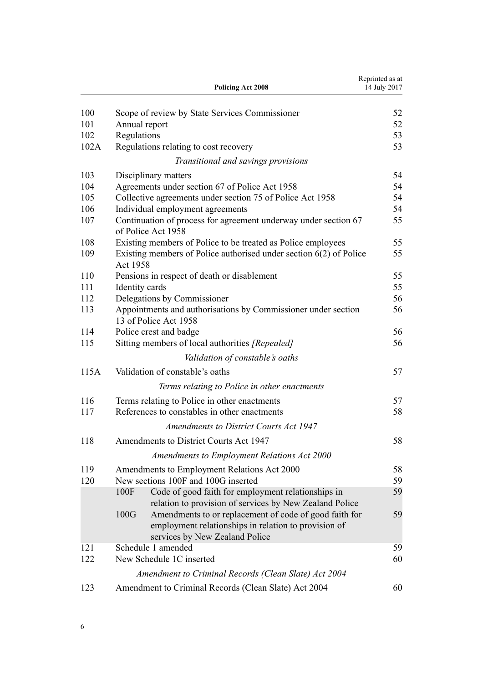|      |                 | <b>Policing Act 2008</b>                                                                                                                         | Reprinted as at<br>14 July 2017 |
|------|-----------------|--------------------------------------------------------------------------------------------------------------------------------------------------|---------------------------------|
| 100  |                 | Scope of review by State Services Commissioner                                                                                                   | 52                              |
| 101  | Annual report   |                                                                                                                                                  | 52                              |
| 102  | Regulations     |                                                                                                                                                  | 53                              |
| 102A |                 | Regulations relating to cost recovery                                                                                                            | 53                              |
|      |                 | Transitional and savings provisions                                                                                                              |                                 |
| 103  |                 | Disciplinary matters                                                                                                                             | 54                              |
| 104  |                 | Agreements under section 67 of Police Act 1958                                                                                                   | 54                              |
| 105  |                 | Collective agreements under section 75 of Police Act 1958                                                                                        | 54                              |
| 106  |                 | Individual employment agreements                                                                                                                 | 54                              |
| 107  |                 | Continuation of process for agreement underway under section 67<br>of Police Act 1958                                                            | 55                              |
| 108  |                 | Existing members of Police to be treated as Police employees                                                                                     | 55                              |
| 109  | <b>Act 1958</b> | Existing members of Police authorised under section $6(2)$ of Police                                                                             | 55                              |
| 110  |                 | Pensions in respect of death or disablement                                                                                                      | 55                              |
| 111  | Identity cards  |                                                                                                                                                  | 55                              |
| 112  |                 | Delegations by Commissioner                                                                                                                      | 56                              |
| 113  |                 | Appointments and authorisations by Commissioner under section<br>13 of Police Act 1958                                                           | 56                              |
| 114  |                 | Police crest and badge                                                                                                                           | 56                              |
| 115  |                 | Sitting members of local authorities [Repealed]                                                                                                  | 56                              |
|      |                 | Validation of constable's oaths                                                                                                                  |                                 |
| 115A |                 | Validation of constable's oaths                                                                                                                  | 57                              |
|      |                 | Terms relating to Police in other enactments                                                                                                     |                                 |
| 116  |                 | Terms relating to Police in other enactments                                                                                                     | 57                              |
| 117  |                 | References to constables in other enactments                                                                                                     | 58                              |
|      |                 | <b>Amendments to District Courts Act 1947</b>                                                                                                    |                                 |
|      |                 |                                                                                                                                                  |                                 |
| 118  |                 | Amendments to District Courts Act 1947                                                                                                           | 58                              |
|      |                 | Amendments to Employment Relations Act 2000                                                                                                      |                                 |
| 119  |                 | Amendments to Employment Relations Act 2000                                                                                                      | 58                              |
| 120  |                 | New sections 100F and 100G inserted                                                                                                              | 59                              |
|      | 100F            | Code of good faith for employment relationships in<br>relation to provision of services by New Zealand Police                                    | 59                              |
|      | 100G            | Amendments to or replacement of code of good faith for<br>employment relationships in relation to provision of<br>services by New Zealand Police | 59                              |
| 121  |                 | Schedule 1 amended                                                                                                                               | 59                              |
| 122  |                 | New Schedule 1C inserted                                                                                                                         | 60                              |
|      |                 | Amendment to Criminal Records (Clean Slate) Act 2004                                                                                             |                                 |
| 123  |                 | Amendment to Criminal Records (Clean Slate) Act 2004                                                                                             | 60                              |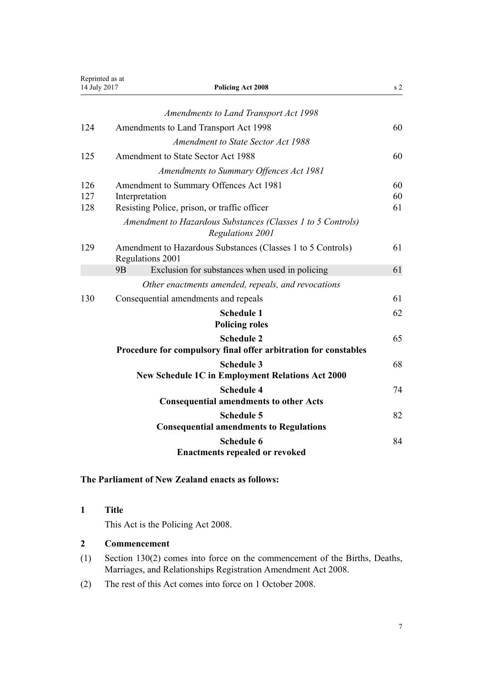<span id="page-6-0"></span>

| Reprinted as at<br>14 July 2017 | <b>Policing Act 2008</b>                                                                                 | s <sub>2</sub> |
|---------------------------------|----------------------------------------------------------------------------------------------------------|----------------|
|                                 | <b>Amendments to Land Transport Act 1998</b>                                                             |                |
| 124                             | Amendments to Land Transport Act 1998                                                                    | 60             |
|                                 | Amendment to State Sector Act 1988                                                                       |                |
| 125                             | Amendment to State Sector Act 1988                                                                       | 60             |
|                                 | Amendments to Summary Offences Act 1981                                                                  |                |
| 126<br>127<br>128               | Amendment to Summary Offences Act 1981<br>Interpretation<br>Resisting Police, prison, or traffic officer | 60<br>60<br>61 |
|                                 | Amendment to Hazardous Substances (Classes 1 to 5 Controls)<br>Regulations 2001                          |                |
| 129                             | Amendment to Hazardous Substances (Classes 1 to 5 Controls)<br>Regulations 2001                          | 61             |
|                                 | 9 <sub>B</sub><br>Exclusion for substances when used in policing                                         | 61             |
|                                 | Other enactments amended, repeals, and revocations                                                       |                |
| 130                             | Consequential amendments and repeals                                                                     | 61             |
|                                 | <b>Schedule 1</b><br><b>Policing roles</b>                                                               | 62             |
|                                 | <b>Schedule 2</b><br>Procedure for compulsory final offer arbitration for constables                     | 65             |
|                                 | <b>Schedule 3</b><br>New Schedule 1C in Employment Relations Act 2000                                    | 68             |
|                                 | <b>Schedule 4</b><br><b>Consequential amendments to other Acts</b>                                       | 74             |
|                                 | <b>Schedule 5</b><br><b>Consequential amendments to Regulations</b>                                      | 82             |
|                                 | <b>Schedule 6</b><br><b>Enactments repealed or revoked</b>                                               | 84             |

## **The Parliament of New Zealand enacts as follows:**

## **1 Title**

This Act is the Policing Act 2008.

#### **2 Commencement**

- (1) [Section 130\(2\)](#page-60-0) comes into force on the commencement of the Births, Deaths, Marriages, and Relationships Registration Amendment Act 2008.
- (2) The rest of this Act comes into force on 1 October 2008.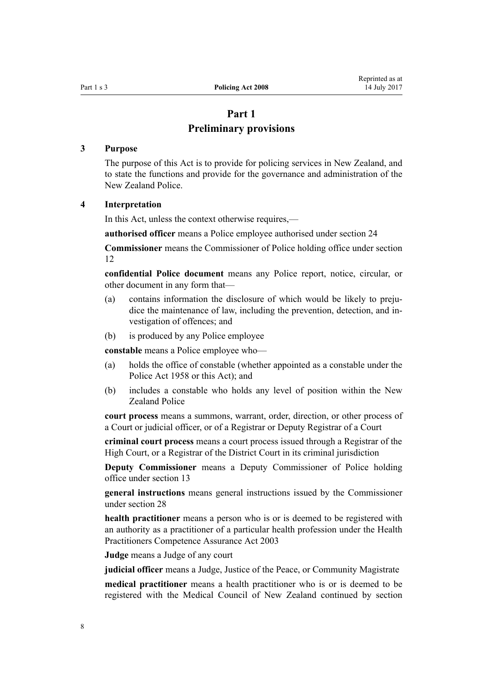## **Part 1**

## **Preliminary provisions**

## <span id="page-7-0"></span>**3 Purpose**

The purpose of this Act is to provide for policing services in New Zealand, and to state the functions and provide for the governance and administration of the New Zealand Police.

#### **4 Interpretation**

In this Act, unless the context otherwise requires,—

**authorised officer** means a Police employee authorised under [section 24](#page-15-0)

**Commissioner** means the Commissioner of Police holding office under [section](#page-11-0) [12](#page-11-0)

**confidential Police document** means any Police report, notice, circular, or other document in any form that—

- (a) contains information the disclosure of which would be likely to prejudice the maintenance of law, including the prevention, detection, and investigation of offences; and
- (b) is produced by any Police employee

**constable** means a Police employee who—

- (a) holds the office of constable (whether appointed as a constable under the [Police Act 1958](http://prd-lgnz-nlb.prd.pco.net.nz/pdflink.aspx?id=DLM321405) or this Act); and
- (b) includes a constable who holds any level of position within the New Zealand Police

**court process** means a summons, warrant, order, direction, or other process of a Court or judicial officer, or of a Registrar or Deputy Registrar of a Court

**criminal court process** means a court process issued through a Registrar of the High Court, or a Registrar of the District Court in its criminal jurisdiction

**Deputy Commissioner** means a Deputy Commissioner of Police holding office under [section 13](#page-11-0)

**general instructions** means general instructions issued by the Commissioner under [section 28](#page-16-0)

**health practitioner** means a person who is or is deemed to be registered with an authority as a practitioner of a particular health profession under the [Health](http://prd-lgnz-nlb.prd.pco.net.nz/pdflink.aspx?id=DLM203311) [Practitioners Competence Assurance Act 2003](http://prd-lgnz-nlb.prd.pco.net.nz/pdflink.aspx?id=DLM203311)

**Judge** means a Judge of any court

**judicial officer** means a Judge, Justice of the Peace, or Community Magistrate

**medical practitioner** means a health practitioner who is or is deemed to be registered with the Medical Council of New Zealand continued by [section](http://prd-lgnz-nlb.prd.pco.net.nz/pdflink.aspx?id=DLM204329)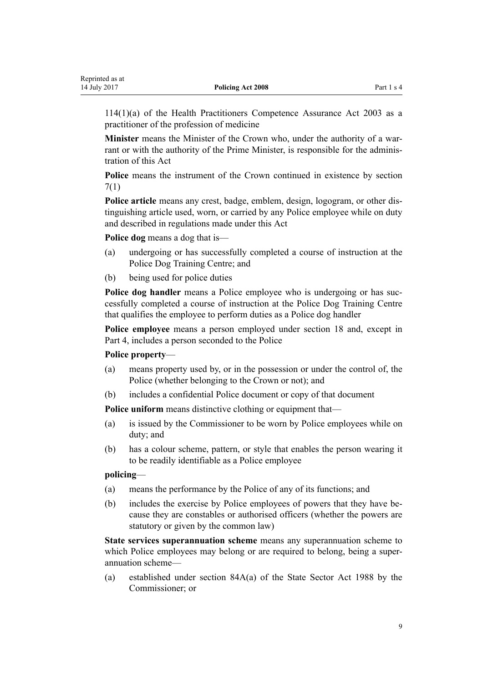[114\(1\)\(a\)](http://prd-lgnz-nlb.prd.pco.net.nz/pdflink.aspx?id=DLM204329) of the Health Practitioners Competence Assurance Act 2003 as a practitioner of the profession of medicine

**Minister** means the Minister of the Crown who, under the authority of a warrant or with the authority of the Prime Minister, is responsible for the administration of this Act

**Police** means the instrument of the Crown continued in existence by [section](#page-9-0) [7\(1\)](#page-9-0)

**Police article** means any crest, badge, emblem, design, logogram, or other distinguishing article used, worn, or carried by any Police employee while on duty and described in regulations made under this Act

**Police dog** means a dog that is—

- (a) undergoing or has successfully completed a course of instruction at the Police Dog Training Centre; and
- (b) being used for police duties

**Police dog handler** means a Police employee who is undergoing or has successfully completed a course of instruction at the Police Dog Training Centre that qualifies the employee to perform duties as a Police dog handler

**Police employee** means a person employed under [section 18](#page-13-0) and, except in [Part 4](#page-29-0), includes a person seconded to the Police

## **Police property**—

- (a) means property used by, or in the possession or under the control of, the Police (whether belonging to the Crown or not); and
- (b) includes a confidential Police document or copy of that document

**Police uniform** means distinctive clothing or equipment that—

- (a) is issued by the Commissioner to be worn by Police employees while on duty; and
- (b) has a colour scheme, pattern, or style that enables the person wearing it to be readily identifiable as a Police employee

## **policing**—

- (a) means the performance by the Police of any of its functions; and
- (b) includes the exercise by Police employees of powers that they have because they are constables or authorised officers (whether the powers are statutory or given by the common law)

**State services superannuation scheme** means any superannuation scheme to which Police employees may belong or are required to belong, being a superannuation scheme—

(a) established under [section 84A\(a\)](http://prd-lgnz-nlb.prd.pco.net.nz/pdflink.aspx?id=DLM130353) of the State Sector Act 1988 by the Commissioner; or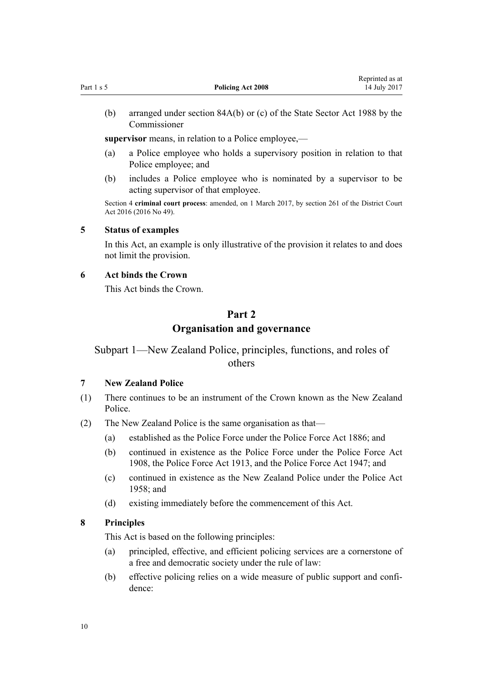<span id="page-9-0"></span>(b) arranged under [section 84A\(b\)](http://prd-lgnz-nlb.prd.pco.net.nz/pdflink.aspx?id=DLM130353) or (c) of the State Sector Act 1988 by the Commissioner

**supervisor** means, in relation to a Police employee,—

- (a) a Police employee who holds a supervisory position in relation to that Police employee; and
- (b) includes a Police employee who is nominated by a supervisor to be acting supervisor of that employee.

Section 4 **criminal court process**: amended, on 1 March 2017, by [section 261](http://prd-lgnz-nlb.prd.pco.net.nz/pdflink.aspx?id=DLM6942680) of the District Court Act 2016 (2016 No 49).

#### **5 Status of examples**

In this Act, an example is only illustrative of the provision it relates to and does not limit the provision.

## **6 Act binds the Crown**

This Act binds the Crown.

## **Part 2 Organisation and governance**

Subpart 1—New Zealand Police, principles, functions, and roles of others

## **7 New Zealand Police**

- (1) There continues to be an instrument of the Crown known as the New Zealand Police.
- (2) The New Zealand Police is the same organisation as that—
	- (a) established as the Police Force under the Police Force Act 1886; and
	- (b) continued in existence as the Police Force under the Police Force Act 1908, the Police Force Act 1913, and the Police Force Act 1947; and
	- (c) continued in existence as the New Zealand Police under the [Police Act](http://prd-lgnz-nlb.prd.pco.net.nz/pdflink.aspx?id=DLM321405) [1958](http://prd-lgnz-nlb.prd.pco.net.nz/pdflink.aspx?id=DLM321405); and
	- (d) existing immediately before the commencement of this Act.

## **8 Principles**

This Act is based on the following principles:

- (a) principled, effective, and efficient policing services are a cornerstone of a free and democratic society under the rule of law:
- (b) effective policing relies on a wide measure of public support and confidence: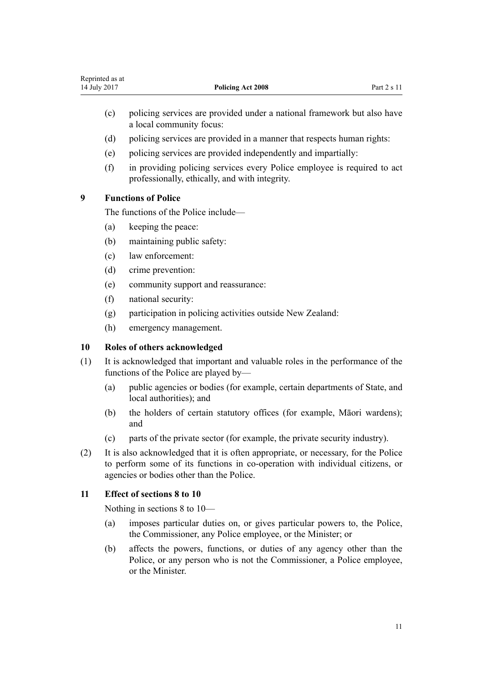- <span id="page-10-0"></span>(c) policing services are provided under a national framework but also have a local community focus:
- (d) policing services are provided in a manner that respects human rights:
- (e) policing services are provided independently and impartially:
- (f) in providing policing services every Police employee is required to act professionally, ethically, and with integrity.

#### **9 Functions of Police**

The functions of the Police include—

- (a) keeping the peace:
- (b) maintaining public safety:
- (c) law enforcement:
- (d) crime prevention:
- (e) community support and reassurance:
- (f) national security:
- (g) participation in policing activities outside New Zealand:
- (h) emergency management.

#### **10 Roles of others acknowledged**

- (1) It is acknowledged that important and valuable roles in the performance of the functions of the Police are played by—
	- (a) public agencies or bodies (for example, certain departments of State, and local authorities); and
	- (b) the holders of certain statutory offices (for example, Māori wardens); and
	- (c) parts of the private sector (for example, the private security industry).
- (2) It is also acknowledged that it is often appropriate, or necessary, for the Police to perform some of its functions in co-operation with individual citizens, or agencies or bodies other than the Police.

## **11 Effect of sections 8 to 10**

Nothing in [sections 8 to 10](#page-9-0)—

- (a) imposes particular duties on, or gives particular powers to, the Police, the Commissioner, any Police employee, or the Minister; or
- (b) affects the powers, functions, or duties of any agency other than the Police, or any person who is not the Commissioner, a Police employee, or the Minister.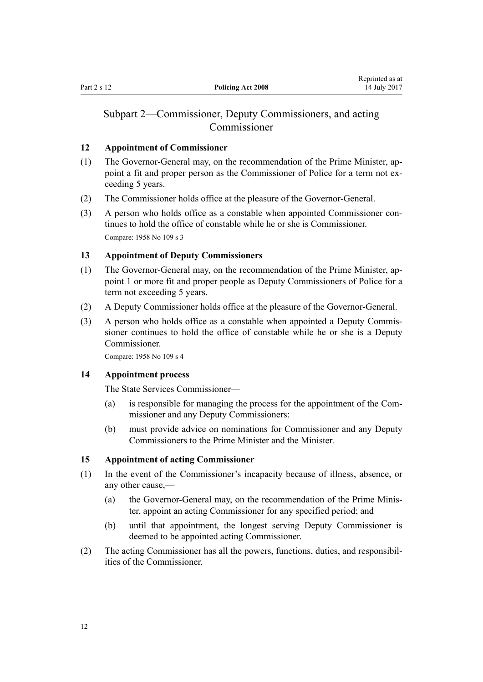#### <span id="page-11-0"></span>**12 Appointment of Commissioner**

- (1) The Governor-General may, on the recommendation of the Prime Minister, appoint a fit and proper person as the Commissioner of Police for a term not exceeding 5 years.
- (2) The Commissioner holds office at the pleasure of the Governor-General.
- (3) A person who holds office as a constable when appointed Commissioner continues to hold the office of constable while he or she is Commissioner. Compare: 1958 No 109 [s 3](http://prd-lgnz-nlb.prd.pco.net.nz/pdflink.aspx?id=DLM321494)

#### **13 Appointment of Deputy Commissioners**

- (1) The Governor-General may, on the recommendation of the Prime Minister, appoint 1 or more fit and proper people as Deputy Commissioners of Police for a term not exceeding 5 years.
- (2) A Deputy Commissioner holds office at the pleasure of the Governor-General.
- (3) A person who holds office as a constable when appointed a Deputy Commissioner continues to hold the office of constable while he or she is a Deputy Commissioner.

Compare: 1958 No 109 [s 4](http://prd-lgnz-nlb.prd.pco.net.nz/pdflink.aspx?id=DLM321700)

#### **14 Appointment process**

The State Services Commissioner—

- (a) is responsible for managing the process for the appointment of the Commissioner and any Deputy Commissioners:
- (b) must provide advice on nominations for Commissioner and any Deputy Commissioners to the Prime Minister and the Minister.

#### **15 Appointment of acting Commissioner**

- (1) In the event of the Commissioner's incapacity because of illness, absence, or any other cause,—
	- (a) the Governor-General may, on the recommendation of the Prime Minister, appoint an acting Commissioner for any specified period; and
	- (b) until that appointment, the longest serving Deputy Commissioner is deemed to be appointed acting Commissioner.
- (2) The acting Commissioner has all the powers, functions, duties, and responsibilities of the Commissioner.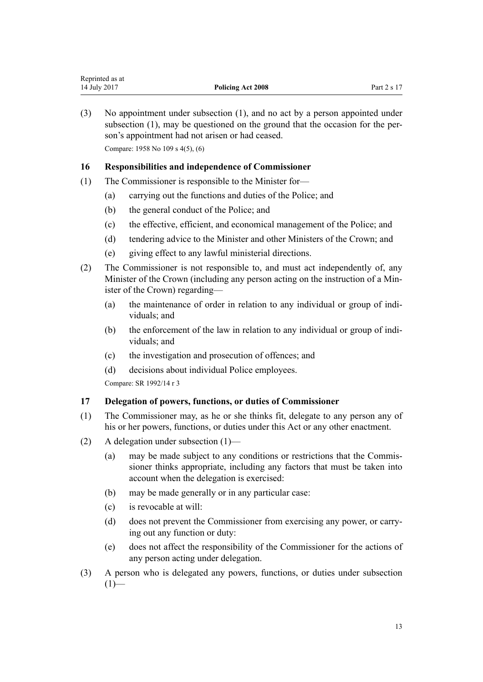<span id="page-12-0"></span>(3) No appointment under subsection (1), and no act by a person appointed under subsection (1), may be questioned on the ground that the occasion for the person's appointment had not arisen or had ceased.

Compare: 1958 No 109 [s 4\(5\), \(6\)](http://prd-lgnz-nlb.prd.pco.net.nz/pdflink.aspx?id=DLM321700)

## **16 Responsibilities and independence of Commissioner**

- (1) The Commissioner is responsible to the Minister for—
	- (a) carrying out the functions and duties of the Police; and
	- (b) the general conduct of the Police; and
	- (c) the effective, efficient, and economical management of the Police; and
	- (d) tendering advice to the Minister and other Ministers of the Crown; and
	- (e) giving effect to any lawful ministerial directions.
- (2) The Commissioner is not responsible to, and must act independently of, any Minister of the Crown (including any person acting on the instruction of a Minister of the Crown) regarding—
	- (a) the maintenance of order in relation to any individual or group of individuals; and
	- (b) the enforcement of the law in relation to any individual or group of individuals; and
	- (c) the investigation and prosecution of offences; and
	- (d) decisions about individual Police employees.

Compare: SR 1992/14 [r 3](http://prd-lgnz-nlb.prd.pco.net.nz/pdflink.aspx?id=DLM151158)

#### **17 Delegation of powers, functions, or duties of Commissioner**

- (1) The Commissioner may, as he or she thinks fit, delegate to any person any of his or her powers, functions, or duties under this Act or any other enactment.
- (2) A delegation under subsection (1)—
	- (a) may be made subject to any conditions or restrictions that the Commissioner thinks appropriate, including any factors that must be taken into account when the delegation is exercised:
	- (b) may be made generally or in any particular case:
	- (c) is revocable at will:
	- (d) does not prevent the Commissioner from exercising any power, or carrying out any function or duty:
	- (e) does not affect the responsibility of the Commissioner for the actions of any person acting under delegation.
- (3) A person who is delegated any powers, functions, or duties under subsection  $(1)$ —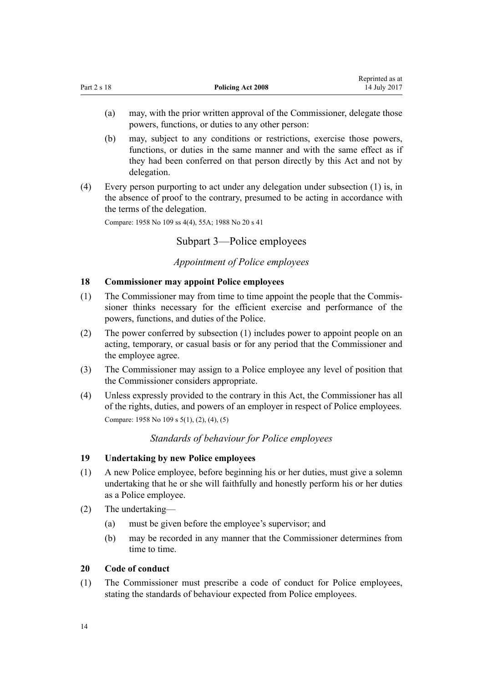<span id="page-13-0"></span>

|             |                          | Reprinted as at |
|-------------|--------------------------|-----------------|
| Part 2 s 18 | <b>Policing Act 2008</b> | 14 July 2017    |

- (a) may, with the prior written approval of the Commissioner, delegate those powers, functions, or duties to any other person:
- (b) may, subject to any conditions or restrictions, exercise those powers, functions, or duties in the same manner and with the same effect as if they had been conferred on that person directly by this Act and not by delegation.
- (4) Every person purporting to act under any delegation under subsection (1) is, in the absence of proof to the contrary, presumed to be acting in accordance with the terms of the delegation.

Compare: 1958 No 109 [ss 4\(4\)](http://prd-lgnz-nlb.prd.pco.net.nz/pdflink.aspx?id=DLM321700), [55A](http://prd-lgnz-nlb.prd.pco.net.nz/pdflink.aspx?id=DLM322248); 1988 No 20 [s 41](http://prd-lgnz-nlb.prd.pco.net.nz/pdflink.aspx?id=DLM129566)

## Subpart 3—Police employees

## *Appointment of Police employees*

#### **18 Commissioner may appoint Police employees**

- (1) The Commissioner may from time to time appoint the people that the Commissioner thinks necessary for the efficient exercise and performance of the powers, functions, and duties of the Police.
- (2) The power conferred by subsection (1) includes power to appoint people on an acting, temporary, or casual basis or for any period that the Commissioner and the employee agree.
- (3) The Commissioner may assign to a Police employee any level of position that the Commissioner considers appropriate.
- (4) Unless expressly provided to the contrary in this Act, the Commissioner has all of the rights, duties, and powers of an employer in respect of Police employees. Compare: 1958 No 109 [s 5\(1\), \(2\), \(4\), \(5\)](http://prd-lgnz-nlb.prd.pco.net.nz/pdflink.aspx?id=DLM321706)

## *Standards of behaviour for Police employees*

## **19 Undertaking by new Police employees**

- (1) A new Police employee, before beginning his or her duties, must give a solemn undertaking that he or she will faithfully and honestly perform his or her duties as a Police employee.
- (2) The undertaking—
	- (a) must be given before the employee's supervisor; and
	- (b) may be recorded in any manner that the Commissioner determines from time to time.

#### **20 Code of conduct**

(1) The Commissioner must prescribe a code of conduct for Police employees, stating the standards of behaviour expected from Police employees.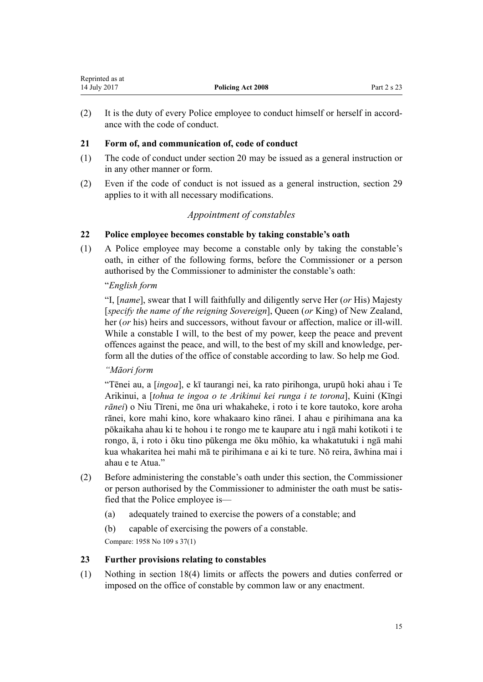| Reprinted as at |                   |             |
|-----------------|-------------------|-------------|
| 14 July 2017    | Policing Act 2008 | Part 2 s 23 |

(2) It is the duty of every Police employee to conduct himself or herself in accordance with the code of conduct.

#### **21 Form of, and communication of, code of conduct**

- (1) The code of conduct under [section 20](#page-13-0) may be issued as a general instruction or in any other manner or form.
- (2) Even if the code of conduct is not issued as a general instruction, [section 29](#page-17-0) applies to it with all necessary modifications.

## *Appointment of constables*

#### **22 Police employee becomes constable by taking constable's oath**

(1) A Police employee may become a constable only by taking the constable's oath, in either of the following forms, before the Commissioner or a person authorised by the Commissioner to administer the constable's oath:

#### "*English form*

<span id="page-14-0"></span>Representative as a series of the series of the series of the series of the series of the series of the series of the series of the series of the series of the series of the series of the series of the series of the series

"I, [*name*], swear that I will faithfully and diligently serve Her (*or* His) Majesty [*specify the name of the reigning Sovereign*], Queen (*or* King) of New Zealand, her (*or* his) heirs and successors, without favour or affection, malice or ill-will. While a constable I will, to the best of my power, keep the peace and prevent offences against the peace, and will, to the best of my skill and knowledge, perform all the duties of the office of constable according to law. So help me God.

## *"Māori form*

"Tēnei au, a [*ingoa*], e kī taurangi nei, ka rato pirihonga, urupū hoki ahau i Te Arikinui, a [*tohua te ingoa o te Arikinui kei runga i te torona*], Kuini (Kīngi *rānei*) o Niu Tīreni, me ōna uri whakaheke, i roto i te kore tautoko, kore aroha rānei, kore mahi kino, kore whakaaro kino rānei. I ahau e pirihimana ana ka pōkaikaha ahau ki te hohou i te rongo me te kaupare atu i ngā mahi kotikoti i te rongo, ā, i roto i ōku tino pūkenga me ōku mōhio, ka whakatutuki i ngā mahi kua whakaritea hei mahi mā te pirihimana e ai ki te ture. Nō reira, āwhina mai i ahau e te Atua."

- (2) Before administering the constable's oath under this section, the Commissioner or person authorised by the Commissioner to administer the oath must be satisfied that the Police employee is—
	- (a) adequately trained to exercise the powers of a constable; and
	- (b) capable of exercising the powers of a constable.

Compare: 1958 No 109 [s 37\(1\)](http://prd-lgnz-nlb.prd.pco.net.nz/pdflink.aspx?id=DLM322090)

### **23 Further provisions relating to constables**

(1) Nothing in [section 18\(4\)](#page-13-0) limits or affects the powers and duties conferred or imposed on the office of constable by common law or any enactment.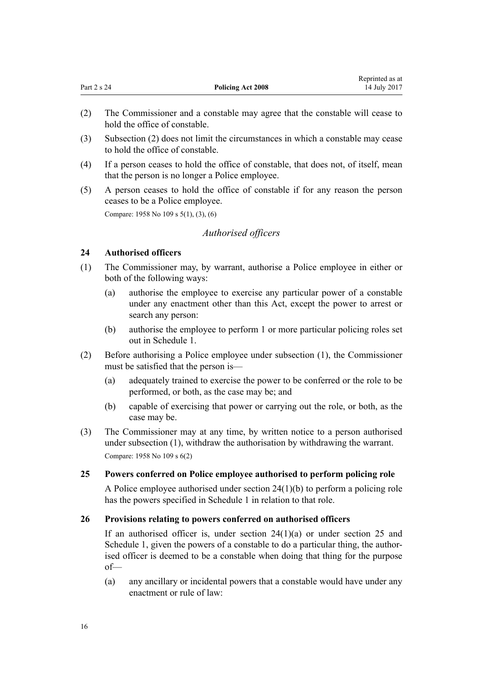<span id="page-15-0"></span>

| Part 2 s 24 | <b>Policing Act 2008</b> | wephinted as a<br>14 July 2017 |
|-------------|--------------------------|--------------------------------|
|             |                          |                                |

Reprinted as at

- (2) The Commissioner and a constable may agree that the constable will cease to hold the office of constable.
- (3) Subsection (2) does not limit the circumstances in which a constable may cease to hold the office of constable.
- (4) If a person ceases to hold the office of constable, that does not, of itself, mean that the person is no longer a Police employee.
- (5) A person ceases to hold the office of constable if for any reason the person ceases to be a Police employee.

Compare: 1958 No 109 [s 5\(1\), \(3\), \(6\)](http://prd-lgnz-nlb.prd.pco.net.nz/pdflink.aspx?id=DLM321706)

#### *Authorised officers*

#### **24 Authorised officers**

- (1) The Commissioner may, by warrant, authorise a Police employee in either or both of the following ways:
	- (a) authorise the employee to exercise any particular power of a constable under any enactment other than this Act, except the power to arrest or search any person:
	- (b) authorise the employee to perform 1 or more particular policing roles set out in [Schedule 1](#page-61-0).
- (2) Before authorising a Police employee under subsection (1), the Commissioner must be satisfied that the person is—
	- (a) adequately trained to exercise the power to be conferred or the role to be performed, or both, as the case may be; and
	- (b) capable of exercising that power or carrying out the role, or both, as the case may be.
- (3) The Commissioner may at any time, by written notice to a person authorised under subsection (1), withdraw the authorisation by withdrawing the warrant. Compare: 1958 No 109 [s 6\(2\)](http://prd-lgnz-nlb.prd.pco.net.nz/pdflink.aspx?id=DLM321712)

### **25 Powers conferred on Police employee authorised to perform policing role**

A Police employee authorised under section 24(1)(b) to perform a policing role has the powers specified in [Schedule 1](#page-61-0) in relation to that role.

#### **26 Provisions relating to powers conferred on authorised officers**

If an authorised officer is, under section  $24(1)(a)$  or under section 25 and [Schedule 1](#page-61-0), given the powers of a constable to do a particular thing, the authorised officer is deemed to be a constable when doing that thing for the purpose of—

(a) any ancillary or incidental powers that a constable would have under any enactment or rule of law: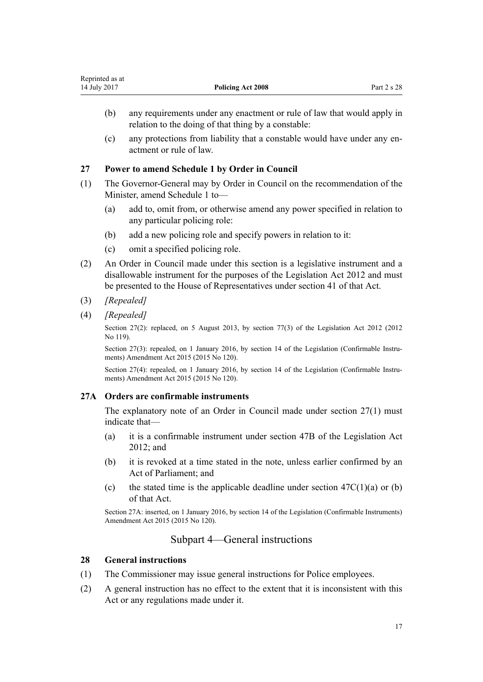<span id="page-16-0"></span>

| Reprinted as at |                          |             |
|-----------------|--------------------------|-------------|
| 14 July 2017    | <b>Policing Act 2008</b> | Part 2 s 28 |

- (b) any requirements under any enactment or rule of law that would apply in relation to the doing of that thing by a constable:
- (c) any protections from liability that a constable would have under any enactment or rule of law.

#### **27 Power to amend Schedule 1 by Order in Council**

- (1) The Governor-General may by Order in Council on the recommendation of the Minister, amend [Schedule 1](#page-61-0) to—
	- (a) add to, omit from, or otherwise amend any power specified in relation to any particular policing role:
	- (b) add a new policing role and specify powers in relation to it:
	- (c) omit a specified policing role.
- (2) An Order in Council made under this section is a legislative instrument and a disallowable instrument for the purposes of the [Legislation Act 2012](http://prd-lgnz-nlb.prd.pco.net.nz/pdflink.aspx?id=DLM2997643) and must be presented to the House of Representatives under [section 41](http://prd-lgnz-nlb.prd.pco.net.nz/pdflink.aspx?id=DLM2998573) of that Act.
- (3) *[Repealed]*
- (4) *[Repealed]*

Section 27(2): replaced, on 5 August 2013, by [section 77\(3\)](http://prd-lgnz-nlb.prd.pco.net.nz/pdflink.aspx?id=DLM2998633) of the Legislation Act 2012 (2012) No 119).

Section 27(3): repealed, on 1 January 2016, by [section 14](http://prd-lgnz-nlb.prd.pco.net.nz/pdflink.aspx?id=DLM6681248) of the Legislation (Confirmable Instruments) Amendment Act 2015 (2015 No 120).

Section 27(4): repealed, on 1 January 2016, by [section 14](http://prd-lgnz-nlb.prd.pco.net.nz/pdflink.aspx?id=DLM6681248) of the Legislation (Confirmable Instruments) Amendment Act 2015 (2015 No 120).

#### **27A Orders are confirmable instruments**

The explanatory note of an Order in Council made under section 27(1) must indicate that—

- (a) it is a confirmable instrument under [section 47B](http://prd-lgnz-nlb.prd.pco.net.nz/pdflink.aspx?id=DLM6705124) of the Legislation Act 2012; and
- (b) it is revoked at a time stated in the note, unless earlier confirmed by an Act of Parliament; and
- (c) the stated time is the applicable deadline under section  $47C(1)(a)$  or (b) of that Act.

Section 27A: inserted, on 1 January 2016, by [section 14](http://prd-lgnz-nlb.prd.pco.net.nz/pdflink.aspx?id=DLM6681248) of the Legislation (Confirmable Instruments) Amendment Act 2015 (2015 No 120).

## Subpart 4—General instructions

#### **28 General instructions**

- (1) The Commissioner may issue general instructions for Police employees.
- (2) A general instruction has no effect to the extent that it is inconsistent with this Act or any regulations made under it.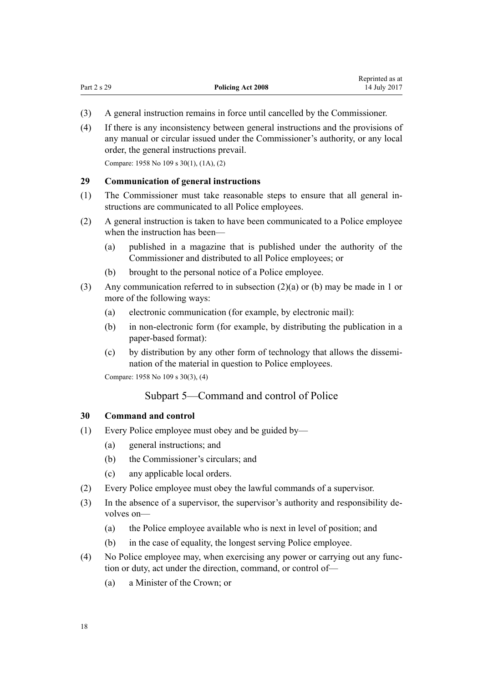- <span id="page-17-0"></span>(3) A general instruction remains in force until cancelled by the Commissioner.
- (4) If there is any inconsistency between general instructions and the provisions of any manual or circular issued under the Commissioner's authority, or any local order, the general instructions prevail.

Compare: 1958 No 109 [s 30\(1\), \(1A\), \(2\)](http://prd-lgnz-nlb.prd.pco.net.nz/pdflink.aspx?id=DLM322040)

#### **29 Communication of general instructions**

- (1) The Commissioner must take reasonable steps to ensure that all general instructions are communicated to all Police employees.
- (2) A general instruction is taken to have been communicated to a Police employee when the instruction has been—
	- (a) published in a magazine that is published under the authority of the Commissioner and distributed to all Police employees; or
	- (b) brought to the personal notice of a Police employee.
- (3) Any communication referred to in subsection (2)(a) or (b) may be made in 1 or more of the following ways:
	- (a) electronic communication (for example, by electronic mail):
	- (b) in non-electronic form (for example, by distributing the publication in a paper-based format):
	- (c) by distribution by any other form of technology that allows the dissemination of the material in question to Police employees.

Compare: 1958 No 109 [s 30\(3\), \(4\)](http://prd-lgnz-nlb.prd.pco.net.nz/pdflink.aspx?id=DLM322040)

## Subpart 5—Command and control of Police

#### **30 Command and control**

- (1) Every Police employee must obey and be guided by—
	- (a) general instructions; and
	- (b) the Commissioner's circulars; and
	- (c) any applicable local orders.
- (2) Every Police employee must obey the lawful commands of a supervisor.
- (3) In the absence of a supervisor, the supervisor's authority and responsibility devolves on—
	- (a) the Police employee available who is next in level of position; and
	- (b) in the case of equality, the longest serving Police employee.
- (4) No Police employee may, when exercising any power or carrying out any function or duty, act under the direction, command, or control of—
	- (a) a Minister of the Crown; or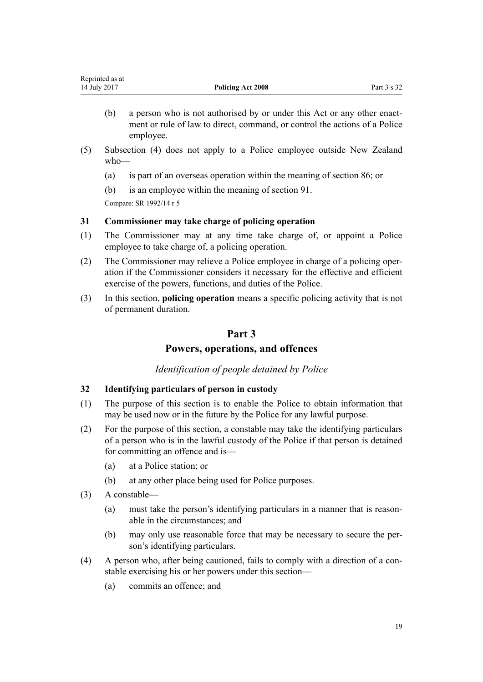<span id="page-18-0"></span>

| Reprinted as at |                          |             |
|-----------------|--------------------------|-------------|
| 14 July 2017    | <b>Policing Act 2008</b> | Part 3 s 32 |

- (b) a person who is not authorised by or under this Act or any other enactment or rule of law to direct, command, or control the actions of a Police employee.
- (5) Subsection (4) does not apply to a Police employee outside New Zealand who—
	- (a) is part of an overseas operation within the meaning of [section 86;](#page-43-0) or
	- (b) is an employee within the meaning of [section 91](#page-45-0).

Compare: SR 1992/14 [r 5](http://prd-lgnz-nlb.prd.pco.net.nz/pdflink.aspx?id=DLM151161)

#### **31 Commissioner may take charge of policing operation**

- (1) The Commissioner may at any time take charge of, or appoint a Police employee to take charge of, a policing operation.
- (2) The Commissioner may relieve a Police employee in charge of a policing operation if the Commissioner considers it necessary for the effective and efficient exercise of the powers, functions, and duties of the Police.
- (3) In this section, **policing operation** means a specific policing activity that is not of permanent duration.

## **Part 3**

## **Powers, operations, and offences**

## *Identification of people detained by Police*

#### **32 Identifying particulars of person in custody**

- (1) The purpose of this section is to enable the Police to obtain information that may be used now or in the future by the Police for any lawful purpose.
- (2) For the purpose of this section, a constable may take the identifying particulars of a person who is in the lawful custody of the Police if that person is detained for committing an offence and is—
	- (a) at a Police station; or
	- (b) at any other place being used for Police purposes.
- (3) A constable—
	- (a) must take the person's identifying particulars in a manner that is reasonable in the circumstances; and
	- (b) may only use reasonable force that may be necessary to secure the person's identifying particulars.
- (4) A person who, after being cautioned, fails to comply with a direction of a constable exercising his or her powers under this section—
	- (a) commits an offence; and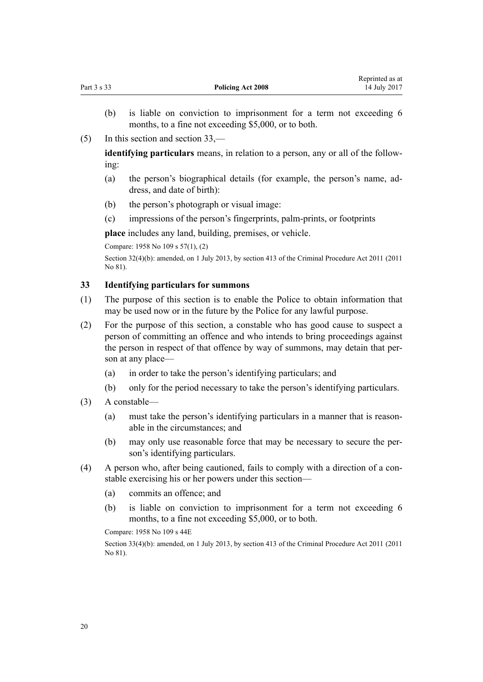|                          | <i>iveprinted as at</i> |
|--------------------------|-------------------------|
| <b>Policing Act 2008</b> | 14 July 2017            |

Reprinted as at

- (b) is liable on conviction to imprisonment for a term not exceeding 6 months, to a fine not exceeding \$5,000, or to both.
- (5) In this section and section 33,—

<span id="page-19-0"></span>Part 3 s 33 **Policing Act 2008**

**identifying particulars** means, in relation to a person, any or all of the following:

- (a) the person's biographical details (for example, the person's name, address, and date of birth):
- (b) the person's photograph or visual image:
- (c) impressions of the person's fingerprints, palm-prints, or footprints

**place** includes any land, building, premises, or vehicle.

Compare: 1958 No 109 [s 57\(1\), \(2\)](http://prd-lgnz-nlb.prd.pco.net.nz/pdflink.aspx?id=DLM322258)

Section 32(4)(b): amended, on 1 July 2013, by [section 413](http://prd-lgnz-nlb.prd.pco.net.nz/pdflink.aspx?id=DLM3360714) of the Criminal Procedure Act 2011 (2011 No 81).

#### **33 Identifying particulars for summons**

- (1) The purpose of this section is to enable the Police to obtain information that may be used now or in the future by the Police for any lawful purpose.
- (2) For the purpose of this section, a constable who has good cause to suspect a person of committing an offence and who intends to bring proceedings against the person in respect of that offence by way of summons, may detain that person at any place—
	- (a) in order to take the person's identifying particulars; and
	- (b) only for the period necessary to take the person's identifying particulars.
- (3) A constable—
	- (a) must take the person's identifying particulars in a manner that is reasonable in the circumstances; and
	- (b) may only use reasonable force that may be necessary to secure the person's identifying particulars.
- (4) A person who, after being cautioned, fails to comply with a direction of a constable exercising his or her powers under this section—
	- (a) commits an offence; and
	- (b) is liable on conviction to imprisonment for a term not exceeding 6 months, to a fine not exceeding \$5,000, or to both.

Compare: 1958 No 109 [s 44E](http://prd-lgnz-nlb.prd.pco.net.nz/pdflink.aspx?id=DLM322231)

Section 33(4)(b): amended, on 1 July 2013, by [section 413](http://prd-lgnz-nlb.prd.pco.net.nz/pdflink.aspx?id=DLM3360714) of the Criminal Procedure Act 2011 (2011) No 81).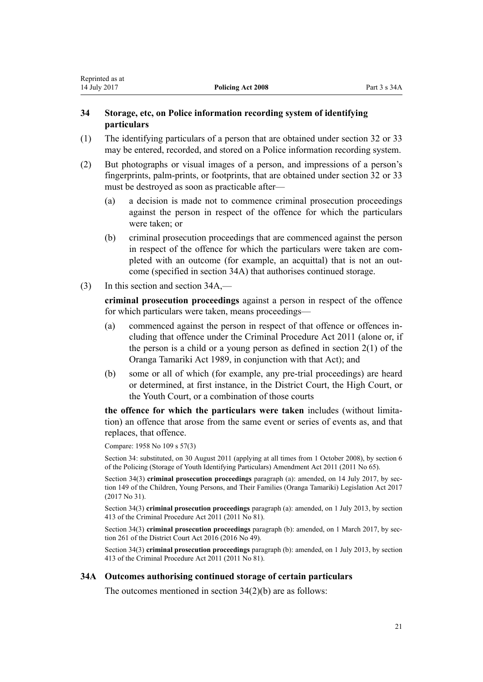#### <span id="page-20-0"></span>**34 Storage, etc, on Police information recording system of identifying particulars**

- (1) The identifying particulars of a person that are obtained under [section 32](#page-18-0) or [33](#page-19-0) may be entered, recorded, and stored on a Police information recording system.
- (2) But photographs or visual images of a person, and impressions of a person's fingerprints, palm-prints, or footprints, that are obtained under [section 32](#page-18-0) or [33](#page-19-0) must be destroyed as soon as practicable after—
	- (a) a decision is made not to commence criminal prosecution proceedings against the person in respect of the offence for which the particulars were taken; or
	- (b) criminal prosecution proceedings that are commenced against the person in respect of the offence for which the particulars were taken are completed with an outcome (for example, an acquittal) that is not an outcome (specified in section 34A) that authorises continued storage.
- (3) In this section and section 34A,—

**criminal prosecution proceedings** against a person in respect of the offence for which particulars were taken, means proceedings—

- (a) commenced against the person in respect of that offence or offences including that offence under the [Criminal Procedure Act 2011](http://prd-lgnz-nlb.prd.pco.net.nz/pdflink.aspx?id=DLM3359902) (alone or, if the person is a child or a young person as defined in [section 2\(1\)](http://prd-lgnz-nlb.prd.pco.net.nz/pdflink.aspx?id=DLM147094) of the Oranga Tamariki Act 1989, in conjunction with that Act); and
- (b) some or all of which (for example, any pre-trial proceedings) are heard or determined, at first instance, in the District Court, the High Court, or the Youth Court, or a combination of those courts

**the offence for which the particulars were taken** includes (without limitation) an offence that arose from the same event or series of events as, and that replaces, that offence.

Compare: 1958 No 109 [s 57\(3\)](http://prd-lgnz-nlb.prd.pco.net.nz/pdflink.aspx?id=DLM322258)

Section 34: substituted, on 30 August 2011 (applying at all times from 1 October 2008), by [section 6](http://prd-lgnz-nlb.prd.pco.net.nz/pdflink.aspx?id=DLM3937722) of the Policing (Storage of Youth Identifying Particulars) Amendment Act 2011 (2011 No 65).

Section 34(3) **criminal prosecution proceedings** paragraph (a): amended, on 14 July 2017, by [sec](http://prd-lgnz-nlb.prd.pco.net.nz/pdflink.aspx?id=DLM7287401)[tion 149](http://prd-lgnz-nlb.prd.pco.net.nz/pdflink.aspx?id=DLM7287401) of the Children, Young Persons, and Their Families (Oranga Tamariki) Legislation Act 2017 (2017 No 31).

Section 34(3) **criminal prosecution proceedings** paragraph (a): amended, on 1 July 2013, by [section](http://prd-lgnz-nlb.prd.pco.net.nz/pdflink.aspx?id=DLM3360714) [413](http://prd-lgnz-nlb.prd.pco.net.nz/pdflink.aspx?id=DLM3360714) of the Criminal Procedure Act 2011 (2011 No 81).

Section 34(3) **criminal prosecution proceedings** paragraph (b): amended, on 1 March 2017, by [sec](http://prd-lgnz-nlb.prd.pco.net.nz/pdflink.aspx?id=DLM6942680)[tion 261](http://prd-lgnz-nlb.prd.pco.net.nz/pdflink.aspx?id=DLM6942680) of the District Court Act 2016 (2016 No 49).

Section 34(3) **criminal prosecution proceedings** paragraph (b): amended, on 1 July 2013, by [section](http://prd-lgnz-nlb.prd.pco.net.nz/pdflink.aspx?id=DLM3360714) [413](http://prd-lgnz-nlb.prd.pco.net.nz/pdflink.aspx?id=DLM3360714) of the Criminal Procedure Act 2011 (2011 No 81).

## **34A Outcomes authorising continued storage of certain particulars**

The outcomes mentioned in section 34(2)(b) are as follows: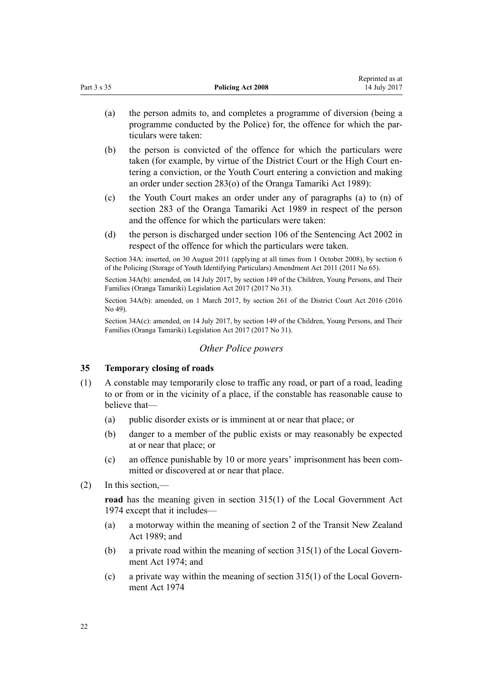<span id="page-21-0"></span>

|             |                          | Reprinted as at |
|-------------|--------------------------|-----------------|
| Part 3 s 35 | <b>Policing Act 2008</b> | 14 July 2017    |
|             |                          |                 |

- (a) the person admits to, and completes a programme of diversion (being a programme conducted by the Police) for, the offence for which the particulars were taken:
- (b) the person is convicted of the offence for which the particulars were taken (for example, by virtue of the District Court or the High Court entering a conviction, or the Youth Court entering a conviction and making an order under [section 283\(o\)](http://prd-lgnz-nlb.prd.pco.net.nz/pdflink.aspx?id=DLM153436) of the Oranga Tamariki Act 1989):
- (c) the Youth Court makes an order under any of paragraphs (a) to (n) of [section 283](http://prd-lgnz-nlb.prd.pco.net.nz/pdflink.aspx?id=DLM153436) of the Oranga Tamariki Act 1989 in respect of the person and the offence for which the particulars were taken:
- (d) the person is discharged under [section 106](http://prd-lgnz-nlb.prd.pco.net.nz/pdflink.aspx?id=DLM136807) of the Sentencing Act 2002 in respect of the offence for which the particulars were taken.

Section 34A: inserted, on 30 August 2011 (applying at all times from 1 October 2008), by [section 6](http://prd-lgnz-nlb.prd.pco.net.nz/pdflink.aspx?id=DLM3937722) of the Policing (Storage of Youth Identifying Particulars) Amendment Act 2011 (2011 No 65).

Section 34A(b): amended, on 14 July 2017, by [section 149](http://prd-lgnz-nlb.prd.pco.net.nz/pdflink.aspx?id=DLM7287401) of the Children, Young Persons, and Their Families (Oranga Tamariki) Legislation Act 2017 (2017 No 31).

Section 34A(b): amended, on 1 March 2017, by [section 261](http://prd-lgnz-nlb.prd.pco.net.nz/pdflink.aspx?id=DLM6942680) of the District Court Act 2016 (2016 No 49).

Section 34A(c): amended, on 14 July 2017, by [section 149](http://prd-lgnz-nlb.prd.pco.net.nz/pdflink.aspx?id=DLM7287401) of the Children, Young Persons, and Their Families (Oranga Tamariki) Legislation Act 2017 (2017 No 31).

## *Other Police powers*

#### **35 Temporary closing of roads**

- (1) A constable may temporarily close to traffic any road, or part of a road, leading to or from or in the vicinity of a place, if the constable has reasonable cause to believe that—
	- (a) public disorder exists or is imminent at or near that place; or
	- (b) danger to a member of the public exists or may reasonably be expected at or near that place; or
	- (c) an offence punishable by 10 or more years' imprisonment has been committed or discovered at or near that place.
- (2) In this section,—

**road** has the meaning given in [section 315\(1\)](http://prd-lgnz-nlb.prd.pco.net.nz/pdflink.aspx?id=DLM420326) of the Local Government Act 1974 except that it includes—

- (a) a motorway within the meaning of [section 2](http://prd-lgnz-nlb.prd.pco.net.nz/pdflink.aspx?id=DLM173374) of the Transit New Zealand Act 1989; and
- (b) a private road within the meaning of [section 315\(1\)](http://prd-lgnz-nlb.prd.pco.net.nz/pdflink.aspx?id=DLM420326) of the Local Government Act 1974; and
- (c) a private way within the meaning of [section 315\(1\)](http://prd-lgnz-nlb.prd.pco.net.nz/pdflink.aspx?id=DLM420326) of the Local Government Act 1974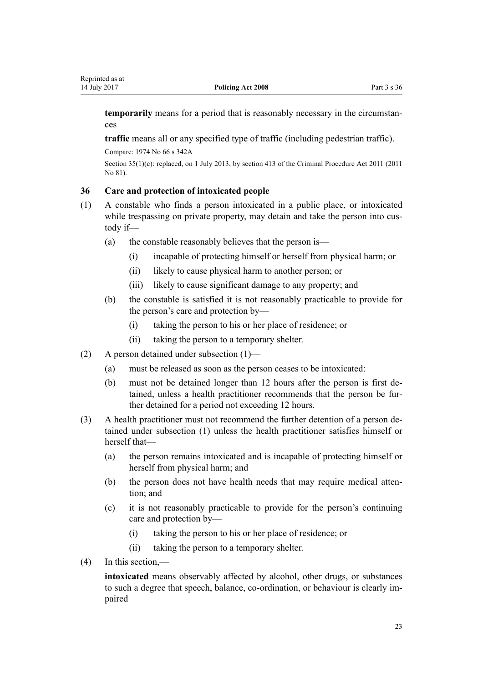<span id="page-22-0"></span>**temporarily** means for a period that is reasonably necessary in the circumstances

**traffic** means all or any specified type of traffic (including pedestrian traffic).

Compare: 1974 No 66 [s 342A](http://prd-lgnz-nlb.prd.pco.net.nz/pdflink.aspx?id=DLM420611)

Section 35(1)(c): replaced, on 1 July 2013, by [section 413](http://prd-lgnz-nlb.prd.pco.net.nz/pdflink.aspx?id=DLM3360714) of the Criminal Procedure Act 2011 (2011) No 81).

#### **36 Care and protection of intoxicated people**

- (1) A constable who finds a person intoxicated in a public place, or intoxicated while trespassing on private property, may detain and take the person into custody if—
	- (a) the constable reasonably believes that the person is—
		- (i) incapable of protecting himself or herself from physical harm; or
		- (ii) likely to cause physical harm to another person; or
		- (iii) likely to cause significant damage to any property; and
	- (b) the constable is satisfied it is not reasonably practicable to provide for the person's care and protection by—
		- (i) taking the person to his or her place of residence; or
		- (ii) taking the person to a temporary shelter.
- (2) A person detained under subsection (1)—
	- (a) must be released as soon as the person ceases to be intoxicated:
	- (b) must not be detained longer than 12 hours after the person is first detained, unless a health practitioner recommends that the person be further detained for a period not exceeding 12 hours.
- (3) A health practitioner must not recommend the further detention of a person detained under subsection (1) unless the health practitioner satisfies himself or herself that—
	- (a) the person remains intoxicated and is incapable of protecting himself or herself from physical harm; and
	- (b) the person does not have health needs that may require medical attention; and
	- (c) it is not reasonably practicable to provide for the person's continuing care and protection by—
		- (i) taking the person to his or her place of residence; or
		- (ii) taking the person to a temporary shelter.
- (4) In this section,—

**intoxicated** means observably affected by alcohol, other drugs, or substances to such a degree that speech, balance, co-ordination, or behaviour is clearly impaired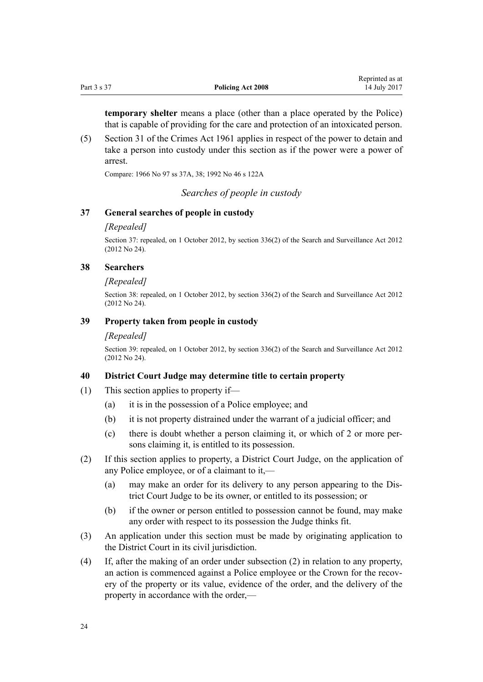<span id="page-23-0"></span>**temporary shelter** means a place (other than a place operated by the Police) that is capable of providing for the care and protection of an intoxicated person.

(5) [Section 31](http://prd-lgnz-nlb.prd.pco.net.nz/pdflink.aspx?id=DLM328246) of the Crimes Act 1961 applies in respect of the power to detain and take a person into custody under this section as if the power were a power of arrest.

Compare: 1966 No 97 [ss 37A](http://prd-lgnz-nlb.prd.pco.net.nz/pdflink.aspx?id=DLM380504), [38;](http://prd-lgnz-nlb.prd.pco.net.nz/pdflink.aspx?id=DLM380508) 1992 No 46 [s 122A](http://prd-lgnz-nlb.prd.pco.net.nz/pdflink.aspx?id=DLM264220)

*Searches of people in custody*

#### **37 General searches of people in custody**

#### *[Repealed]*

Section 37: repealed, on 1 October 2012, by [section 336\(2\)](http://prd-lgnz-nlb.prd.pco.net.nz/pdflink.aspx?id=DLM2137147) of the Search and Surveillance Act 2012 (2012 No 24).

#### **38 Searchers**

#### *[Repealed]*

Section 38: repealed, on 1 October 2012, by [section 336\(2\)](http://prd-lgnz-nlb.prd.pco.net.nz/pdflink.aspx?id=DLM2137147) of the Search and Surveillance Act 2012 (2012 No 24).

#### **39 Property taken from people in custody**

#### *[Repealed]*

Section 39: repealed, on 1 October 2012, by [section 336\(2\)](http://prd-lgnz-nlb.prd.pco.net.nz/pdflink.aspx?id=DLM2137147) of the Search and Surveillance Act 2012 (2012 No 24).

#### **40 District Court Judge may determine title to certain property**

- (1) This section applies to property if—
	- (a) it is in the possession of a Police employee; and
	- (b) it is not property distrained under the warrant of a judicial officer; and
	- (c) there is doubt whether a person claiming it, or which of 2 or more persons claiming it, is entitled to its possession.
- (2) If this section applies to property, a District Court Judge, on the application of any Police employee, or of a claimant to it,—
	- (a) may make an order for its delivery to any person appearing to the District Court Judge to be its owner, or entitled to its possession; or
	- (b) if the owner or person entitled to possession cannot be found, may make any order with respect to its possession the Judge thinks fit.
- (3) An application under this section must be made by originating application to the District Court in its civil jurisdiction.
- (4) If, after the making of an order under subsection (2) in relation to any property, an action is commenced against a Police employee or the Crown for the recovery of the property or its value, evidence of the order, and the delivery of the property in accordance with the order,—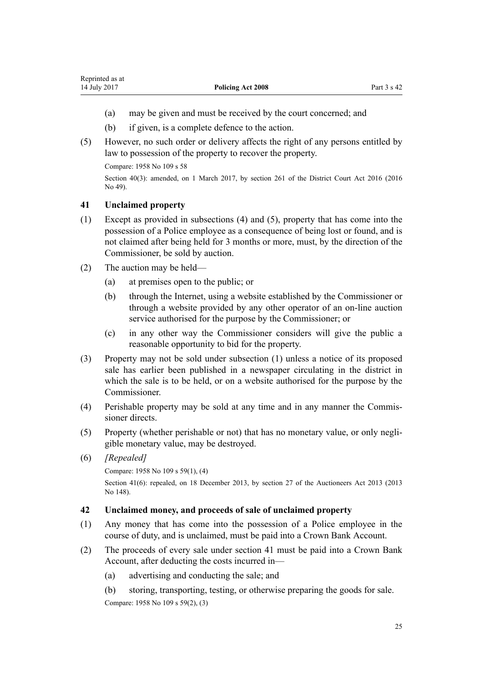- <span id="page-24-0"></span>(a) may be given and must be received by the court concerned; and
- (b) if given, is a complete defence to the action.
- (5) However, no such order or delivery affects the right of any persons entitled by law to possession of the property to recover the property.

Compare: 1958 No 109 [s 58](http://prd-lgnz-nlb.prd.pco.net.nz/pdflink.aspx?id=DLM322276)

Section 40(3): amended, on 1 March 2017, by [section 261](http://prd-lgnz-nlb.prd.pco.net.nz/pdflink.aspx?id=DLM6942680) of the District Court Act 2016 (2016) No 49).

### **41 Unclaimed property**

- (1) Except as provided in subsections (4) and (5), property that has come into the possession of a Police employee as a consequence of being lost or found, and is not claimed after being held for 3 months or more, must, by the direction of the Commissioner, be sold by auction.
- (2) The auction may be held—
	- (a) at premises open to the public; or
	- (b) through the Internet, using a website established by the Commissioner or through a website provided by any other operator of an on-line auction service authorised for the purpose by the Commissioner; or
	- (c) in any other way the Commissioner considers will give the public a reasonable opportunity to bid for the property.
- (3) Property may not be sold under subsection (1) unless a notice of its proposed sale has earlier been published in a newspaper circulating in the district in which the sale is to be held, or on a website authorised for the purpose by the Commissioner.
- (4) Perishable property may be sold at any time and in any manner the Commissioner directs.
- (5) Property (whether perishable or not) that has no monetary value, or only negligible monetary value, may be destroyed.
- (6) *[Repealed]*

Compare: 1958 No 109 [s 59\(1\), \(4\)](http://prd-lgnz-nlb.prd.pco.net.nz/pdflink.aspx?id=DLM322279)

Section 41(6): repealed, on 18 December 2013, by [section 27](http://prd-lgnz-nlb.prd.pco.net.nz/pdflink.aspx?id=DLM5788557) of the Auctioneers Act 2013 (2013) No 148).

#### **42 Unclaimed money, and proceeds of sale of unclaimed property**

- (1) Any money that has come into the possession of a Police employee in the course of duty, and is unclaimed, must be paid into a Crown Bank Account.
- (2) The proceeds of every sale under section 41 must be paid into a Crown Bank Account, after deducting the costs incurred in—
	- (a) advertising and conducting the sale; and
	- (b) storing, transporting, testing, or otherwise preparing the goods for sale. Compare: 1958 No 109 [s 59\(2\), \(3\)](http://prd-lgnz-nlb.prd.pco.net.nz/pdflink.aspx?id=DLM322279)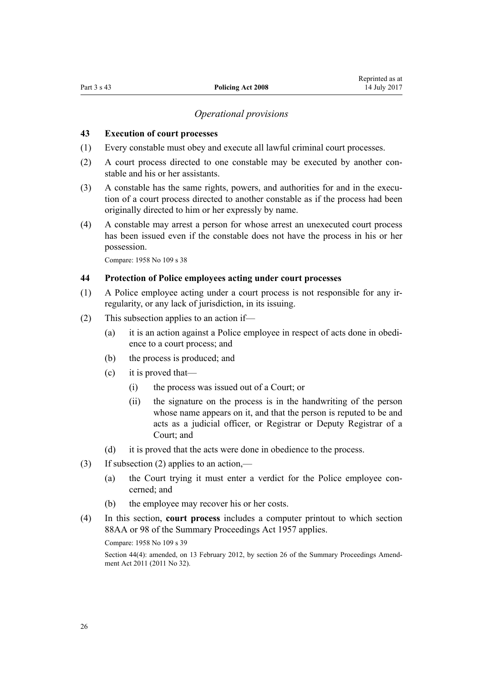#### *Operational provisions*

#### <span id="page-25-0"></span>**43 Execution of court processes**

- (1) Every constable must obey and execute all lawful criminal court processes.
- (2) A court process directed to one constable may be executed by another constable and his or her assistants.
- (3) A constable has the same rights, powers, and authorities for and in the execution of a court process directed to another constable as if the process had been originally directed to him or her expressly by name.
- (4) A constable may arrest a person for whose arrest an unexecuted court process has been issued even if the constable does not have the process in his or her possession.

Compare: 1958 No 109 [s 38](http://prd-lgnz-nlb.prd.pco.net.nz/pdflink.aspx?id=DLM322092)

#### **44 Protection of Police employees acting under court processes**

- (1) A Police employee acting under a court process is not responsible for any irregularity, or any lack of jurisdiction, in its issuing.
- (2) This subsection applies to an action if—
	- (a) it is an action against a Police employee in respect of acts done in obedience to a court process; and
	- (b) the process is produced; and
	- (c) it is proved that—
		- (i) the process was issued out of a Court; or
		- (ii) the signature on the process is in the handwriting of the person whose name appears on it, and that the person is reputed to be and acts as a judicial officer, or Registrar or Deputy Registrar of a Court; and
	- (d) it is proved that the acts were done in obedience to the process.
- (3) If subsection (2) applies to an action,—
	- (a) the Court trying it must enter a verdict for the Police employee concerned; and
	- (b) the employee may recover his or her costs.
- (4) In this section, **court process** includes a computer printout to which [section](http://prd-lgnz-nlb.prd.pco.net.nz/pdflink.aspx?id=DLM4290126) [88AA](http://prd-lgnz-nlb.prd.pco.net.nz/pdflink.aspx?id=DLM4290126) or [98](http://prd-lgnz-nlb.prd.pco.net.nz/pdflink.aspx?id=DLM312558) of the Summary Proceedings Act 1957 applies.

Compare: 1958 No 109 [s 39](http://prd-lgnz-nlb.prd.pco.net.nz/pdflink.aspx?id=DLM322095)

Section 44(4): amended, on 13 February 2012, by [section 26](http://prd-lgnz-nlb.prd.pco.net.nz/pdflink.aspx?id=DLM3556289) of the Summary Proceedings Amendment Act 2011 (2011 No 32).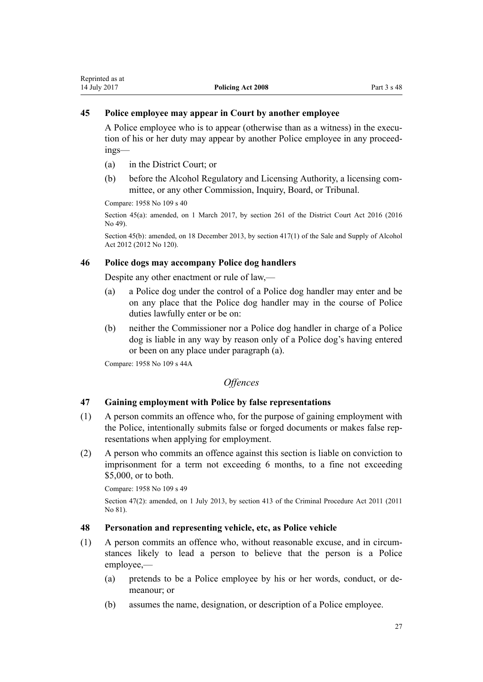### <span id="page-26-0"></span>**45 Police employee may appear in Court by another employee**

A Police employee who is to appear (otherwise than as a witness) in the execution of his or her duty may appear by another Police employee in any proceedings—

- (a) in the District Court; or
- (b) before the Alcohol Regulatory and Licensing Authority, a licensing committee, or any other Commission, Inquiry, Board, or Tribunal.

Compare: 1958 No 109 [s 40](http://prd-lgnz-nlb.prd.pco.net.nz/pdflink.aspx?id=DLM322202)

Section 45(a): amended, on 1 March 2017, by [section 261](http://prd-lgnz-nlb.prd.pco.net.nz/pdflink.aspx?id=DLM6942680) of the District Court Act 2016 (2016) No 49).

Section 45(b): amended, on 18 December 2013, by [section 417\(1\)](http://prd-lgnz-nlb.prd.pco.net.nz/pdflink.aspx?id=DLM3339984) of the Sale and Supply of Alcohol Act 2012 (2012 No 120).

## **46 Police dogs may accompany Police dog handlers**

Despite any other enactment or rule of law,—

- (a) a Police dog under the control of a Police dog handler may enter and be on any place that the Police dog handler may in the course of Police duties lawfully enter or be on:
- (b) neither the Commissioner nor a Police dog handler in charge of a Police dog is liable in any way by reason only of a Police dog's having entered or been on any place under paragraph (a).

Compare: 1958 No 109 [s 44A](http://prd-lgnz-nlb.prd.pco.net.nz/pdflink.aspx?id=DLM322223)

*Offences*

#### **47 Gaining employment with Police by false representations**

- (1) A person commits an offence who, for the purpose of gaining employment with the Police, intentionally submits false or forged documents or makes false representations when applying for employment.
- (2) A person who commits an offence against this section is liable on conviction to imprisonment for a term not exceeding 6 months, to a fine not exceeding \$5,000, or to both.

Compare: 1958 No 109 [s 49](http://prd-lgnz-nlb.prd.pco.net.nz/pdflink.aspx?id=DLM322234)

Section 47(2): amended, on 1 July 2013, by [section 413](http://prd-lgnz-nlb.prd.pco.net.nz/pdflink.aspx?id=DLM3360714) of the Criminal Procedure Act 2011 (2011) No 81).

#### **48 Personation and representing vehicle, etc, as Police vehicle**

- (1) A person commits an offence who, without reasonable excuse, and in circumstances likely to lead a person to believe that the person is a Police employee,—
	- (a) pretends to be a Police employee by his or her words, conduct, or demeanour; or
	- (b) assumes the name, designation, or description of a Police employee.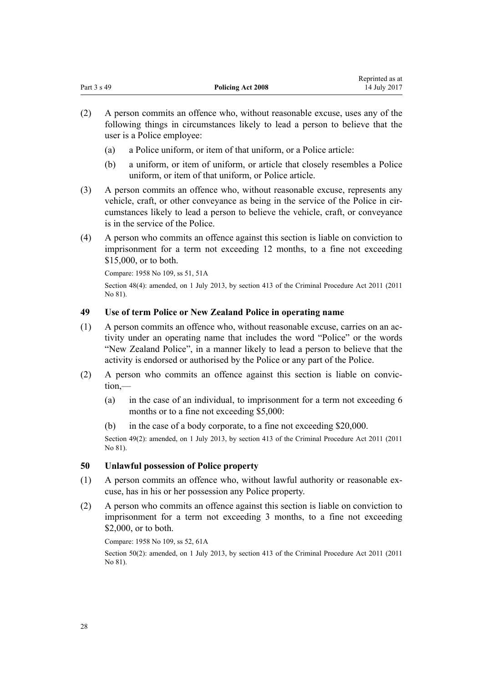<span id="page-27-0"></span>

|             |                          | Reprinted as at |
|-------------|--------------------------|-----------------|
| Part 3 s 49 | <b>Policing Act 2008</b> | 14 July 2017    |

- (2) A person commits an offence who, without reasonable excuse, uses any of the following things in circumstances likely to lead a person to believe that the user is a Police employee:
	- (a) a Police uniform, or item of that uniform, or a Police article:
	- (b) a uniform, or item of uniform, or article that closely resembles a Police uniform, or item of that uniform, or Police article.
- (3) A person commits an offence who, without reasonable excuse, represents any vehicle, craft, or other conveyance as being in the service of the Police in circumstances likely to lead a person to believe the vehicle, craft, or conveyance is in the service of the Police.
- (4) A person who commits an offence against this section is liable on conviction to imprisonment for a term not exceeding 12 months, to a fine not exceeding \$15,000, or to both.

Compare: 1958 No 109, [ss 51,](http://prd-lgnz-nlb.prd.pco.net.nz/pdflink.aspx?id=DLM322239) [51A](http://prd-lgnz-nlb.prd.pco.net.nz/pdflink.aspx?id=DLM322240)

Section 48(4): amended, on 1 July 2013, by [section 413](http://prd-lgnz-nlb.prd.pco.net.nz/pdflink.aspx?id=DLM3360714) of the Criminal Procedure Act 2011 (2011 No 81).

#### **49 Use of term Police or New Zealand Police in operating name**

- (1) A person commits an offence who, without reasonable excuse, carries on an activity under an operating name that includes the word "Police" or the words "New Zealand Police", in a manner likely to lead a person to believe that the activity is endorsed or authorised by the Police or any part of the Police.
- (2) A person who commits an offence against this section is liable on conviction,—
	- (a) in the case of an individual, to imprisonment for a term not exceeding 6 months or to a fine not exceeding \$5,000:
	- (b) in the case of a body corporate, to a fine not exceeding \$20,000.

Section 49(2): amended, on 1 July 2013, by [section 413](http://prd-lgnz-nlb.prd.pco.net.nz/pdflink.aspx?id=DLM3360714) of the Criminal Procedure Act 2011 (2011) No 81).

#### **50 Unlawful possession of Police property**

- (1) A person commits an offence who, without lawful authority or reasonable excuse, has in his or her possession any Police property.
- (2) A person who commits an offence against this section is liable on conviction to imprisonment for a term not exceeding 3 months, to a fine not exceeding \$2,000, or to both.

Compare: 1958 No 109, [ss 52,](http://prd-lgnz-nlb.prd.pco.net.nz/pdflink.aspx?id=DLM322242) [61A](http://prd-lgnz-nlb.prd.pco.net.nz/pdflink.aspx?id=DLM322292)

Section 50(2): amended, on 1 July 2013, by [section 413](http://prd-lgnz-nlb.prd.pco.net.nz/pdflink.aspx?id=DLM3360714) of the Criminal Procedure Act 2011 (2011) No 81).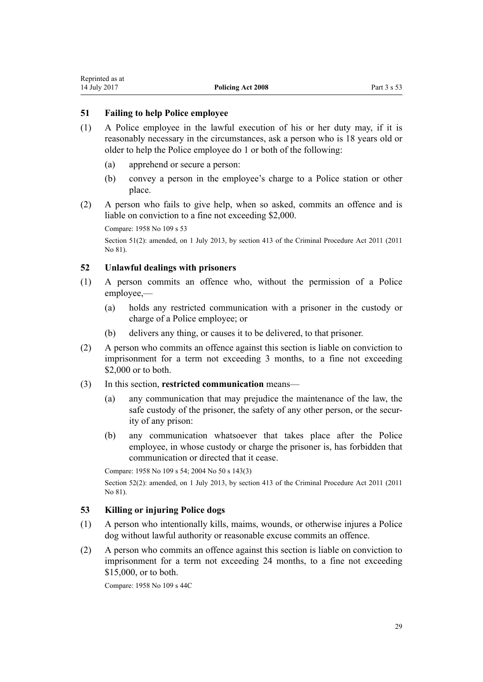#### <span id="page-28-0"></span>**51 Failing to help Police employee**

- (1) A Police employee in the lawful execution of his or her duty may, if it is reasonably necessary in the circumstances, ask a person who is 18 years old or older to help the Police employee do 1 or both of the following:
	- (a) apprehend or secure a person:
	- (b) convey a person in the employee's charge to a Police station or other place.
- (2) A person who fails to give help, when so asked, commits an offence and is liable on conviction to a fine not exceeding \$2,000.

Compare: 1958 No 109 [s 53](http://prd-lgnz-nlb.prd.pco.net.nz/pdflink.aspx?id=DLM322243)

Section 51(2): amended, on 1 July 2013, by [section 413](http://prd-lgnz-nlb.prd.pco.net.nz/pdflink.aspx?id=DLM3360714) of the Criminal Procedure Act 2011 (2011) No 81).

#### **52 Unlawful dealings with prisoners**

- (1) A person commits an offence who, without the permission of a Police employee,—
	- (a) holds any restricted communication with a prisoner in the custody or charge of a Police employee; or
	- (b) delivers any thing, or causes it to be delivered, to that prisoner.
- (2) A person who commits an offence against this section is liable on conviction to imprisonment for a term not exceeding 3 months, to a fine not exceeding \$2,000 or to both.
- (3) In this section, **restricted communication** means—
	- (a) any communication that may prejudice the maintenance of the law, the safe custody of the prisoner, the safety of any other person, or the security of any prison:
	- (b) any communication whatsoever that takes place after the Police employee, in whose custody or charge the prisoner is, has forbidden that communication or directed that it cease.

Compare: 1958 No 109 [s 54;](http://prd-lgnz-nlb.prd.pco.net.nz/pdflink.aspx?id=DLM322245) 2004 No 50 [s 143\(3\)](http://prd-lgnz-nlb.prd.pco.net.nz/pdflink.aspx?id=DLM296520)

Section 52(2): amended, on 1 July 2013, by [section 413](http://prd-lgnz-nlb.prd.pco.net.nz/pdflink.aspx?id=DLM3360714) of the Criminal Procedure Act 2011 (2011 No 81).

## **53 Killing or injuring Police dogs**

- (1) A person who intentionally kills, maims, wounds, or otherwise injures a Police dog without lawful authority or reasonable excuse commits an offence.
- (2) A person who commits an offence against this section is liable on conviction to imprisonment for a term not exceeding 24 months, to a fine not exceeding \$15,000, or to both.

Compare: 1958 No 109 [s 44C](http://prd-lgnz-nlb.prd.pco.net.nz/pdflink.aspx?id=DLM322227)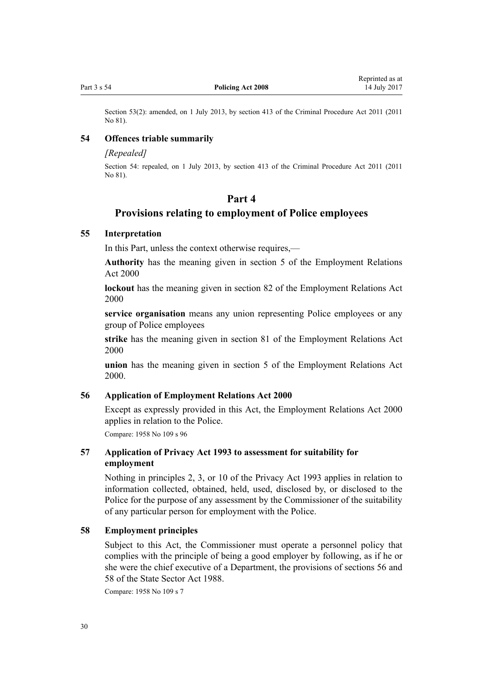<span id="page-29-0"></span>Section 53(2): amended, on 1 July 2013, by [section 413](http://prd-lgnz-nlb.prd.pco.net.nz/pdflink.aspx?id=DLM3360714) of the Criminal Procedure Act 2011 (2011) No 81).

#### **54 Offences triable summarily**

#### *[Repealed]*

Section 54: repealed, on 1 July 2013, by [section 413](http://prd-lgnz-nlb.prd.pco.net.nz/pdflink.aspx?id=DLM3360714) of the Criminal Procedure Act 2011 (2011 No 81).

## **Part 4**

#### **Provisions relating to employment of Police employees**

#### **55 Interpretation**

In this Part, unless the context otherwise requires,—

**Authority** has the meaning given in [section 5](http://prd-lgnz-nlb.prd.pco.net.nz/pdflink.aspx?id=DLM58337) of the Employment Relations Act 2000

**lockout** has the meaning given in [section 82](http://prd-lgnz-nlb.prd.pco.net.nz/pdflink.aspx?id=DLM59970) of the Employment Relations Act 2000

**service organisation** means any union representing Police employees or any group of Police employees

**strike** has the meaning given in [section 81](http://prd-lgnz-nlb.prd.pco.net.nz/pdflink.aspx?id=DLM59966) of the Employment Relations Act 2000

**union** has the meaning given in [section 5](http://prd-lgnz-nlb.prd.pco.net.nz/pdflink.aspx?id=DLM58337) of the Employment Relations Act 2000.

#### **56 Application of Employment Relations Act 2000**

Except as expressly provided in this Act, the [Employment Relations Act 2000](http://prd-lgnz-nlb.prd.pco.net.nz/pdflink.aspx?id=DLM58316) applies in relation to the Police.

Compare: 1958 No 109 [s 96](http://prd-lgnz-nlb.prd.pco.net.nz/pdflink.aspx?id=DLM323012)

## **57 Application of Privacy Act 1993 to assessment for suitability for employment**

Nothing in [principles 2, 3, or 10](http://prd-lgnz-nlb.prd.pco.net.nz/pdflink.aspx?id=DLM297038) of the Privacy Act 1993 applies in relation to information collected, obtained, held, used, disclosed by, or disclosed to the Police for the purpose of any assessment by the Commissioner of the suitability of any particular person for employment with the Police.

#### **58 Employment principles**

Subject to this Act, the Commissioner must operate a personnel policy that complies with the principle of being a good employer by following, as if he or she were the chief executive of a Department, the provisions of [sections 56](http://prd-lgnz-nlb.prd.pco.net.nz/pdflink.aspx?id=DLM129719) and [58](http://prd-lgnz-nlb.prd.pco.net.nz/pdflink.aspx?id=DLM129733) of the State Sector Act 1988.

Compare: 1958 No 109 [s 7](http://prd-lgnz-nlb.prd.pco.net.nz/pdflink.aspx?id=DLM321720)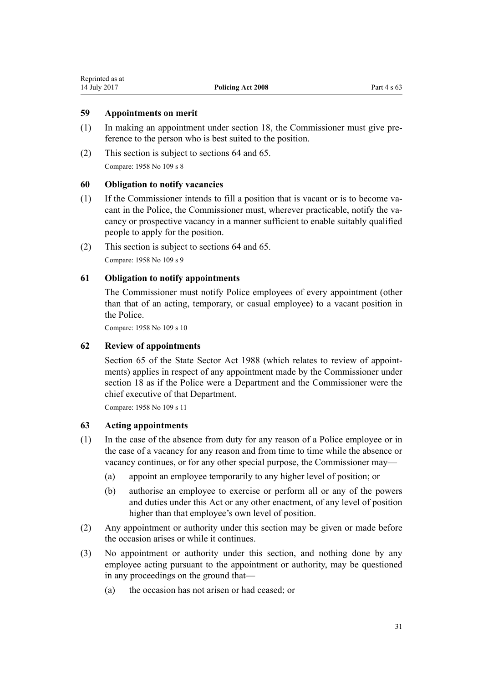## <span id="page-30-0"></span>**59 Appointments on merit**

- (1) In making an appointment under [section 18](#page-13-0), the Commissioner must give preference to the person who is best suited to the position.
- (2) This section is subject to [sections 64](#page-31-0) and [65](#page-31-0). Compare: 1958 No 109 [s 8](http://prd-lgnz-nlb.prd.pco.net.nz/pdflink.aspx?id=DLM321724)

#### **60 Obligation to notify vacancies**

- (1) If the Commissioner intends to fill a position that is vacant or is to become vacant in the Police, the Commissioner must, wherever practicable, notify the vacancy or prospective vacancy in a manner sufficient to enable suitably qualified people to apply for the position.
- (2) This section is subject to [sections 64](#page-31-0) and [65](#page-31-0). Compare: 1958 No 109 [s 9](http://prd-lgnz-nlb.prd.pco.net.nz/pdflink.aspx?id=DLM321726)

## **61 Obligation to notify appointments**

The Commissioner must notify Police employees of every appointment (other than that of an acting, temporary, or casual employee) to a vacant position in the Police.

Compare: 1958 No 109 [s 10](http://prd-lgnz-nlb.prd.pco.net.nz/pdflink.aspx?id=DLM321728)

## **62 Review of appointments**

[Section 65](http://prd-lgnz-nlb.prd.pco.net.nz/pdflink.aspx?id=DLM129755) of the State Sector Act 1988 (which relates to review of appointments) applies in respect of any appointment made by the Commissioner under [section 18](#page-13-0) as if the Police were a Department and the Commissioner were the chief executive of that Department.

Compare: 1958 No 109 [s 11](http://prd-lgnz-nlb.prd.pco.net.nz/pdflink.aspx?id=DLM321730)

## **63 Acting appointments**

- (1) In the case of the absence from duty for any reason of a Police employee or in the case of a vacancy for any reason and from time to time while the absence or vacancy continues, or for any other special purpose, the Commissioner may—
	- (a) appoint an employee temporarily to any higher level of position; or
	- (b) authorise an employee to exercise or perform all or any of the powers and duties under this Act or any other enactment, of any level of position higher than that employee's own level of position.
- (2) Any appointment or authority under this section may be given or made before the occasion arises or while it continues.
- (3) No appointment or authority under this section, and nothing done by any employee acting pursuant to the appointment or authority, may be questioned in any proceedings on the ground that—
	- (a) the occasion has not arisen or had ceased; or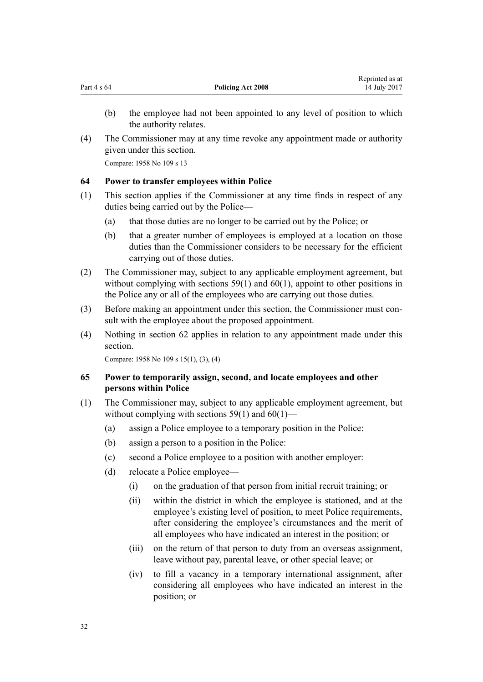- <span id="page-31-0"></span>(b) the employee had not been appointed to any level of position to which the authority relates.
- (4) The Commissioner may at any time revoke any appointment made or authority given under this section.

Compare: 1958 No 109 [s 13](http://prd-lgnz-nlb.prd.pco.net.nz/pdflink.aspx?id=DLM321740)

## **64 Power to transfer employees within Police**

- (1) This section applies if the Commissioner at any time finds in respect of any duties being carried out by the Police—
	- (a) that those duties are no longer to be carried out by the Police; or
	- (b) that a greater number of employees is employed at a location on those duties than the Commissioner considers to be necessary for the efficient carrying out of those duties.
- (2) The Commissioner may, subject to any applicable employment agreement, but without complying with [sections 59\(1\)](#page-30-0) and [60\(1\)](#page-30-0), appoint to other positions in the Police any or all of the employees who are carrying out those duties.
- (3) Before making an appointment under this section, the Commissioner must consult with the employee about the proposed appointment.
- (4) Nothing in [section 62](#page-30-0) applies in relation to any appointment made under this section.

Compare: 1958 No 109 [s 15\(1\), \(3\), \(4\)](http://prd-lgnz-nlb.prd.pco.net.nz/pdflink.aspx?id=DLM321755)

## **65 Power to temporarily assign, second, and locate employees and other persons within Police**

- (1) The Commissioner may, subject to any applicable employment agreement, but without complying with sections  $59(1)$  and  $60(1)$ —
	- (a) assign a Police employee to a temporary position in the Police:
	- (b) assign a person to a position in the Police:
	- (c) second a Police employee to a position with another employer:
	- (d) relocate a Police employee—
		- (i) on the graduation of that person from initial recruit training; or
		- (ii) within the district in which the employee is stationed, and at the employee's existing level of position, to meet Police requirements, after considering the employee's circumstances and the merit of all employees who have indicated an interest in the position; or
		- (iii) on the return of that person to duty from an overseas assignment, leave without pay, parental leave, or other special leave; or
		- (iv) to fill a vacancy in a temporary international assignment, after considering all employees who have indicated an interest in the position; or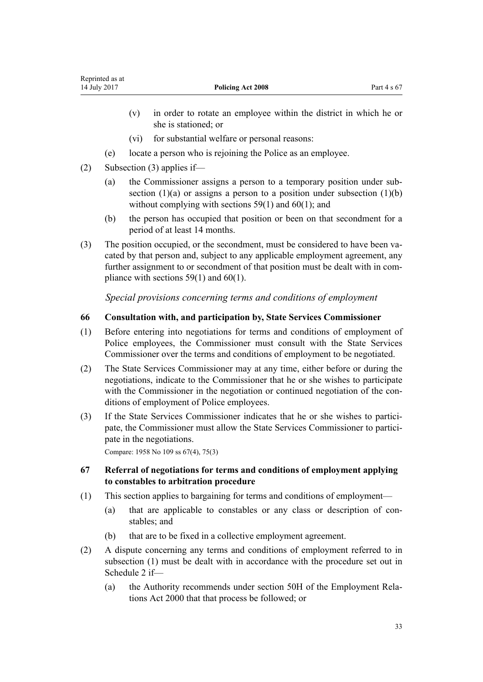- <span id="page-32-0"></span>(v) in order to rotate an employee within the district in which he or she is stationed; or
- (vi) for substantial welfare or personal reasons:
- (e) locate a person who is rejoining the Police as an employee.
- (2) Subsection (3) applies if—
	- (a) the Commissioner assigns a person to a temporary position under subsection  $(1)(a)$  or assigns a person to a position under subsection  $(1)(b)$ without complying with [sections 59\(1\)](#page-30-0) and [60\(1\);](#page-30-0) and
	- (b) the person has occupied that position or been on that secondment for a period of at least 14 months.
- (3) The position occupied, or the secondment, must be considered to have been vacated by that person and, subject to any applicable employment agreement, any further assignment to or secondment of that position must be dealt with in compliance with sections  $59(1)$  and  $60(1)$ .

*Special provisions concerning terms and conditions of employment*

#### **66 Consultation with, and participation by, State Services Commissioner**

- (1) Before entering into negotiations for terms and conditions of employment of Police employees, the Commissioner must consult with the State Services Commissioner over the terms and conditions of employment to be negotiated.
- (2) The State Services Commissioner may at any time, either before or during the negotiations, indicate to the Commissioner that he or she wishes to participate with the Commissioner in the negotiation or continued negotiation of the conditions of employment of Police employees.
- (3) If the State Services Commissioner indicates that he or she wishes to participate, the Commissioner must allow the State Services Commissioner to participate in the negotiations.

Compare: 1958 No 109 [ss 67\(4\),](http://prd-lgnz-nlb.prd.pco.net.nz/pdflink.aspx?id=DLM322554) [75\(3\)](http://prd-lgnz-nlb.prd.pco.net.nz/pdflink.aspx?id=DLM322716)

### **67 Referral of negotiations for terms and conditions of employment applying to constables to arbitration procedure**

- (1) This section applies to bargaining for terms and conditions of employment—
	- (a) that are applicable to constables or any class or description of constables; and
	- (b) that are to be fixed in a collective employment agreement.
- (2) A dispute concerning any terms and conditions of employment referred to in subsection (1) must be dealt with in accordance with the procedure set out in [Schedule 2](#page-64-0) if—
	- (a) the Authority recommends under s[ection 50H](http://prd-lgnz-nlb.prd.pco.net.nz/pdflink.aspx?id=DLM59103) of the Employment Relations Act 2000 that that process be followed; or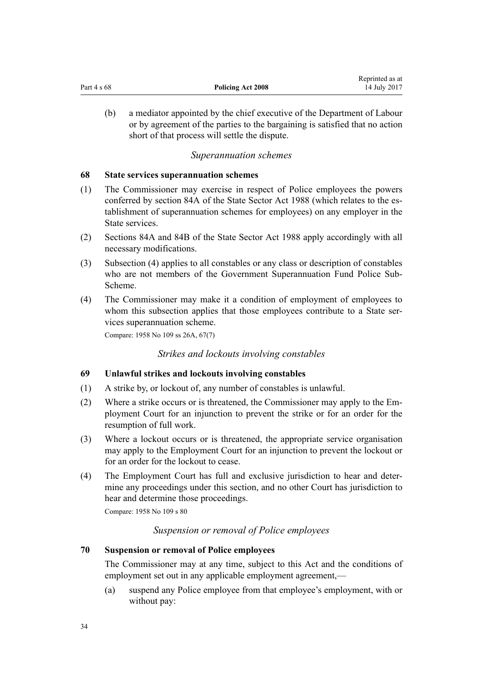<span id="page-33-0"></span>

|             |                          | Reprinted as at |
|-------------|--------------------------|-----------------|
| Part 4 s 68 | <b>Policing Act 2008</b> | 14 July 2017    |

(b) a mediator appointed by the chief executive of the Department of Labour or by agreement of the parties to the bargaining is satisfied that no action short of that process will settle the dispute.

## *Superannuation schemes*

#### **68 State services superannuation schemes**

- (1) The Commissioner may exercise in respect of Police employees the powers conferred by [section 84A](http://prd-lgnz-nlb.prd.pco.net.nz/pdflink.aspx?id=DLM130353) of the State Sector Act 1988 (which relates to the establishment of superannuation schemes for employees) on any employer in the State services.
- (2) [Sections 84A](http://prd-lgnz-nlb.prd.pco.net.nz/pdflink.aspx?id=DLM130353) and [84B](http://prd-lgnz-nlb.prd.pco.net.nz/pdflink.aspx?id=DLM130357) of the State Sector Act 1988 apply accordingly with all necessary modifications.
- (3) Subsection (4) applies to all constables or any class or description of constables who are not members of the Government Superannuation Fund Police Sub-Scheme.
- (4) The Commissioner may make it a condition of employment of employees to whom this subsection applies that those employees contribute to a State services superannuation scheme.

Compare: 1958 No 109 [ss 26A,](http://prd-lgnz-nlb.prd.pco.net.nz/pdflink.aspx?id=DLM321785) [67\(7\)](http://prd-lgnz-nlb.prd.pco.net.nz/pdflink.aspx?id=DLM322554)

## *Strikes and lockouts involving constables*

## **69 Unlawful strikes and lockouts involving constables**

- (1) A strike by, or lockout of, any number of constables is unlawful.
- (2) Where a strike occurs or is threatened, the Commissioner may apply to the Employment Court for an injunction to prevent the strike or for an order for the resumption of full work.
- (3) Where a lockout occurs or is threatened, the appropriate service organisation may apply to the Employment Court for an injunction to prevent the lockout or for an order for the lockout to cease.
- (4) The Employment Court has full and exclusive jurisdiction to hear and determine any proceedings under this section, and no other Court has jurisdiction to hear and determine those proceedings.

Compare: 1958 No 109 [s 80](http://prd-lgnz-nlb.prd.pco.net.nz/pdflink.aspx?id=DLM322741)

## *Suspension or removal of Police employees*

## **70 Suspension or removal of Police employees**

The Commissioner may at any time, subject to this Act and the conditions of employment set out in any applicable employment agreement,—

(a) suspend any Police employee from that employee's employment, with or without pay: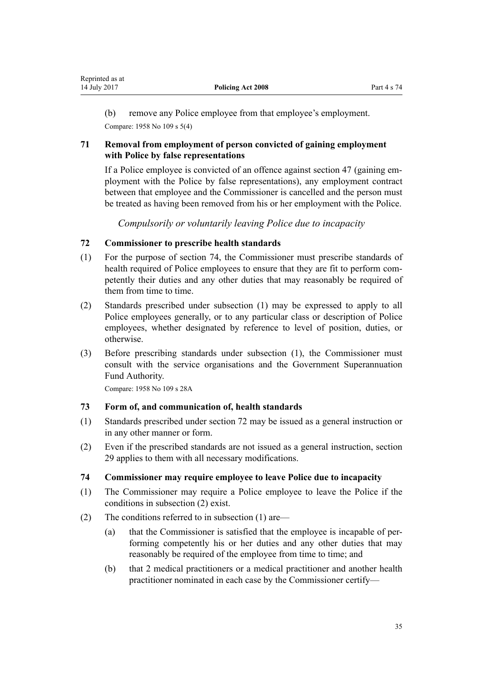<span id="page-34-0"></span>(b) remove any Police employee from that employee's employment.

Compare: 1958 No 109 [s 5\(4\)](http://prd-lgnz-nlb.prd.pco.net.nz/pdflink.aspx?id=DLM321706)

## **71 Removal from employment of person convicted of gaining employment with Police by false representations**

If a Police employee is convicted of an offence against [section 47](#page-26-0) (gaining employment with the Police by false representations), any employment contract between that employee and the Commissioner is cancelled and the person must be treated as having been removed from his or her employment with the Police.

*Compulsorily or voluntarily leaving Police due to incapacity*

## **72 Commissioner to prescribe health standards**

- (1) For the purpose of section 74, the Commissioner must prescribe standards of health required of Police employees to ensure that they are fit to perform competently their duties and any other duties that may reasonably be required of them from time to time.
- (2) Standards prescribed under subsection (1) may be expressed to apply to all Police employees generally, or to any particular class or description of Police employees, whether designated by reference to level of position, duties, or otherwise.
- (3) Before prescribing standards under subsection (1), the Commissioner must consult with the service organisations and the Government Superannuation Fund Authority.

Compare: 1958 No 109 [s 28A](http://prd-lgnz-nlb.prd.pco.net.nz/pdflink.aspx?id=DLM322007)

## **73 Form of, and communication of, health standards**

- (1) Standards prescribed under section 72 may be issued as a general instruction or in any other manner or form.
- (2) Even if the prescribed standards are not issued as a general instruction, [section](#page-17-0) [29](#page-17-0) applies to them with all necessary modifications.

## **74 Commissioner may require employee to leave Police due to incapacity**

- (1) The Commissioner may require a Police employee to leave the Police if the conditions in subsection (2) exist.
- (2) The conditions referred to in subsection (1) are—
	- (a) that the Commissioner is satisfied that the employee is incapable of performing competently his or her duties and any other duties that may reasonably be required of the employee from time to time; and
	- (b) that 2 medical practitioners or a medical practitioner and another health practitioner nominated in each case by the Commissioner certify—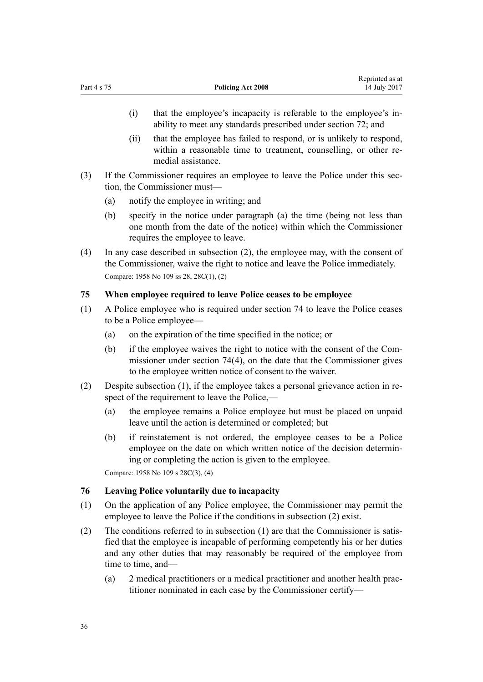- <span id="page-35-0"></span>(i) that the employee's incapacity is referable to the employee's inability to meet any standards prescribed under [section 72](#page-34-0); and
- (ii) that the employee has failed to respond, or is unlikely to respond, within a reasonable time to treatment, counselling, or other remedial assistance.
- (3) If the Commissioner requires an employee to leave the Police under this section, the Commissioner must—
	- (a) notify the employee in writing; and
	- (b) specify in the notice under paragraph (a) the time (being not less than one month from the date of the notice) within which the Commissioner requires the employee to leave.
- (4) In any case described in subsection (2), the employee may, with the consent of the Commissioner, waive the right to notice and leave the Police immediately. Compare: 1958 No 109 [ss 28](http://prd-lgnz-nlb.prd.pco.net.nz/pdflink.aspx?id=DLM321793), [28C\(1\), \(2\)](http://prd-lgnz-nlb.prd.pco.net.nz/pdflink.aspx?id=DLM322018)

## **75 When employee required to leave Police ceases to be employee**

- (1) A Police employee who is required under [section 74](#page-34-0) to leave the Police ceases to be a Police employee—
	- (a) on the expiration of the time specified in the notice; or
	- (b) if the employee waives the right to notice with the consent of the Commissioner under [section 74\(4\)](#page-34-0), on the date that the Commissioner gives to the employee written notice of consent to the waiver.
- (2) Despite subsection (1), if the employee takes a personal grievance action in respect of the requirement to leave the Police,—
	- (a) the employee remains a Police employee but must be placed on unpaid leave until the action is determined or completed; but
	- (b) if reinstatement is not ordered, the employee ceases to be a Police employee on the date on which written notice of the decision determining or completing the action is given to the employee.

Compare: 1958 No 109 [s 28C\(3\), \(4\)](http://prd-lgnz-nlb.prd.pco.net.nz/pdflink.aspx?id=DLM322018)

## **76 Leaving Police voluntarily due to incapacity**

- (1) On the application of any Police employee, the Commissioner may permit the employee to leave the Police if the conditions in subsection (2) exist.
- (2) The conditions referred to in subsection (1) are that the Commissioner is satisfied that the employee is incapable of performing competently his or her duties and any other duties that may reasonably be required of the employee from time to time, and—
	- (a) 2 medical practitioners or a medical practitioner and another health practitioner nominated in each case by the Commissioner certify—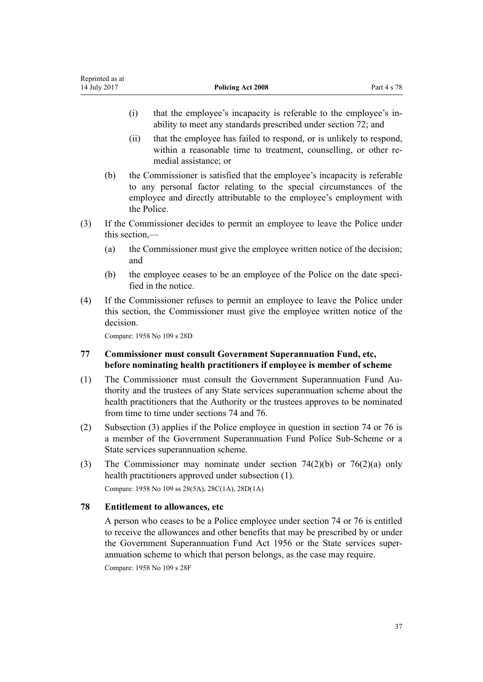- (i) that the employee's incapacity is referable to the employee's inability to meet any standards prescribed under [section 72](#page-34-0); and
- (ii) that the employee has failed to respond, or is unlikely to respond, within a reasonable time to treatment, counselling, or other remedial assistance; or
- (b) the Commissioner is satisfied that the employee's incapacity is referable to any personal factor relating to the special circumstances of the employee and directly attributable to the employee's employment with the Police.
- (3) If the Commissioner decides to permit an employee to leave the Police under this section,—
	- (a) the Commissioner must give the employee written notice of the decision; and
	- (b) the employee ceases to be an employee of the Police on the date specified in the notice.
- (4) If the Commissioner refuses to permit an employee to leave the Police under this section, the Commissioner must give the employee written notice of the decision.

Compare: 1958 No 109 [s 28D](http://prd-lgnz-nlb.prd.pco.net.nz/pdflink.aspx?id=DLM322025)

# **77 Commissioner must consult Government Superannuation Fund, etc, before nominating health practitioners if employee is member of scheme**

- (1) The Commissioner must consult the Government Superannuation Fund Authority and the trustees of any State services superannuation scheme about the health practitioners that the Authority or the trustees approves to be nominated from time to time under [sections 74](#page-34-0) and [76](#page-35-0).
- (2) Subsection (3) applies if the Police employee in question in [section 74](#page-34-0) or [76](#page-35-0) is a member of the Government Superannuation Fund Police Sub-Scheme or a State services superannuation scheme.
- (3) The Commissioner may nominate under [section 74\(2\)\(b\)](#page-34-0) or [76\(2\)\(a\)](#page-35-0) only health practitioners approved under subsection (1). Compare: 1958 No 109 [ss 28\(5A\)](http://prd-lgnz-nlb.prd.pco.net.nz/pdflink.aspx?id=DLM321793), [28C\(1A\),](http://prd-lgnz-nlb.prd.pco.net.nz/pdflink.aspx?id=DLM322018) [28D\(1A\)](http://prd-lgnz-nlb.prd.pco.net.nz/pdflink.aspx?id=DLM322025)

### **78 Entitlement to allowances, etc**

A person who ceases to be a Police employee under [section 74](#page-34-0) or [76](#page-35-0) is entitled to receive the allowances and other benefits that may be prescribed by or under the [Government Superannuation Fund Act 1956](http://prd-lgnz-nlb.prd.pco.net.nz/pdflink.aspx?id=DLM446000) or the State services superannuation scheme to which that person belongs, as the case may require.

Compare: 1958 No 109 [s 28F](http://prd-lgnz-nlb.prd.pco.net.nz/pdflink.aspx?id=DLM322034)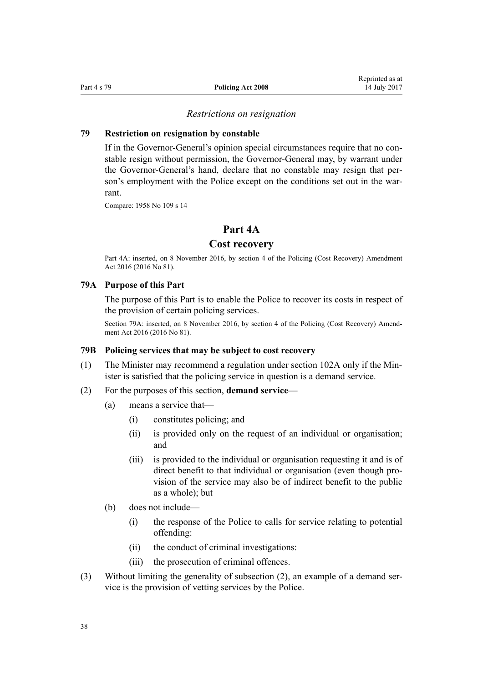#### *Restrictions on resignation*

#### <span id="page-37-0"></span>**79 Restriction on resignation by constable**

If in the Governor-General's opinion special circumstances require that no constable resign without permission, the Governor-General may, by warrant under the Governor-General's hand, declare that no constable may resign that person's employment with the Police except on the conditions set out in the warrant.

Compare: 1958 No 109 [s 14](http://prd-lgnz-nlb.prd.pco.net.nz/pdflink.aspx?id=DLM321749)

# **Part 4A**

# **Cost recovery**

Part 4A: inserted, on 8 November 2016, by [section 4](http://prd-lgnz-nlb.prd.pco.net.nz/pdflink.aspx?id=DLM6117716) of the Policing (Cost Recovery) Amendment Act 2016 (2016 No 81).

#### **79A Purpose of this Part**

The purpose of this Part is to enable the Police to recover its costs in respect of the provision of certain policing services.

Section 79A: inserted, on 8 November 2016, by [section 4](http://prd-lgnz-nlb.prd.pco.net.nz/pdflink.aspx?id=DLM6117716) of the Policing (Cost Recovery) Amendment Act 2016 (2016 No 81).

#### **79B Policing services that may be subject to cost recovery**

- (1) The Minister may recommend a regulation under [section 102A](#page-52-0) only if the Minister is satisfied that the policing service in question is a demand service.
- (2) For the purposes of this section, **demand service**
	- (a) means a service that—
		- (i) constitutes policing; and
		- (ii) is provided only on the request of an individual or organisation; and
		- (iii) is provided to the individual or organisation requesting it and is of direct benefit to that individual or organisation (even though provision of the service may also be of indirect benefit to the public as a whole); but
	- (b) does not include—
		- (i) the response of the Police to calls for service relating to potential offending:
		- (ii) the conduct of criminal investigations:
		- (iii) the prosecution of criminal offences.
- (3) Without limiting the generality of subsection (2), an example of a demand service is the provision of vetting services by the Police.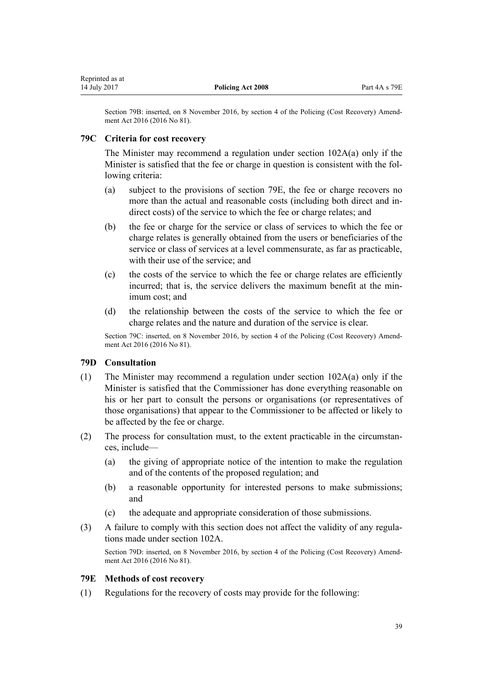<span id="page-38-0"></span>Section 79B: inserted, on 8 November 2016, by [section 4](http://prd-lgnz-nlb.prd.pco.net.nz/pdflink.aspx?id=DLM6117716) of the Policing (Cost Recovery) Amendment Act 2016 (2016 No 81).

# **79C Criteria for cost recovery**

The Minister may recommend a regulation under [section 102A\(a\)](#page-52-0) only if the Minister is satisfied that the fee or charge in question is consistent with the following criteria:

- (a) subject to the provisions of section 79E, the fee or charge recovers no more than the actual and reasonable costs (including both direct and indirect costs) of the service to which the fee or charge relates; and
- (b) the fee or charge for the service or class of services to which the fee or charge relates is generally obtained from the users or beneficiaries of the service or class of services at a level commensurate, as far as practicable, with their use of the service; and
- (c) the costs of the service to which the fee or charge relates are efficiently incurred; that is, the service delivers the maximum benefit at the minimum cost; and
- (d) the relationship between the costs of the service to which the fee or charge relates and the nature and duration of the service is clear.

Section 79C: inserted, on 8 November 2016, by [section 4](http://prd-lgnz-nlb.prd.pco.net.nz/pdflink.aspx?id=DLM6117716) of the Policing (Cost Recovery) Amendment Act 2016 (2016 No 81).

# **79D Consultation**

- (1) The Minister may recommend a regulation under section  $102A(a)$  only if the Minister is satisfied that the Commissioner has done everything reasonable on his or her part to consult the persons or organisations (or representatives of those organisations) that appear to the Commissioner to be affected or likely to be affected by the fee or charge.
- (2) The process for consultation must, to the extent practicable in the circumstances, include—
	- (a) the giving of appropriate notice of the intention to make the regulation and of the contents of the proposed regulation; and
	- (b) a reasonable opportunity for interested persons to make submissions; and
	- (c) the adequate and appropriate consideration of those submissions.
- (3) A failure to comply with this section does not affect the validity of any regulations made under [section 102A](#page-52-0).

Section 79D: inserted, on 8 November 2016, by [section 4](http://prd-lgnz-nlb.prd.pco.net.nz/pdflink.aspx?id=DLM6117716) of the Policing (Cost Recovery) Amendment Act 2016 (2016 No 81).

# **79E Methods of cost recovery**

(1) Regulations for the recovery of costs may provide for the following: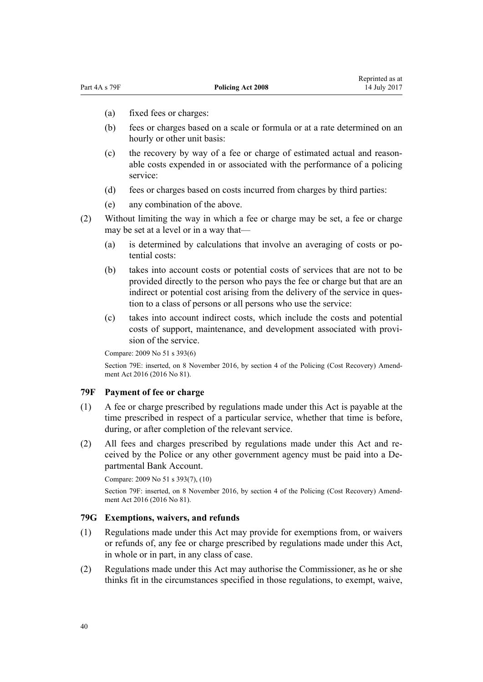- (a) fixed fees or charges:
- (b) fees or charges based on a scale or formula or at a rate determined on an hourly or other unit basis:
- (c) the recovery by way of a fee or charge of estimated actual and reasonable costs expended in or associated with the performance of a policing service:
- (d) fees or charges based on costs incurred from charges by third parties:
- (e) any combination of the above.
- (2) Without limiting the way in which a fee or charge may be set, a fee or charge may be set at a level or in a way that—
	- (a) is determined by calculations that involve an averaging of costs or potential costs:
	- (b) takes into account costs or potential costs of services that are not to be provided directly to the person who pays the fee or charge but that are an indirect or potential cost arising from the delivery of the service in question to a class of persons or all persons who use the service:
	- (c) takes into account indirect costs, which include the costs and potential costs of support, maintenance, and development associated with provision of the service.

Compare: 2009 No 51 [s 393\(6\)](http://prd-lgnz-nlb.prd.pco.net.nz/pdflink.aspx?id=DLM1441224)

Section 79E: inserted, on 8 November 2016, by [section 4](http://prd-lgnz-nlb.prd.pco.net.nz/pdflink.aspx?id=DLM6117716) of the Policing (Cost Recovery) Amendment Act 2016 (2016 No 81).

#### **79F Payment of fee or charge**

- (1) A fee or charge prescribed by regulations made under this Act is payable at the time prescribed in respect of a particular service, whether that time is before, during, or after completion of the relevant service.
- (2) All fees and charges prescribed by regulations made under this Act and received by the Police or any other government agency must be paid into a Departmental Bank Account.

Compare: 2009 No 51 [s 393\(7\), \(10\)](http://prd-lgnz-nlb.prd.pco.net.nz/pdflink.aspx?id=DLM1441224)

Section 79F: inserted, on 8 November 2016, by [section 4](http://prd-lgnz-nlb.prd.pco.net.nz/pdflink.aspx?id=DLM6117716) of the Policing (Cost Recovery) Amendment Act 2016 (2016 No 81).

### **79G Exemptions, waivers, and refunds**

- (1) Regulations made under this Act may provide for exemptions from, or waivers or refunds of, any fee or charge prescribed by regulations made under this Act, in whole or in part, in any class of case.
- (2) Regulations made under this Act may authorise the Commissioner, as he or she thinks fit in the circumstances specified in those regulations, to exempt, waive,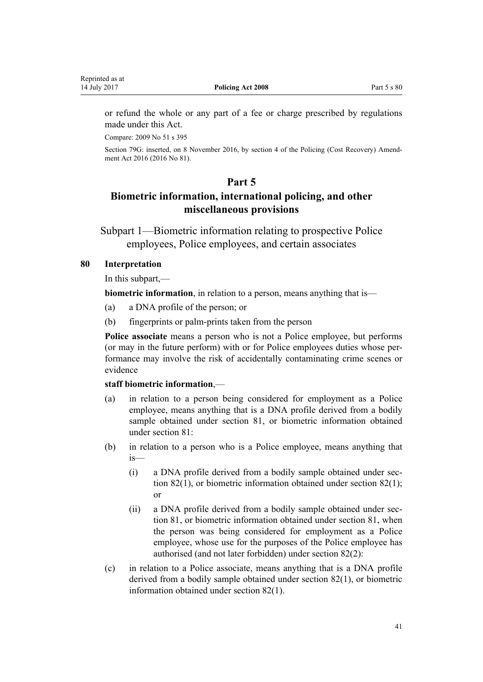or refund the whole or any part of a fee or charge prescribed by regulations made under this Act.

Compare: 2009 No 51 [s 395](http://prd-lgnz-nlb.prd.pco.net.nz/pdflink.aspx?id=DLM1441226)

Section 79G: inserted, on 8 November 2016, by [section 4](http://prd-lgnz-nlb.prd.pco.net.nz/pdflink.aspx?id=DLM6117716) of the Policing (Cost Recovery) Amendment Act 2016 (2016 No 81).

# **Part 5**

# **Biometric information, international policing, and other miscellaneous provisions**

Subpart 1—Biometric information relating to prospective Police employees, Police employees, and certain associates

# **80 Interpretation**

In this subpart,—

**biometric information**, in relation to a person, means anything that is—

- (a) a DNA profile of the person; or
- (b) fingerprints or palm-prints taken from the person

**Police associate** means a person who is not a Police employee, but performs (or may in the future perform) with or for Police employees duties whose performance may involve the risk of accidentally contaminating crime scenes or evidence

#### **staff biometric information**,—

- (a) in relation to a person being considered for employment as a Police employee, means anything that is a DNA profile derived from a bodily sample obtained under [section 81,](#page-41-0) or biometric information obtained under section 81:
- (b) in relation to a person who is a Police employee, means anything that is—
	- (i) a DNA profile derived from a bodily sample obtained under [sec](#page-41-0)[tion 82\(1\)](#page-41-0), or biometric information obtained under section 82(1); or
	- (ii) a DNA profile derived from a bodily sample obtained under [sec](#page-41-0)[tion 81,](#page-41-0) or biometric information obtained under section 81, when the person was being considered for employment as a Police employee, whose use for the purposes of the Police employee has authorised (and not later forbidden) under [section 82\(2\):](#page-41-0)
- (c) in relation to a Police associate, means anything that is a DNA profile derived from a bodily sample obtained under [section 82\(1\),](#page-41-0) or biometric information obtained under section 82(1).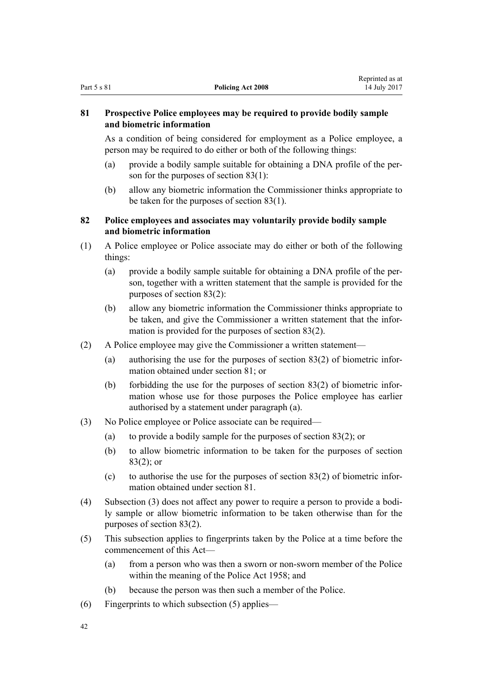# <span id="page-41-0"></span>**81 Prospective Police employees may be required to provide bodily sample and biometric information**

As a condition of being considered for employment as a Police employee, a person may be required to do either or both of the following things:

- (a) provide a bodily sample suitable for obtaining a DNA profile of the person for the purposes of [section 83\(1\):](#page-42-0)
- (b) allow any biometric information the Commissioner thinks appropriate to be taken for the purposes of [section 83\(1\).](#page-42-0)

# **82 Police employees and associates may voluntarily provide bodily sample and biometric information**

- (1) A Police employee or Police associate may do either or both of the following things:
	- (a) provide a bodily sample suitable for obtaining a DNA profile of the person, together with a written statement that the sample is provided for the purposes of [section 83\(2\):](#page-42-0)
	- (b) allow any biometric information the Commissioner thinks appropriate to be taken, and give the Commissioner a written statement that the information is provided for the purposes of [section 83\(2\)](#page-42-0).
- (2) A Police employee may give the Commissioner a written statement—
	- (a) authorising the use for the purposes of [section 83\(2\)](#page-42-0) of biometric information obtained under section 81; or
	- (b) forbidding the use for the purposes of [section 83\(2\)](#page-42-0) of biometric information whose use for those purposes the Police employee has earlier authorised by a statement under paragraph (a).
- (3) No Police employee or Police associate can be required—
	- (a) to provide a bodily sample for the purposes of [section 83\(2\);](#page-42-0) or
	- (b) to allow biometric information to be taken for the purposes of [section](#page-42-0) [83\(2\)](#page-42-0); or
	- (c) to authorise the use for the purposes of section  $83(2)$  of biometric information obtained under section 81.
- (4) Subsection (3) does not affect any power to require a person to provide a bodily sample or allow biometric information to be taken otherwise than for the purposes of [section 83\(2\).](#page-42-0)
- (5) This subsection applies to fingerprints taken by the Police at a time before the commencement of this Act—
	- (a) from a person who was then a sworn or non-sworn member of the Police within the meaning of the [Police Act 1958](http://prd-lgnz-nlb.prd.pco.net.nz/pdflink.aspx?id=DLM321405); and
	- (b) because the person was then such a member of the Police.
- (6) Fingerprints to which subsection (5) applies—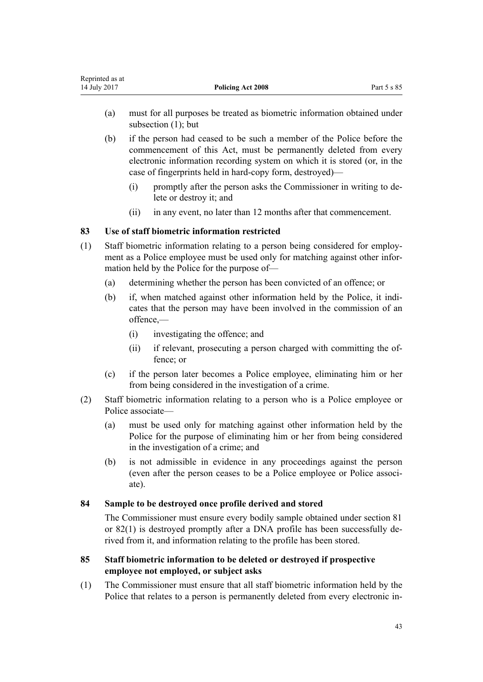<span id="page-42-0"></span>

| Reprinted as at |                          |             |
|-----------------|--------------------------|-------------|
| 14 July 2017    | <b>Policing Act 2008</b> | Part 5 s 85 |

- (a) must for all purposes be treated as biometric information obtained under subsection (1); but
- (b) if the person had ceased to be such a member of the Police before the commencement of this Act, must be permanently deleted from every electronic information recording system on which it is stored (or, in the case of fingerprints held in hard-copy form, destroyed)—
	- (i) promptly after the person asks the Commissioner in writing to delete or destroy it; and
	- (ii) in any event, no later than 12 months after that commencement.

# **83 Use of staff biometric information restricted**

- (1) Staff biometric information relating to a person being considered for employment as a Police employee must be used only for matching against other information held by the Police for the purpose of—
	- (a) determining whether the person has been convicted of an offence; or
	- (b) if, when matched against other information held by the Police, it indicates that the person may have been involved in the commission of an offence,—
		- (i) investigating the offence; and
		- (ii) if relevant, prosecuting a person charged with committing the offence; or
	- (c) if the person later becomes a Police employee, eliminating him or her from being considered in the investigation of a crime.
- (2) Staff biometric information relating to a person who is a Police employee or Police associate—
	- (a) must be used only for matching against other information held by the Police for the purpose of eliminating him or her from being considered in the investigation of a crime; and
	- (b) is not admissible in evidence in any proceedings against the person (even after the person ceases to be a Police employee or Police associate).

# **84 Sample to be destroyed once profile derived and stored**

The Commissioner must ensure every bodily sample obtained under [section 81](#page-41-0) or [82\(1\)](#page-41-0) is destroyed promptly after a DNA profile has been successfully derived from it, and information relating to the profile has been stored.

# **85 Staff biometric information to be deleted or destroyed if prospective employee not employed, or subject asks**

(1) The Commissioner must ensure that all staff biometric information held by the Police that relates to a person is permanently deleted from every electronic in-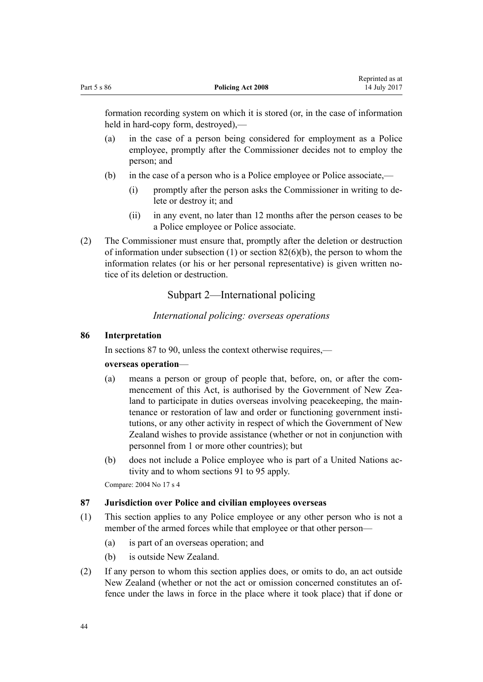<span id="page-43-0"></span>

|             |                          | Reprinted as at |
|-------------|--------------------------|-----------------|
| Part 5 s 86 | <b>Policing Act 2008</b> | 14 July 2017    |

formation recording system on which it is stored (or, in the case of information held in hard-copy form, destroyed),—

- (a) in the case of a person being considered for employment as a Police employee, promptly after the Commissioner decides not to employ the person; and
- (b) in the case of a person who is a Police employee or Police associate,—
	- (i) promptly after the person asks the Commissioner in writing to delete or destroy it; and
	- (ii) in any event, no later than 12 months after the person ceases to be a Police employee or Police associate.
- (2) The Commissioner must ensure that, promptly after the deletion or destruction of information under subsection  $(1)$  or section  $82(6)(b)$ , the person to whom the information relates (or his or her personal representative) is given written notice of its deletion or destruction.

# Subpart 2—International policing

# *International policing: overseas operations*

## **86 Interpretation**

In sections 87 to 90, unless the context otherwise requires,—

#### **overseas operation**—

- (a) means a person or group of people that, before, on, or after the commencement of this Act, is authorised by the Government of New Zealand to participate in duties overseas involving peacekeeping, the maintenance or restoration of law and order or functioning government institutions, or any other activity in respect of which the Government of New Zealand wishes to provide assistance (whether or not in conjunction with personnel from 1 or more other countries); but
- (b) does not include a Police employee who is part of a United Nations activity and to whom [sections 91 to 95](#page-45-0) apply.

Compare: 2004 No 17 [s 4](http://prd-lgnz-nlb.prd.pco.net.nz/pdflink.aspx?id=DLM240495)

#### **87 Jurisdiction over Police and civilian employees overseas**

- (1) This section applies to any Police employee or any other person who is not a member of the armed forces while that employee or that other person—
	- (a) is part of an overseas operation; and
	- (b) is outside New Zealand.
- (2) If any person to whom this section applies does, or omits to do, an act outside New Zealand (whether or not the act or omission concerned constitutes an offence under the laws in force in the place where it took place) that if done or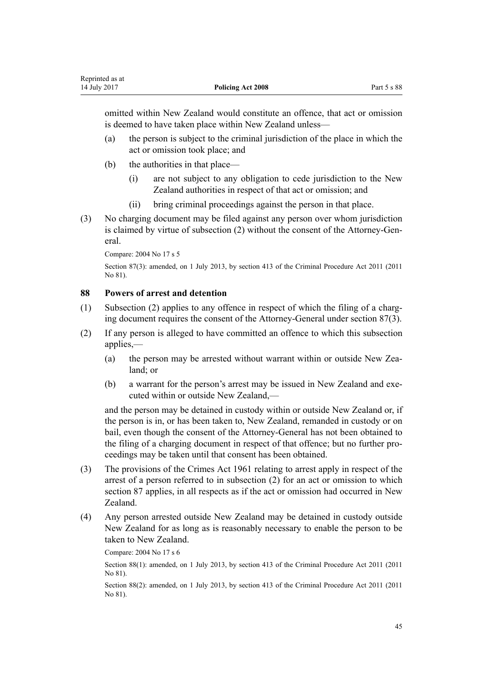omitted within New Zealand would constitute an offence, that act or omission is deemed to have taken place within New Zealand unless—

- (a) the person is subject to the criminal jurisdiction of the place in which the act or omission took place; and
- (b) the authorities in that place—
	- (i) are not subject to any obligation to cede jurisdiction to the New Zealand authorities in respect of that act or omission; and
	- (ii) bring criminal proceedings against the person in that place.
- (3) No charging document may be filed against any person over whom jurisdiction is claimed by virtue of subsection (2) without the consent of the Attorney-General.

Compare: 2004 No 17 [s 5](http://prd-lgnz-nlb.prd.pco.net.nz/pdflink.aspx?id=DLM242319)

Section 87(3): amended, on 1 July 2013, by [section 413](http://prd-lgnz-nlb.prd.pco.net.nz/pdflink.aspx?id=DLM3360714) of the Criminal Procedure Act 2011 (2011 No 81).

### **88 Powers of arrest and detention**

- (1) Subsection (2) applies to any offence in respect of which the filing of a charging document requires the consent of the Attorney-General under [section 87\(3\).](#page-43-0)
- (2) If any person is alleged to have committed an offence to which this subsection applies,—
	- (a) the person may be arrested without warrant within or outside New Zealand; or
	- (b) a warrant for the person's arrest may be issued in New Zealand and executed within or outside New Zealand —

and the person may be detained in custody within or outside New Zealand or, if the person is in, or has been taken to, New Zealand, remanded in custody or on bail, even though the consent of the Attorney-General has not been obtained to the filing of a charging document in respect of that offence; but no further proceedings may be taken until that consent has been obtained.

- (3) The provisions of the [Crimes Act 1961](http://prd-lgnz-nlb.prd.pco.net.nz/pdflink.aspx?id=DLM327381) relating to arrest apply in respect of the arrest of a person referred to in subsection (2) for an act or omission to which [section 87](#page-43-0) applies, in all respects as if the act or omission had occurred in New Zealand.
- (4) Any person arrested outside New Zealand may be detained in custody outside New Zealand for as long as is reasonably necessary to enable the person to be taken to New Zealand.

Compare: 2004 No 17 [s 6](http://prd-lgnz-nlb.prd.pco.net.nz/pdflink.aspx?id=DLM242320)

Section 88(1): amended, on 1 July 2013, by [section 413](http://prd-lgnz-nlb.prd.pco.net.nz/pdflink.aspx?id=DLM3360714) of the Criminal Procedure Act 2011 (2011 No 81).

Section 88(2): amended, on 1 July 2013, by [section 413](http://prd-lgnz-nlb.prd.pco.net.nz/pdflink.aspx?id=DLM3360714) of the Criminal Procedure Act 2011 (2011 No 81).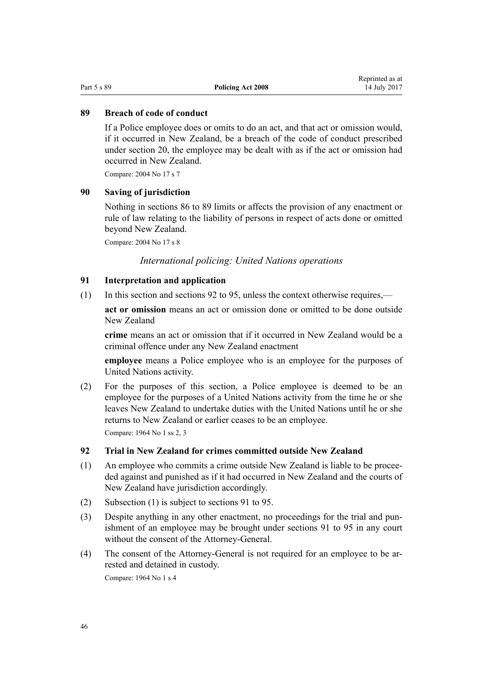#### <span id="page-45-0"></span>**89 Breach of code of conduct**

If a Police employee does or omits to do an act, and that act or omission would, if it occurred in New Zealand, be a breach of the code of conduct prescribed under [section 20](#page-13-0), the employee may be dealt with as if the act or omission had occurred in New Zealand.

Compare: 2004 No 17 [s 7](http://prd-lgnz-nlb.prd.pco.net.nz/pdflink.aspx?id=DLM242321)

## **90 Saving of jurisdiction**

Nothing in [sections 86 to 89](#page-43-0) limits or affects the provision of any enactment or rule of law relating to the liability of persons in respect of acts done or omitted beyond New Zealand.

Compare: 2004 No 17 [s 8](http://prd-lgnz-nlb.prd.pco.net.nz/pdflink.aspx?id=DLM242322)

*International policing: United Nations operations*

# **91 Interpretation and application**

(1) In this section and sections 92 to 95, unless the context otherwise requires,—

**act or omission** means an act or omission done or omitted to be done outside New Zealand

**crime** means an act or omission that if it occurred in New Zealand would be a criminal offence under any New Zealand enactment

**employee** means a Police employee who is an employee for the purposes of United Nations activity.

(2) For the purposes of this section, a Police employee is deemed to be an employee for the purposes of a United Nations activity from the time he or she leaves New Zealand to undertake duties with the United Nations until he or she returns to New Zealand or earlier ceases to be an employee.

Compare: 1964 No 1 [ss 2,](http://prd-lgnz-nlb.prd.pco.net.nz/pdflink.aspx?id=DLM350931) [3](http://prd-lgnz-nlb.prd.pco.net.nz/pdflink.aspx?id=DLM350933)

# **92 Trial in New Zealand for crimes committed outside New Zealand**

- (1) An employee who commits a crime outside New Zealand is liable to be proceeded against and punished as if it had occurred in New Zealand and the courts of New Zealand have jurisdiction accordingly.
- (2) Subsection (1) is subject to sections 91 to 95.
- (3) Despite anything in any other enactment, no proceedings for the trial and punishment of an employee may be brought under sections 91 to 95 in any court without the consent of the Attorney-General.
- (4) The consent of the Attorney-General is not required for an employee to be arrested and detained in custody.

Compare: 1964 No 1 [s 4](http://prd-lgnz-nlb.prd.pco.net.nz/pdflink.aspx?id=DLM350934)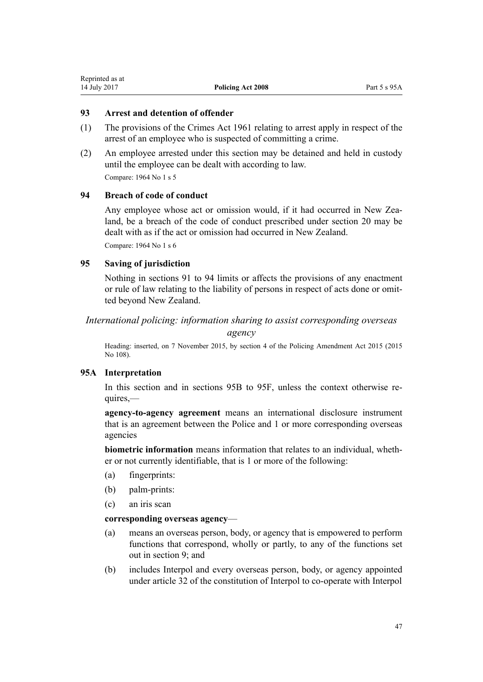# **93 Arrest and detention of offender**

- (1) The provisions of the [Crimes Act 1961](http://prd-lgnz-nlb.prd.pco.net.nz/pdflink.aspx?id=DLM327381) relating to arrest apply in respect of the arrest of an employee who is suspected of committing a crime.
- (2) An employee arrested under this section may be detained and held in custody until the employee can be dealt with according to law. Compare: 1964 No 1 [s 5](http://prd-lgnz-nlb.prd.pco.net.nz/pdflink.aspx?id=DLM350935)

# **94 Breach of code of conduct**

Any employee whose act or omission would, if it had occurred in New Zealand, be a breach of the code of conduct prescribed under [section 20](#page-13-0) may be dealt with as if the act or omission had occurred in New Zealand. Compare: 1964 No 1 [s 6](http://prd-lgnz-nlb.prd.pco.net.nz/pdflink.aspx?id=DLM350936)

# **95 Saving of jurisdiction**

Nothing in [sections 91 to 94](#page-45-0) limits or affects the provisions of any enactment or rule of law relating to the liability of persons in respect of acts done or omitted beyond New Zealand.

# *International policing: information sharing to assist corresponding overseas*

*agency*

Heading: inserted, on 7 November 2015, by [section 4](http://prd-lgnz-nlb.prd.pco.net.nz/pdflink.aspx?id=DLM6604008) of the Policing Amendment Act 2015 (2015 No 108).

# **95A Interpretation**

In this section and in [sections 95B to 95F](#page-47-0), unless the context otherwise requires,—

**agency-to-agency agreement** means an international disclosure instrument that is an agreement between the Police and 1 or more corresponding overseas agencies

**biometric information** means information that relates to an individual, whether or not currently identifiable, that is 1 or more of the following:

- (a) fingerprints:
- (b) palm-prints:
- (c) an iris scan

# **corresponding overseas agency**—

- (a) means an overseas person, body, or agency that is empowered to perform functions that correspond, wholly or partly, to any of the functions set out in section  $9$  and
- (b) includes Interpol and every overseas person, body, or agency appointed under article 32 of the constitution of Interpol to co-operate with Interpol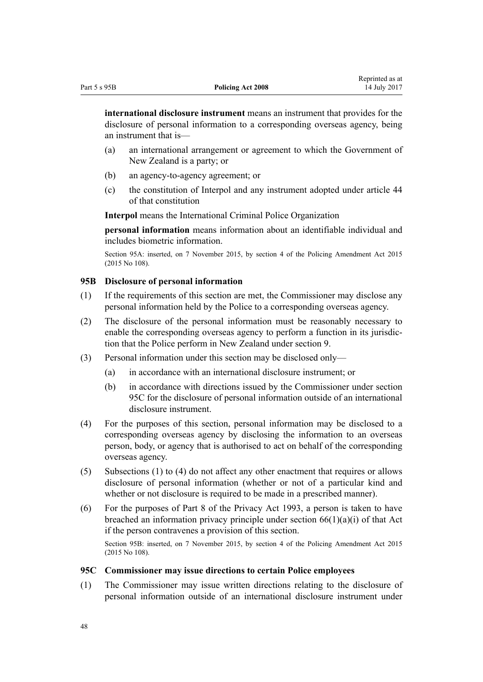<span id="page-47-0"></span>**international disclosure instrument** means an instrument that provides for the disclosure of personal information to a corresponding overseas agency, being an instrument that is—

- (a) an international arrangement or agreement to which the Government of New Zealand is a party; or
- (b) an agency-to-agency agreement; or
- (c) the constitution of Interpol and any instrument adopted under article 44 of that constitution

**Interpol** means the International Criminal Police Organization

**personal information** means information about an identifiable individual and includes biometric information.

Section 95A: inserted, on 7 November 2015, by [section 4](http://prd-lgnz-nlb.prd.pco.net.nz/pdflink.aspx?id=DLM6604008) of the Policing Amendment Act 2015 (2015 No 108).

# **95B Disclosure of personal information**

- (1) If the requirements of this section are met, the Commissioner may disclose any personal information held by the Police to a corresponding overseas agency.
- (2) The disclosure of the personal information must be reasonably necessary to enable the corresponding overseas agency to perform a function in its jurisdiction that the Police perform in New Zealand under [section 9](#page-10-0).
- (3) Personal information under this section may be disclosed only—
	- (a) in accordance with an international disclosure instrument; or
	- (b) in accordance with directions issued by the Commissioner under section 95C for the disclosure of personal information outside of an international disclosure instrument.
- (4) For the purposes of this section, personal information may be disclosed to a corresponding overseas agency by disclosing the information to an overseas person, body, or agency that is authorised to act on behalf of the corresponding overseas agency.
- (5) Subsections (1) to (4) do not affect any other enactment that requires or allows disclosure of personal information (whether or not of a particular kind and whether or not disclosure is required to be made in a prescribed manner).
- (6) For the purposes of [Part 8](http://prd-lgnz-nlb.prd.pco.net.nz/pdflink.aspx?id=DLM297439) of the Privacy Act 1993, a person is taken to have breached an information privacy principle under [section 66\(1\)\(a\)\(i\)](http://prd-lgnz-nlb.prd.pco.net.nz/pdflink.aspx?id=DLM297441) of that Act if the person contravenes a provision of this section.

Section 95B: inserted, on 7 November 2015, by [section 4](http://prd-lgnz-nlb.prd.pco.net.nz/pdflink.aspx?id=DLM6604008) of the Policing Amendment Act 2015 (2015 No 108).

### **95C Commissioner may issue directions to certain Police employees**

(1) The Commissioner may issue written directions relating to the disclosure of personal information outside of an international disclosure instrument under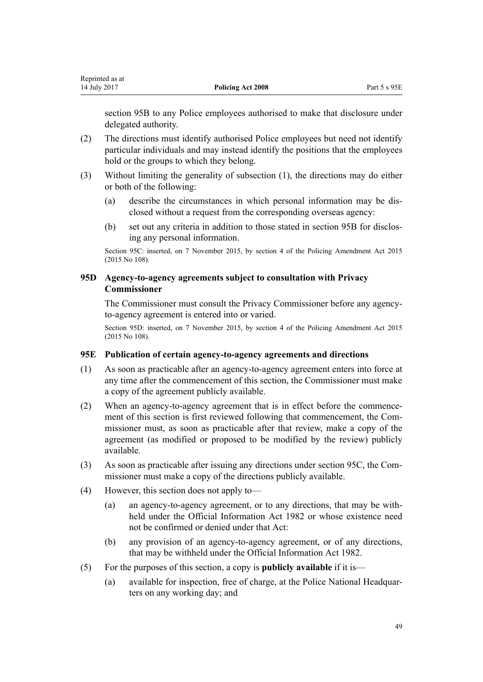[section 95B](#page-47-0) to any Police employees authorised to make that disclosure under delegated authority.

- (2) The directions must identify authorised Police employees but need not identify particular individuals and may instead identify the positions that the employees hold or the groups to which they belong.
- (3) Without limiting the generality of subsection (1), the directions may do either or both of the following:
	- (a) describe the circumstances in which personal information may be disclosed without a request from the corresponding overseas agency:
	- (b) set out any criteria in addition to those stated in [section 95B](#page-47-0) for disclosing any personal information.

Section 95C: inserted, on 7 November 2015, by [section 4](http://prd-lgnz-nlb.prd.pco.net.nz/pdflink.aspx?id=DLM6604008) of the Policing Amendment Act 2015 (2015 No 108).

# **95D Agency-to-agency agreements subject to consultation with Privacy Commissioner**

The Commissioner must consult the Privacy Commissioner before any agencyto-agency agreement is entered into or varied.

Section 95D: inserted, on 7 November 2015, by [section 4](http://prd-lgnz-nlb.prd.pco.net.nz/pdflink.aspx?id=DLM6604008) of the Policing Amendment Act 2015 (2015 No 108).

# **95E Publication of certain agency-to-agency agreements and directions**

- (1) As soon as practicable after an agency-to-agency agreement enters into force at any time after the commencement of this section, the Commissioner must make a copy of the agreement publicly available.
- (2) When an agency-to-agency agreement that is in effect before the commencement of this section is first reviewed following that commencement, the Commissioner must, as soon as practicable after that review, make a copy of the agreement (as modified or proposed to be modified by the review) publicly available.
- (3) As soon as practicable after issuing any directions under [section 95C](#page-47-0), the Commissioner must make a copy of the directions publicly available.
- (4) However, this section does not apply to—
	- (a) an agency-to-agency agreement, or to any directions, that may be withheld under the [Official Information Act 1982](http://prd-lgnz-nlb.prd.pco.net.nz/pdflink.aspx?id=DLM64784) or whose existence need not be confirmed or denied under that Act:
	- (b) any provision of an agency-to-agency agreement, or of any directions, that may be withheld under the [Official Information Act 1982.](http://prd-lgnz-nlb.prd.pco.net.nz/pdflink.aspx?id=DLM64784)
- (5) For the purposes of this section, a copy is **publicly available** if it is—
	- (a) available for inspection, free of charge, at the Police National Headquarters on any working day; and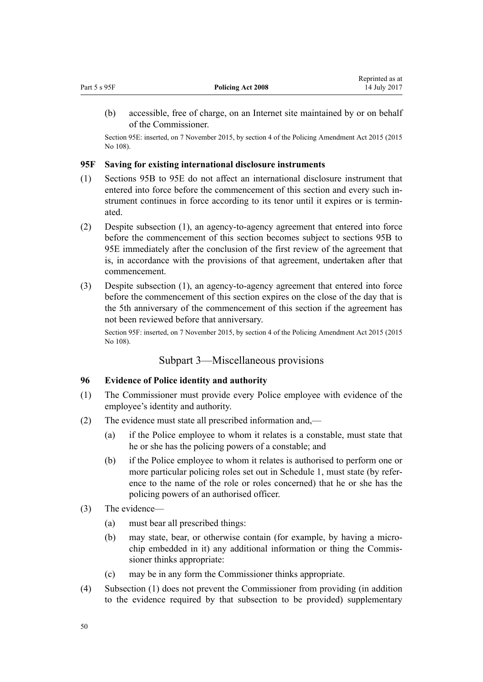<span id="page-49-0"></span>

| Part 5 s 95F | <b>Policing Act 2008</b> | neprinted as at<br>14 July 2017 |
|--------------|--------------------------|---------------------------------|
|              |                          |                                 |

(b) accessible, free of charge, on an Internet site maintained by or on behalf of the Commissioner.

Reprinted as at

Section 95E: inserted, on 7 November 2015, by [section 4](http://prd-lgnz-nlb.prd.pco.net.nz/pdflink.aspx?id=DLM6604008) of the Policing Amendment Act 2015 (2015 No 108).

# **95F Saving for existing international disclosure instruments**

- (1) [Sections 95B to 95E](#page-47-0) do not affect an international disclosure instrument that entered into force before the commencement of this section and every such instrument continues in force according to its tenor until it expires or is terminated.
- (2) Despite subsection (1), an agency-to-agency agreement that entered into force before the commencement of this section becomes subject to [sections 95B to](#page-47-0) [95E](#page-47-0) immediately after the conclusion of the first review of the agreement that is, in accordance with the provisions of that agreement, undertaken after that commencement.
- (3) Despite subsection (1), an agency-to-agency agreement that entered into force before the commencement of this section expires on the close of the day that is the 5th anniversary of the commencement of this section if the agreement has not been reviewed before that anniversary.

Section 95F: inserted, on 7 November 2015, by [section 4](http://prd-lgnz-nlb.prd.pco.net.nz/pdflink.aspx?id=DLM6604008) of the Policing Amendment Act 2015 (2015 No 108).

# Subpart 3—Miscellaneous provisions

# **96 Evidence of Police identity and authority**

- (1) The Commissioner must provide every Police employee with evidence of the employee's identity and authority.
- (2) The evidence must state all prescribed information and,—
	- (a) if the Police employee to whom it relates is a constable, must state that he or she has the policing powers of a constable; and
	- (b) if the Police employee to whom it relates is authorised to perform one or more particular policing roles set out in [Schedule 1,](#page-61-0) must state (by reference to the name of the role or roles concerned) that he or she has the policing powers of an authorised officer.
- (3) The evidence—
	- (a) must bear all prescribed things:
	- (b) may state, bear, or otherwise contain (for example, by having a microchip embedded in it) any additional information or thing the Commissioner thinks appropriate:
	- (c) may be in any form the Commissioner thinks appropriate.
- (4) Subsection (1) does not prevent the Commissioner from providing (in addition to the evidence required by that subsection to be provided) supplementary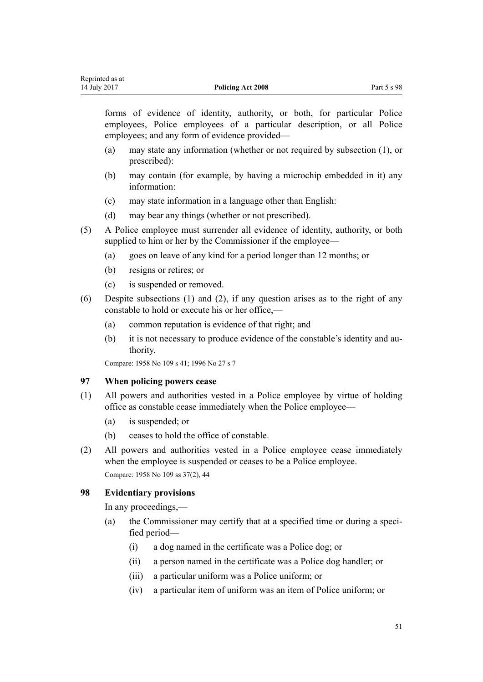forms of evidence of identity, authority, or both, for particular Police employees, Police employees of a particular description, or all Police employees; and any form of evidence provided—

- (a) may state any information (whether or not required by subsection (1), or prescribed):
- (b) may contain (for example, by having a microchip embedded in it) any information:
- (c) may state information in a language other than English:
- (d) may bear any things (whether or not prescribed).
- (5) A Police employee must surrender all evidence of identity, authority, or both supplied to him or her by the Commissioner if the employee—
	- (a) goes on leave of any kind for a period longer than 12 months; or
	- (b) resigns or retires; or
	- (c) is suspended or removed.
- (6) Despite subsections (1) and (2), if any question arises as to the right of any constable to hold or execute his or her office,—
	- (a) common reputation is evidence of that right; and
	- (b) it is not necessary to produce evidence of the constable's identity and authority.

Compare: 1958 No 109 [s 41;](http://prd-lgnz-nlb.prd.pco.net.nz/pdflink.aspx?id=DLM322205) 1996 No 27 [s 7](http://prd-lgnz-nlb.prd.pco.net.nz/pdflink.aspx?id=DLM378152)

# **97 When policing powers cease**

- (1) All powers and authorities vested in a Police employee by virtue of holding office as constable cease immediately when the Police employee—
	- (a) is suspended; or
	- (b) ceases to hold the office of constable.
- (2) All powers and authorities vested in a Police employee cease immediately when the employee is suspended or ceases to be a Police employee. Compare: 1958 No 109 [ss 37\(2\),](http://prd-lgnz-nlb.prd.pco.net.nz/pdflink.aspx?id=DLM322090) [44](http://prd-lgnz-nlb.prd.pco.net.nz/pdflink.aspx?id=DLM322211)

### **98 Evidentiary provisions**

In any proceedings,—

- (a) the Commissioner may certify that at a specified time or during a specified period—
	- (i) a dog named in the certificate was a Police dog; or
	- (ii) a person named in the certificate was a Police dog handler; or
	- (iii) a particular uniform was a Police uniform; or
	- (iv) a particular item of uniform was an item of Police uniform; or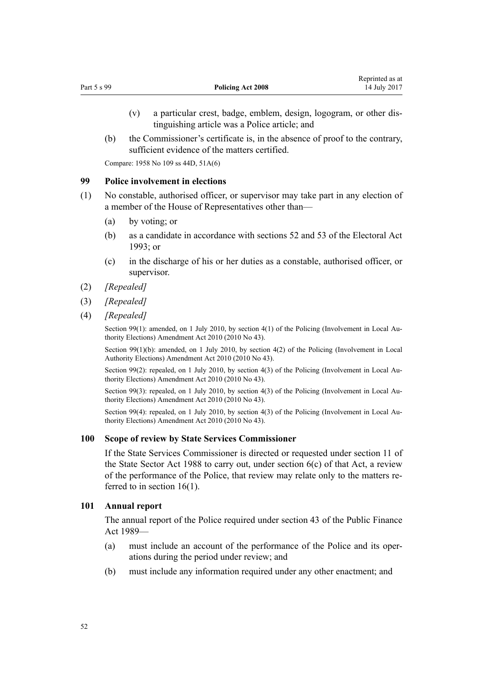- (v) a particular crest, badge, emblem, design, logogram, or other distinguishing article was a Police article; and
- (b) the Commissioner's certificate is, in the absence of proof to the contrary, sufficient evidence of the matters certified.

Compare: 1958 No 109 [ss 44D,](http://prd-lgnz-nlb.prd.pco.net.nz/pdflink.aspx?id=DLM322229) [51A\(6\)](http://prd-lgnz-nlb.prd.pco.net.nz/pdflink.aspx?id=DLM322240)

#### **99 Police involvement in elections**

- (1) No constable, authorised officer, or supervisor may take part in any election of a member of the House of Representatives other than—
	- (a) by voting; or
	- (b) as a candidate in accordance with sections [52](http://prd-lgnz-nlb.prd.pco.net.nz/pdflink.aspx?id=DLM308524) and [53](http://prd-lgnz-nlb.prd.pco.net.nz/pdflink.aspx?id=DLM308526) of the Electoral Act 1993; or
	- (c) in the discharge of his or her duties as a constable, authorised officer, or supervisor.
- (2) *[Repealed]*
- (3) *[Repealed]*
- (4) *[Repealed]*

Section 99(1): amended, on 1 July 2010, by [section 4\(1\)](http://prd-lgnz-nlb.prd.pco.net.nz/pdflink.aspx?id=DLM3013310) of the Policing (Involvement in Local Authority Elections) Amendment Act 2010 (2010 No 43).

Section 99(1)(b): amended, on 1 July 2010, by [section 4\(2\)](http://prd-lgnz-nlb.prd.pco.net.nz/pdflink.aspx?id=DLM3013310) of the Policing (Involvement in Local Authority Elections) Amendment Act 2010 (2010 No 43).

Section 99(2): repealed, on 1 July 2010, by [section 4\(3\)](http://prd-lgnz-nlb.prd.pco.net.nz/pdflink.aspx?id=DLM3013310) of the Policing (Involvement in Local Authority Elections) Amendment Act 2010 (2010 No 43).

Section 99(3): repealed, on 1 July 2010, by [section 4\(3\)](http://prd-lgnz-nlb.prd.pco.net.nz/pdflink.aspx?id=DLM3013310) of the Policing (Involvement in Local Authority Elections) Amendment Act 2010 (2010 No 43).

Section 99(4): repealed, on 1 July 2010, by [section 4\(3\)](http://prd-lgnz-nlb.prd.pco.net.nz/pdflink.aspx?id=DLM3013310) of the Policing (Involvement in Local Authority Elections) Amendment Act 2010 (2010 No 43).

#### **100 Scope of review by State Services Commissioner**

If the State Services Commissioner is directed or requested under [section 11](http://prd-lgnz-nlb.prd.pco.net.nz/pdflink.aspx?id=DLM129464) of the State Sector Act 1988 to carry out, under [section 6\(c\)](http://prd-lgnz-nlb.prd.pco.net.nz/pdflink.aspx?id=DLM129446) of that Act, a review of the performance of the Police, that review may relate only to the matters referred to in [section 16\(1\).](#page-12-0)

#### **101 Annual report**

The annual report of the Police required under [section 43](http://prd-lgnz-nlb.prd.pco.net.nz/pdflink.aspx?id=DLM162464) of the Public Finance Act 1989—

- (a) must include an account of the performance of the Police and its operations during the period under review; and
- (b) must include any information required under any other enactment; and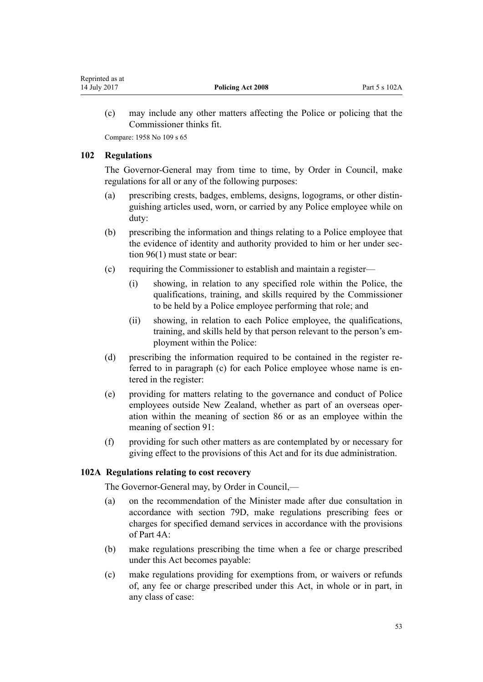<span id="page-52-0"></span>(c) may include any other matters affecting the Police or policing that the Commissioner thinks fit.

Compare: 1958 No 109 [s 65](http://prd-lgnz-nlb.prd.pco.net.nz/pdflink.aspx?id=DLM322512)

# **102 Regulations**

The Governor-General may from time to time, by Order in Council, make regulations for all or any of the following purposes:

- (a) prescribing crests, badges, emblems, designs, logograms, or other distinguishing articles used, worn, or carried by any Police employee while on duty:
- (b) prescribing the information and things relating to a Police employee that the evidence of identity and authority provided to him or her under [sec](#page-49-0)[tion 96\(1\)](#page-49-0) must state or bear:
- (c) requiring the Commissioner to establish and maintain a register—
	- (i) showing, in relation to any specified role within the Police, the qualifications, training, and skills required by the Commissioner to be held by a Police employee performing that role; and
	- (ii) showing, in relation to each Police employee, the qualifications, training, and skills held by that person relevant to the person's employment within the Police:
- (d) prescribing the information required to be contained in the register referred to in paragraph (c) for each Police employee whose name is entered in the register:
- (e) providing for matters relating to the governance and conduct of Police employees outside New Zealand, whether as part of an overseas operation within the meaning of [section 86](#page-43-0) or as an employee within the meaning of [section 91](#page-45-0):
- (f) providing for such other matters as are contemplated by or necessary for giving effect to the provisions of this Act and for its due administration.

# **102A Regulations relating to cost recovery**

The Governor-General may, by Order in Council,—

- (a) on the recommendation of the Minister made after due consultation in accordance with [section 79D,](#page-38-0) make regulations prescribing fees or charges for specified demand services in accordance with the provisions of [Part 4A](#page-37-0):
- (b) make regulations prescribing the time when a fee or charge prescribed under this Act becomes payable:
- (c) make regulations providing for exemptions from, or waivers or refunds of, any fee or charge prescribed under this Act, in whole or in part, in any class of case: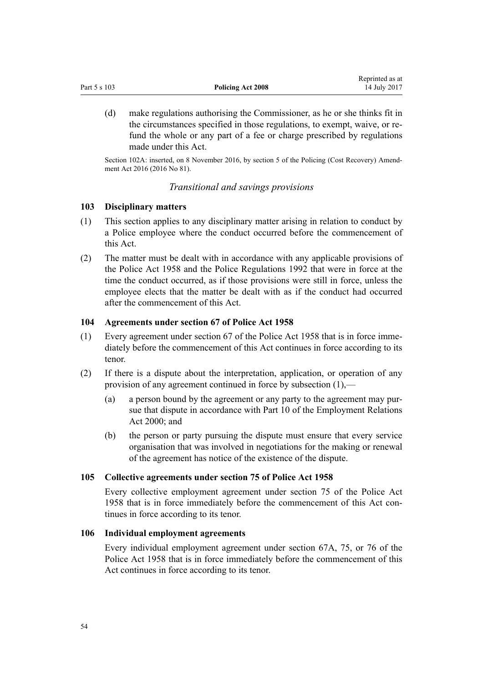|              |                   | Reprinted as at |
|--------------|-------------------|-----------------|
| Part 5 s 103 | Policing Act 2008 | 14 July 2017    |

(d) make regulations authorising the Commissioner, as he or she thinks fit in the circumstances specified in those regulations, to exempt, waive, or refund the whole or any part of a fee or charge prescribed by regulations made under this Act.

Section 102A: inserted, on 8 November 2016, by [section 5](http://prd-lgnz-nlb.prd.pco.net.nz/pdflink.aspx?id=DLM6117727) of the Policing (Cost Recovery) Amendment Act 2016 (2016 No 81).

### *Transitional and savings provisions*

#### **103 Disciplinary matters**

- (1) This section applies to any disciplinary matter arising in relation to conduct by a Police employee where the conduct occurred before the commencement of this Act.
- (2) The matter must be dealt with in accordance with any applicable provisions of the [Police Act 1958](http://prd-lgnz-nlb.prd.pco.net.nz/pdflink.aspx?id=DLM321405) and the [Police Regulations 1992](http://prd-lgnz-nlb.prd.pco.net.nz/pdflink.aspx?id=DLM151131) that were in force at the time the conduct occurred, as if those provisions were still in force, unless the employee elects that the matter be dealt with as if the conduct had occurred after the commencement of this Act.

## **104 Agreements under section 67 of Police Act 1958**

- (1) Every agreement under [section 67](http://prd-lgnz-nlb.prd.pco.net.nz/pdflink.aspx?id=DLM322554) of the Police Act 1958 that is in force immediately before the commencement of this Act continues in force according to its tenor.
- (2) If there is a dispute about the interpretation, application, or operation of any provision of any agreement continued in force by subsection (1),—
	- (a) a person bound by the agreement or any party to the agreement may pursue that dispute in accordance with [Part 10](http://prd-lgnz-nlb.prd.pco.net.nz/pdflink.aspx?id=DLM60904) of the Employment Relations Act 2000; and
	- (b) the person or party pursuing the dispute must ensure that every service organisation that was involved in negotiations for the making or renewal of the agreement has notice of the existence of the dispute.

#### **105 Collective agreements under section 75 of Police Act 1958**

Every collective employment agreement under [section 75](http://prd-lgnz-nlb.prd.pco.net.nz/pdflink.aspx?id=DLM322716) of the Police Act 1958 that is in force immediately before the commencement of this Act continues in force according to its tenor.

#### **106 Individual employment agreements**

Every individual employment agreement under [section 67A,](http://prd-lgnz-nlb.prd.pco.net.nz/pdflink.aspx?id=DLM322567) [75](http://prd-lgnz-nlb.prd.pco.net.nz/pdflink.aspx?id=DLM322716), or [76](http://prd-lgnz-nlb.prd.pco.net.nz/pdflink.aspx?id=DLM322723) of the Police Act 1958 that is in force immediately before the commencement of this Act continues in force according to its tenor.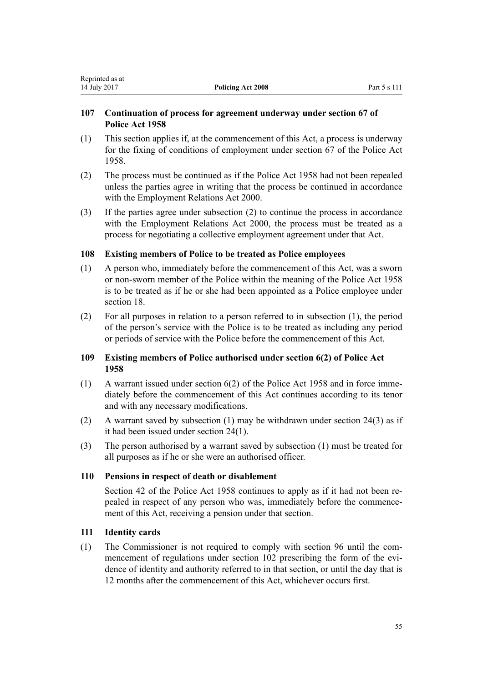# **107 Continuation of process for agreement underway under section 67 of Police Act 1958**

- (1) This section applies if, at the commencement of this Act, a process is underway for the fixing of conditions of employment under [section 67](http://prd-lgnz-nlb.prd.pco.net.nz/pdflink.aspx?id=DLM322554) of the Police Act 1958.
- (2) The process must be continued as if the [Police Act 1958](http://prd-lgnz-nlb.prd.pco.net.nz/pdflink.aspx?id=DLM321405) had not been repealed unless the parties agree in writing that the process be continued in accordance with the [Employment Relations Act 2000.](http://prd-lgnz-nlb.prd.pco.net.nz/pdflink.aspx?id=DLM58316)
- (3) If the parties agree under subsection (2) to continue the process in accordance with the [Employment Relations Act 2000,](http://prd-lgnz-nlb.prd.pco.net.nz/pdflink.aspx?id=DLM58316) the process must be treated as a process for negotiating a collective employment agreement under that Act.

# **108 Existing members of Police to be treated as Police employees**

- (1) A person who, immediately before the commencement of this Act, was a sworn or non-sworn member of the Police within the meaning of the [Police Act 1958](http://prd-lgnz-nlb.prd.pco.net.nz/pdflink.aspx?id=DLM321405) is to be treated as if he or she had been appointed as a Police employee under [section 18](#page-13-0).
- (2) For all purposes in relation to a person referred to in subsection (1), the period of the person's service with the Police is to be treated as including any period or periods of service with the Police before the commencement of this Act.

# **109 Existing members of Police authorised under section 6(2) of Police Act 1958**

- (1) A warrant issued under [section 6\(2\)](http://prd-lgnz-nlb.prd.pco.net.nz/pdflink.aspx?id=DLM321712) of the Police Act 1958 and in force immediately before the commencement of this Act continues according to its tenor and with any necessary modifications.
- (2) A warrant saved by subsection (1) may be withdrawn under [section 24\(3\)](#page-15-0) as if it had been issued under [section 24\(1\).](#page-15-0)
- (3) The person authorised by a warrant saved by subsection (1) must be treated for all purposes as if he or she were an authorised officer.

# **110 Pensions in respect of death or disablement**

[Section 42](http://prd-lgnz-nlb.prd.pco.net.nz/pdflink.aspx?id=DLM322206) of the Police Act 1958 continues to apply as if it had not been repealed in respect of any person who was, immediately before the commencement of this Act, receiving a pension under that section.

# **111 Identity cards**

(1) The Commissioner is not required to comply with [section 96](#page-49-0) until the commencement of regulations under [section 102](#page-52-0) prescribing the form of the evidence of identity and authority referred to in that section, or until the day that is 12 months after the commencement of this Act, whichever occurs first.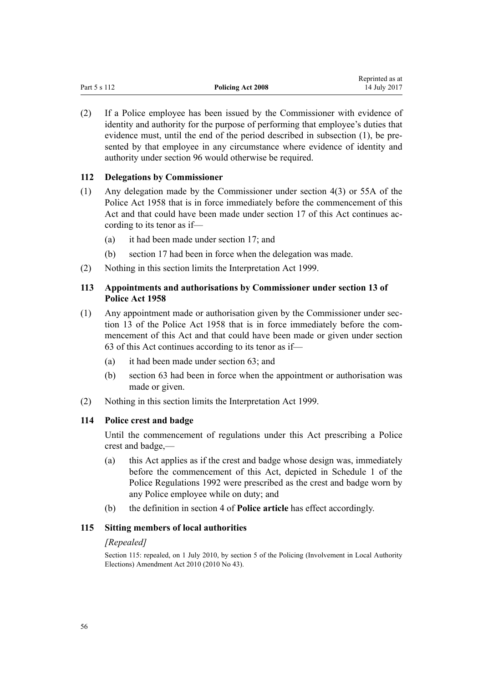| Part 5 s 112 | <b>Policing Act 2008</b> | <i>Reprince as at</i><br>14 July 2017 |
|--------------|--------------------------|---------------------------------------|
|              |                          |                                       |

Reprinted as at

(2) If a Police employee has been issued by the Commissioner with evidence of identity and authority for the purpose of performing that employee's duties that evidence must, until the end of the period described in subsection (1), be presented by that employee in any circumstance where evidence of identity and authority under [section 96](#page-49-0) would otherwise be required.

# **112 Delegations by Commissioner**

- (1) Any delegation made by the Commissioner under [section 4\(3\)](http://prd-lgnz-nlb.prd.pco.net.nz/pdflink.aspx?id=DLM321700) or [55A](http://prd-lgnz-nlb.prd.pco.net.nz/pdflink.aspx?id=DLM322246) of the Police Act 1958 that is in force immediately before the commencement of this Act and that could have been made under [section 17](#page-12-0) of this Act continues according to its tenor as if—
	- (a) it had been made under [section 17](#page-12-0); and
	- (b) [section 17](#page-12-0) had been in force when the delegation was made.
- (2) Nothing in this section limits the [Interpretation Act 1999](http://prd-lgnz-nlb.prd.pco.net.nz/pdflink.aspx?id=DLM31458).

# **113 Appointments and authorisations by Commissioner under section 13 of Police Act 1958**

- (1) Any appointment made or authorisation given by the Commissioner under [sec](http://prd-lgnz-nlb.prd.pco.net.nz/pdflink.aspx?id=DLM321740)[tion 13](http://prd-lgnz-nlb.prd.pco.net.nz/pdflink.aspx?id=DLM321740) of the Police Act 1958 that is in force immediately before the commencement of this Act and that could have been made or given under [section](#page-30-0) [63](#page-30-0) of this Act continues according to its tenor as if—
	- (a) it had been made under [section 63](#page-30-0); and
	- (b) [section 63](#page-30-0) had been in force when the appointment or authorisation was made or given.
- (2) Nothing in this section limits the [Interpretation Act 1999](http://prd-lgnz-nlb.prd.pco.net.nz/pdflink.aspx?id=DLM31458).

# **114 Police crest and badge**

Until the commencement of regulations under this Act prescribing a Police crest and badge,—

- (a) this Act applies as if the crest and badge whose design was, immediately before the commencement of this Act, depicted in [Schedule 1](http://prd-lgnz-nlb.prd.pco.net.nz/pdflink.aspx?id=DLM151198) of the Police Regulations 1992 were prescribed as the crest and badge worn by any Police employee while on duty; and
- (b) the definition in [section 4](#page-7-0) of **Police article** has effect accordingly.

# **115 Sitting members of local authorities**

### *[Repealed]*

Section 115: repealed, on 1 July 2010, by [section 5](http://prd-lgnz-nlb.prd.pco.net.nz/pdflink.aspx?id=DLM3013311) of the Policing (Involvement in Local Authority Elections) Amendment Act 2010 (2010 No 43).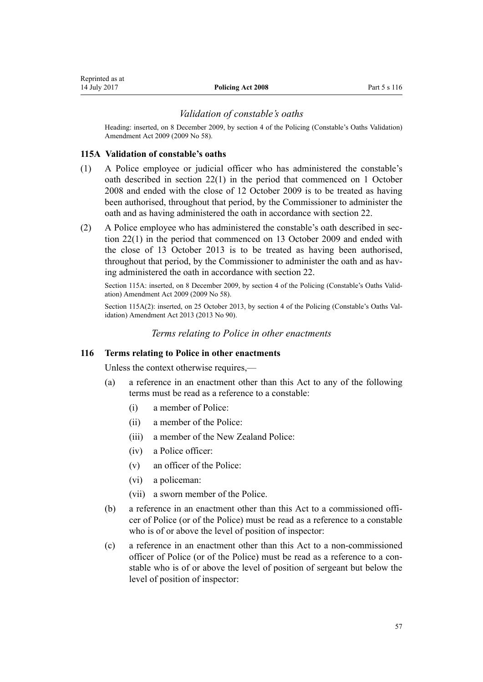# *Validation of constable's oaths*

Heading: inserted, on 8 December 2009, by [section 4](http://prd-lgnz-nlb.prd.pco.net.nz/pdflink.aspx?id=DLM2534108) of the Policing (Constable's Oaths Validation) Amendment Act 2009 (2009 No 58).

## **115A Validation of constable's oaths**

- (1) A Police employee or judicial officer who has administered the constable's oath described in [section 22\(1\)](#page-14-0) in the period that commenced on 1 October 2008 and ended with the close of 12 October 2009 is to be treated as having been authorised, throughout that period, by the Commissioner to administer the oath and as having administered the oath in accordance with section 22.
- (2) A Police employee who has administered the constable's oath described in [sec](#page-14-0)[tion 22\(1\)](#page-14-0) in the period that commenced on 13 October 2009 and ended with the close of 13 October 2013 is to be treated as having been authorised, throughout that period, by the Commissioner to administer the oath and as having administered the oath in accordance with section 22.

Section 115A: inserted, on 8 December 2009, by [section 4](http://prd-lgnz-nlb.prd.pco.net.nz/pdflink.aspx?id=DLM2534108) of the Policing (Constable's Oaths Validation) Amendment Act 2009 (2009 No 58).

Section 115A(2): inserted, on 25 October 2013, by [section 4](http://prd-lgnz-nlb.prd.pco.net.nz/pdflink.aspx?id=DLM5641910) of the Policing (Constable's Oaths Validation) Amendment Act 2013 (2013 No 90).

# *Terms relating to Police in other enactments*

### **116 Terms relating to Police in other enactments**

Unless the context otherwise requires,—

- (a) a reference in an enactment other than this Act to any of the following terms must be read as a reference to a constable:
	- (i) a member of Police:
	- (ii) a member of the Police:
	- (iii) a member of the New Zealand Police:
	- (iv) a Police officer:
	- (v) an officer of the Police:
	- (vi) a policeman:
	- (vii) a sworn member of the Police.
- (b) a reference in an enactment other than this Act to a commissioned officer of Police (or of the Police) must be read as a reference to a constable who is of or above the level of position of inspector:
- (c) a reference in an enactment other than this Act to a non-commissioned officer of Police (or of the Police) must be read as a reference to a constable who is of or above the level of position of sergeant but below the level of position of inspector: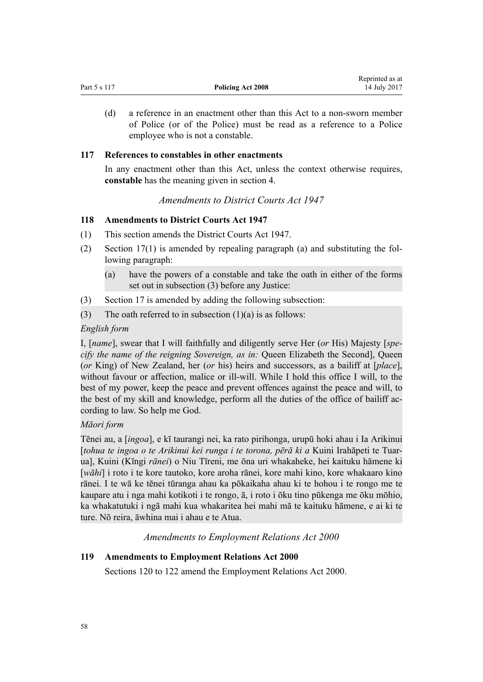|              |                   | Reprinted as at |
|--------------|-------------------|-----------------|
| Part 5 s 117 | Policing Act 2008 | 14 July 2017    |

(d) a reference in an enactment other than this Act to a non-sworn member of Police (or of the Police) must be read as a reference to a Police employee who is not a constable.

### **117 References to constables in other enactments**

In any enactment other than this Act, unless the context otherwise requires, **constable** has the meaning given in [section 4](#page-7-0).

#### *Amendments to District Courts Act 1947*

#### **118 Amendments to District Courts Act 1947**

- (1) This section amends the [District Courts Act 1947](http://prd-lgnz-nlb.prd.pco.net.nz/pdflink.aspx?id=DLM242775).
- (2) [Section 17\(1\)](http://prd-lgnz-nlb.prd.pco.net.nz/pdflink.aspx?id=DLM243234) is amended by repealing paragraph (a) and substituting the following paragraph:
	- (a) have the powers of a constable and take the oath in either of the forms set out in subsection (3) before any Justice:
- (3) [Section 17](http://prd-lgnz-nlb.prd.pco.net.nz/pdflink.aspx?id=DLM243234) is amended by adding the following subsection:
- (3) The oath referred to in subsection  $(1)(a)$  is as follows:

#### *English form*

I, [*name*], swear that I will faithfully and diligently serve Her (*or* His) Majesty [*specify the name of the reigning Sovereign, as in:* Queen Elizabeth the Second], Queen (*or* King) of New Zealand, her (*or* his) heirs and successors, as a bailiff at [*place*], without favour or affection, malice or ill-will. While I hold this office I will, to the best of my power, keep the peace and prevent offences against the peace and will, to the best of my skill and knowledge, perform all the duties of the office of bailiff according to law. So help me God.

# *Māori form*

Tēnei au, a [*ingoa*], e kī taurangi nei, ka rato pirihonga, urupū hoki ahau i Ia Arikinui [*tohua te ingoa o te Arikinui kei runga i te torona, pērā ki a* Kuini Irahāpeti te Tuarua], Kuini (Kīngi *rānei*) o Niu Tīreni, me ōna uri whakaheke, hei kaituku hāmene ki [*wāhi*] i roto i te kore tautoko, kore aroha rānei, kore mahi kino, kore whakaaro kino rānei. I te wā ke tēnei tūranga ahau ka pōkaikaha ahau ki te hohou i te rongo me te kaupare atu i nga mahi kotikoti i te rongo, ā, i roto i ōku tino pūkenga me ōku mōhio, ka whakatutuki i ngā mahi kua whakaritea hei mahi mā te kaituku hāmene, e ai ki te ture. Nō reira, āwhina mai i ahau e te Atua.

*Amendments to Employment Relations Act 2000*

## **119 Amendments to Employment Relations Act 2000**

[Sections 120 to 122](#page-58-0) amend the [Employment Relations Act 2000.](http://prd-lgnz-nlb.prd.pco.net.nz/pdflink.aspx?id=DLM58316)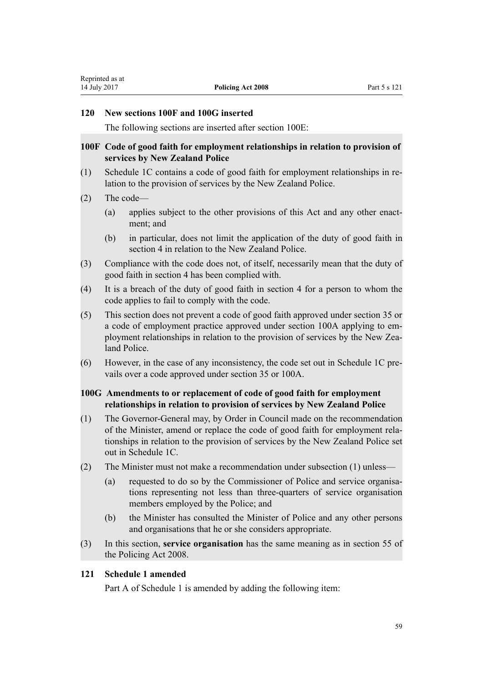#### <span id="page-58-0"></span>**120 New sections 100F and 100G inserted**

The following sections are inserted after [section 100E](http://prd-lgnz-nlb.prd.pco.net.nz/pdflink.aspx?id=DLM60314):

# **100F Code of good faith for employment relationships in relation to provision of services by New Zealand Police**

- (1) Schedule 1C contains a code of good faith for employment relationships in relation to the provision of services by the New Zealand Police.
- (2) The code—
	- (a) applies subject to the other provisions of this Act and any other enactment; and
	- (b) in particular, does not limit the application of the duty of good faith in section 4 in relation to the New Zealand Police.
- (3) Compliance with the code does not, of itself, necessarily mean that the duty of good faith in section 4 has been complied with.
- (4) It is a breach of the duty of good faith in section 4 for a person to whom the code applies to fail to comply with the code.
- (5) This section does not prevent a code of good faith approved under section 35 or a code of employment practice approved under section 100A applying to employment relationships in relation to the provision of services by the New Zealand Police.
- (6) However, in the case of any inconsistency, the code set out in Schedule 1C prevails over a code approved under section 35 or 100A.

# **100G Amendments to or replacement of code of good faith for employment relationships in relation to provision of services by New Zealand Police**

- (1) The Governor-General may, by Order in Council made on the recommendation of the Minister, amend or replace the code of good faith for employment relationships in relation to the provision of services by the New Zealand Police set out in Schedule 1C.
- (2) The Minister must not make a recommendation under subsection (1) unless—
	- (a) requested to do so by the Commissioner of Police and service organisations representing not less than three-quarters of service organisation members employed by the Police; and
	- (b) the Minister has consulted the Minister of Police and any other persons and organisations that he or she considers appropriate.
- (3) In this section, **service organisation** has the same meaning as in section 55 of the Policing Act 2008.

# **121 Schedule 1 amended**

[Part A](http://prd-lgnz-nlb.prd.pco.net.nz/pdflink.aspx?id=DLM61702) of Schedule 1 is amended by adding the following item: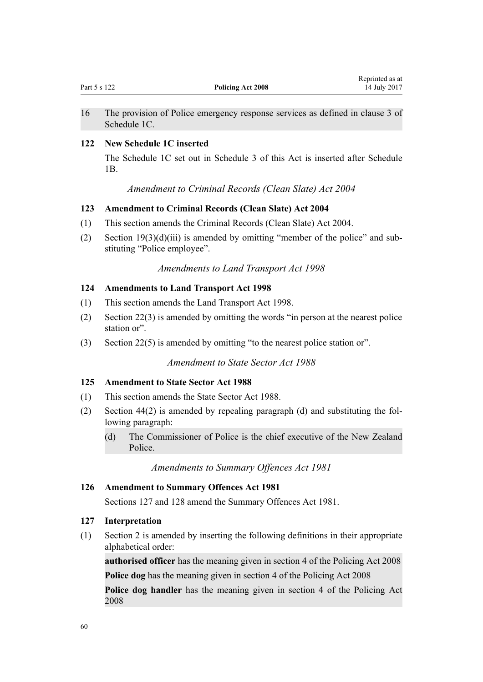Reprinted as at

<span id="page-59-0"></span>16 The provision of Police emergency response services as defined in clause 3 of Schedule 1C.

# **122 New Schedule 1C inserted**

The Schedule 1C set out in [Schedule 3](#page-67-0) of this Act is inserted after [Schedule](http://prd-lgnz-nlb.prd.pco.net.nz/pdflink.aspx?id=DLM61726) [1B.](http://prd-lgnz-nlb.prd.pco.net.nz/pdflink.aspx?id=DLM61726)

# *Amendment to Criminal Records (Clean Slate) Act 2004*

# **123 Amendment to Criminal Records (Clean Slate) Act 2004**

- (1) This section amends the [Criminal Records \(Clean Slate\) Act 2004.](http://prd-lgnz-nlb.prd.pco.net.nz/pdflink.aspx?id=DLM280839)
- (2) Section  $19(3)(d)(iii)$  is amended by omitting "member of the police" and substituting "Police employee".

# *Amendments to Land Transport Act 1998*

#### **124 Amendments to Land Transport Act 1998**

- (1) This section amends the [Land Transport Act 1998](http://prd-lgnz-nlb.prd.pco.net.nz/pdflink.aspx?id=DLM433612).
- (2) [Section 22\(3\)](http://prd-lgnz-nlb.prd.pco.net.nz/pdflink.aspx?id=DLM434540) is amended by omitting the words "in person at the nearest police station or".
- (3) [Section 22\(5\)](http://prd-lgnz-nlb.prd.pco.net.nz/pdflink.aspx?id=DLM434540) is amended by omitting "to the nearest police station or".

# *Amendment to State Sector Act 1988*

#### **125 Amendment to State Sector Act 1988**

- (1) This section amends the [State Sector Act 1988.](http://prd-lgnz-nlb.prd.pco.net.nz/pdflink.aspx?id=DLM129109)
- (2) [Section 44\(2\)](http://prd-lgnz-nlb.prd.pco.net.nz/pdflink.aspx?id=DLM129574) is amended by repealing paragraph (d) and substituting the following paragraph:
	- (d) The Commissioner of Police is the chief executive of the New Zealand Police.

# *Amendments to Summary Offences Act 1981*

## **126 Amendment to Summary Offences Act 1981**

Sections 127 and [128](#page-60-0) amend the [Summary Offences Act 1981](http://prd-lgnz-nlb.prd.pco.net.nz/pdflink.aspx?id=DLM53347).

# **127 Interpretation**

(1) [Section 2](http://prd-lgnz-nlb.prd.pco.net.nz/pdflink.aspx?id=DLM53353) is amended by inserting the following definitions in their appropriate alphabetical order:

**authorised officer** has the meaning given in section 4 of the Policing Act 2008 **Police dog** has the meaning given in section 4 of the Policing Act 2008

**Police dog handler** has the meaning given in section 4 of the Policing Act 2008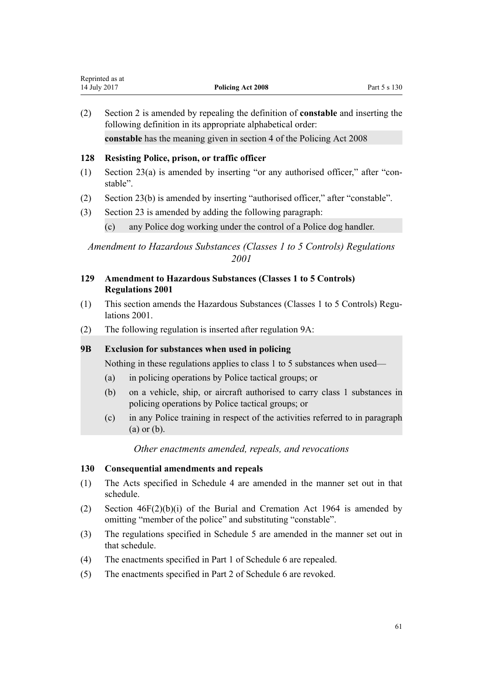<span id="page-60-0"></span>(2) [Section 2](http://prd-lgnz-nlb.prd.pco.net.nz/pdflink.aspx?id=DLM53353) is amended by repealing the definition of **constable** and inserting the following definition in its appropriate alphabetical order: **constable** has the meaning given in section 4 of the Policing Act 2008

# **128 Resisting Police, prison, or traffic officer**

- (1) [Section 23\(a\)](http://prd-lgnz-nlb.prd.pco.net.nz/pdflink.aspx?id=DLM53578) is amended by inserting "or any authorised officer," after "constable".
- (2) [Section 23\(b\)](http://prd-lgnz-nlb.prd.pco.net.nz/pdflink.aspx?id=DLM53578) is amended by inserting "authorised officer," after "constable".
- (3) [Section 23](http://prd-lgnz-nlb.prd.pco.net.nz/pdflink.aspx?id=DLM53578) is amended by adding the following paragraph:
	- (c) any Police dog working under the control of a Police dog handler.

# *Amendment to Hazardous Substances (Classes 1 to 5 Controls) Regulations 2001*

- **129 Amendment to Hazardous Substances (Classes 1 to 5 Controls) Regulations 2001**
- (1) This section amends the [Hazardous Substances \(Classes 1 to 5 Controls\) Regu](http://prd-lgnz-nlb.prd.pco.net.nz/pdflink.aspx?id=DLM35394)[lations 2001.](http://prd-lgnz-nlb.prd.pco.net.nz/pdflink.aspx?id=DLM35394)
- (2) The following regulation is inserted after [regulation 9A](http://prd-lgnz-nlb.prd.pco.net.nz/pdflink.aspx?id=DLM36378):

### **9B Exclusion for substances when used in policing**

Nothing in these regulations applies to class 1 to 5 substances when used—

- (a) in policing operations by Police tactical groups; or
- (b) on a vehicle, ship, or aircraft authorised to carry class 1 substances in policing operations by Police tactical groups; or
- (c) in any Police training in respect of the activities referred to in paragraph (a) or (b).

# *Other enactments amended, repeals, and revocations*

# **130 Consequential amendments and repeals**

- (1) The Acts specified in [Schedule 4](#page-73-0) are amended in the manner set out in that schedule.
- (2) [Section 46F\(2\)\(b\)\(i\)](http://prd-lgnz-nlb.prd.pco.net.nz/pdflink.aspx?id=DLM355078) of the Burial and Cremation Act 1964 is amended by omitting "member of the police" and substituting "constable".
- (3) The regulations specified in [Schedule 5](#page-81-0) are amended in the manner set out in that schedule.
- (4) The enactments specified in [Part 1](#page-83-0) of Schedule 6 are repealed.
- (5) The enactments specified in [Part 2](#page-83-0) of Schedule 6 are revoked.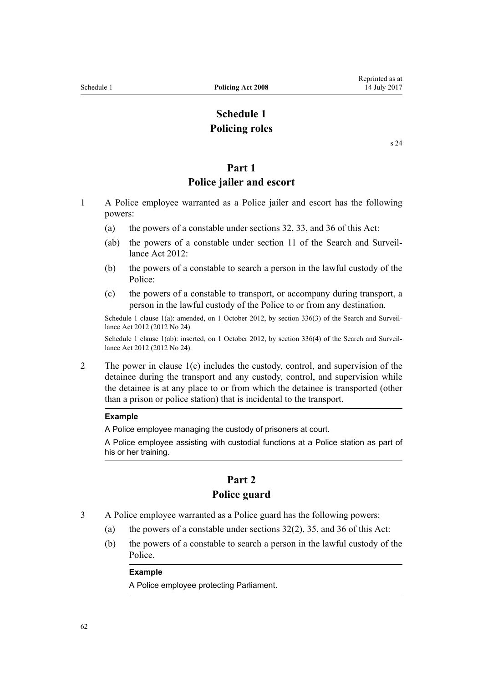# **Schedule 1 Policing roles**

[s 24](#page-15-0)

# **Part 1**

# **Police jailer and escort**

- <span id="page-61-0"></span>1 A Police employee warranted as a Police jailer and escort has the following powers:
	- (a) the powers of a constable under [sections 32](#page-18-0), [33,](#page-19-0) and [36](#page-22-0) of this Act:
	- (ab) the powers of a constable under [section 11](http://prd-lgnz-nlb.prd.pco.net.nz/pdflink.aspx?id=DLM2136643) of the Search and Surveillance Act 2012:
	- (b) the powers of a constable to search a person in the lawful custody of the Police:
	- (c) the powers of a constable to transport, or accompany during transport, a person in the lawful custody of the Police to or from any destination.

Schedule 1 clause 1(a): amended, on 1 October 2012, by [section 336\(3\)](http://prd-lgnz-nlb.prd.pco.net.nz/pdflink.aspx?id=DLM2137147) of the Search and Surveillance Act 2012 (2012 No 24).

Schedule 1 clause 1(ab): inserted, on 1 October 2012, by [section 336\(4\)](http://prd-lgnz-nlb.prd.pco.net.nz/pdflink.aspx?id=DLM2137147) of the Search and Surveillance Act 2012 (2012 No 24).

2 The power in clause 1(c) includes the custody, control, and supervision of the detainee during the transport and any custody, control, and supervision while the detainee is at any place to or from which the detainee is transported (other than a prison or police station) that is incidental to the transport.

#### **Example**

A Police employee managing the custody of prisoners at court.

A Police employee assisting with custodial functions at a Police station as part of his or her training.

# **Part 2 Police guard**

- 3 A Police employee warranted as a Police guard has the following powers:
	- (a) the powers of a constable under sections  $32(2)$ , [35](#page-21-0), and [36](#page-22-0) of this Act:
	- (b) the powers of a constable to search a person in the lawful custody of the Police.

#### **Example**

A Police employee protecting Parliament.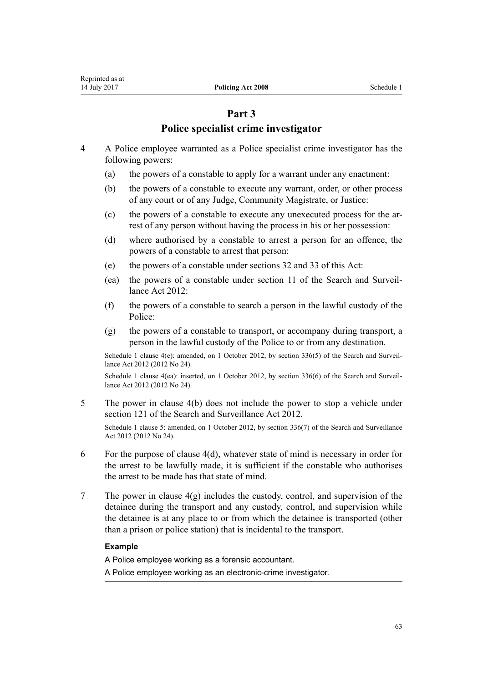# **Part 3**

# **Police specialist crime investigator**

- 4 A Police employee warranted as a Police specialist crime investigator has the following powers:
	- (a) the powers of a constable to apply for a warrant under any enactment:
	- (b) the powers of a constable to execute any warrant, order, or other process of any court or of any Judge, Community Magistrate, or Justice:
	- (c) the powers of a constable to execute any unexecuted process for the arrest of any person without having the process in his or her possession:
	- (d) where authorised by a constable to arrest a person for an offence, the powers of a constable to arrest that person:
	- (e) the powers of a constable under sections [32](#page-18-0) and [33](#page-19-0) of this Act:
	- (ea) the powers of a constable under [section 11](http://prd-lgnz-nlb.prd.pco.net.nz/pdflink.aspx?id=DLM2136643) of the Search and Surveillance Act 2012:
	- (f) the powers of a constable to search a person in the lawful custody of the Police:
	- (g) the powers of a constable to transport, or accompany during transport, a person in the lawful custody of the Police to or from any destination.

Schedule 1 clause 4(e): amended, on 1 October 2012, by [section 336\(5\)](http://prd-lgnz-nlb.prd.pco.net.nz/pdflink.aspx?id=DLM2137147) of the Search and Surveillance Act 2012 (2012 No 24).

Schedule 1 clause 4(ea): inserted, on 1 October 2012, by [section 336\(6\)](http://prd-lgnz-nlb.prd.pco.net.nz/pdflink.aspx?id=DLM2137147) of the Search and Surveillance Act 2012 (2012 No 24).

5 The power in clause 4(b) does not include the power to stop a vehicle under [section 121](http://prd-lgnz-nlb.prd.pco.net.nz/pdflink.aspx?id=DLM2136818) of the Search and Surveillance Act 2012.

Schedule 1 clause 5: amended, on 1 October 2012, by [section 336\(7\)](http://prd-lgnz-nlb.prd.pco.net.nz/pdflink.aspx?id=DLM2137147) of the Search and Surveillance Act 2012 (2012 No 24).

- 6 For the purpose of clause 4(d), whatever state of mind is necessary in order for the arrest to be lawfully made, it is sufficient if the constable who authorises the arrest to be made has that state of mind.
- 7 The power in clause 4(g) includes the custody, control, and supervision of the detainee during the transport and any custody, control, and supervision while the detainee is at any place to or from which the detainee is transported (other than a prison or police station) that is incidental to the transport.

### **Example**

A Police employee working as a forensic accountant.

A Police employee working as an electronic-crime investigator.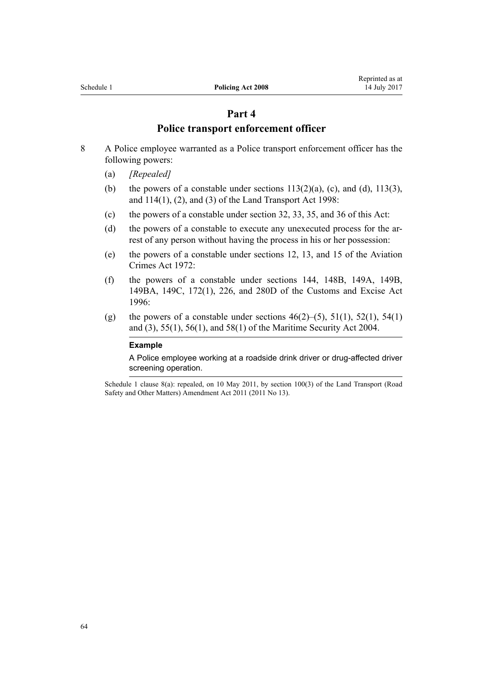# **Part 4**

# **Police transport enforcement officer**

- 8 A Police employee warranted as a Police transport enforcement officer has the following powers:
	- (a) *[Repealed]*
	- (b) the powers of a constable under sections  $113(2)(a)$ , (c), and (d),  $113(3)$ , and  $114(1)$ ,  $(2)$ , and  $(3)$  of the Land Transport Act 1998:
	- (c) the powers of a constable under [section 32,](#page-18-0) [33](#page-19-0), [35](#page-21-0), and [36](#page-21-0) of this Act:
	- (d) the powers of a constable to execute any unexecuted process for the arrest of any person without having the process in his or her possession:
	- (e) the powers of a constable under [sections 12](http://prd-lgnz-nlb.prd.pco.net.nz/pdflink.aspx?id=DLM409204), [13](http://prd-lgnz-nlb.prd.pco.net.nz/pdflink.aspx?id=DLM409207), and [15](http://prd-lgnz-nlb.prd.pco.net.nz/pdflink.aspx?id=DLM409213) of the Aviation Crimes Act 1972:
	- (f) the powers of a constable under [sections 144,](http://prd-lgnz-nlb.prd.pco.net.nz/pdflink.aspx?id=DLM378956) [148B](http://prd-lgnz-nlb.prd.pco.net.nz/pdflink.aspx?id=DLM378983), [149A,](http://prd-lgnz-nlb.prd.pco.net.nz/pdflink.aspx?id=DLM379201) [149B](http://prd-lgnz-nlb.prd.pco.net.nz/pdflink.aspx?id=DLM379205), [149BA](http://prd-lgnz-nlb.prd.pco.net.nz/pdflink.aspx?id=DLM379207), [149C,](http://prd-lgnz-nlb.prd.pco.net.nz/pdflink.aspx?id=DLM379211) [172\(1\),](http://prd-lgnz-nlb.prd.pco.net.nz/pdflink.aspx?id=DLM379276) [226](http://prd-lgnz-nlb.prd.pco.net.nz/pdflink.aspx?id=DLM379920), and [280D](http://prd-lgnz-nlb.prd.pco.net.nz/pdflink.aspx?id=DLM380121) of the Customs and Excise Act 1996:
	- (g) the powers of a constable under sections  $46(2)$ –(5),  $51(1)$ ,  $52(1)$ ,  $54(1)$ [and \(3\)](http://prd-lgnz-nlb.prd.pco.net.nz/pdflink.aspx?id=DLM241850), [55\(1\),](http://prd-lgnz-nlb.prd.pco.net.nz/pdflink.aspx?id=DLM241851) [56\(1\)](http://prd-lgnz-nlb.prd.pco.net.nz/pdflink.aspx?id=DLM241852), and [58\(1\)](http://prd-lgnz-nlb.prd.pco.net.nz/pdflink.aspx?id=DLM241854) of the Maritime Security Act 2004.

#### **Example**

A Police employee working at a roadside drink driver or drug-affected driver screening operation.

Schedule 1 clause 8(a): repealed, on 10 May 2011, by [section 100\(3\)](http://prd-lgnz-nlb.prd.pco.net.nz/pdflink.aspx?id=DLM3231293) of the Land Transport (Road Safety and Other Matters) Amendment Act 2011 (2011 No 13).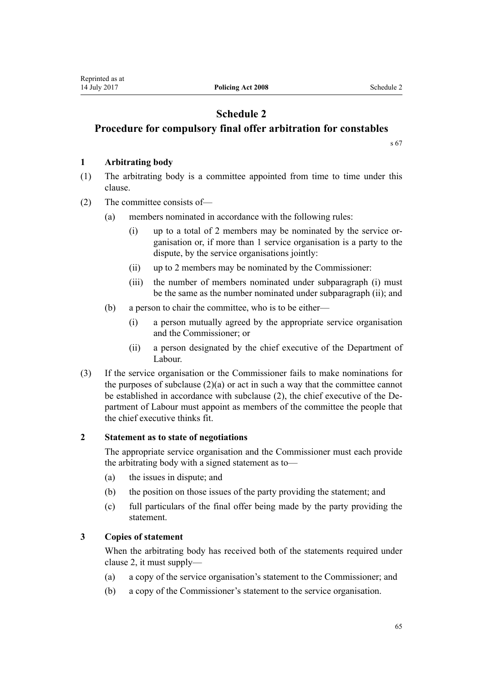# **Schedule 2**

# **Procedure for compulsory final offer arbitration for constables**

[s 67](#page-32-0)

# **1 Arbitrating body**

- (1) The arbitrating body is a committee appointed from time to time under this clause.
- (2) The committee consists of—
	- (a) members nominated in accordance with the following rules:
		- (i) up to a total of 2 members may be nominated by the service organisation or, if more than 1 service organisation is a party to the dispute, by the service organisations jointly:
		- (ii) up to 2 members may be nominated by the Commissioner:
		- (iii) the number of members nominated under subparagraph (i) must be the same as the number nominated under subparagraph (ii); and
	- (b) a person to chair the committee, who is to be either—
		- (i) a person mutually agreed by the appropriate service organisation and the Commissioner; or
		- (ii) a person designated by the chief executive of the Department of Labour.
- (3) If the service organisation or the Commissioner fails to make nominations for the purposes of subclause  $(2)(a)$  or act in such a way that the committee cannot be established in accordance with subclause (2), the chief executive of the Department of Labour must appoint as members of the committee the people that the chief executive thinks fit.

# **2 Statement as to state of negotiations**

The appropriate service organisation and the Commissioner must each provide the arbitrating body with a signed statement as to—

- (a) the issues in dispute; and
- (b) the position on those issues of the party providing the statement; and
- (c) full particulars of the final offer being made by the party providing the statement.

# **3 Copies of statement**

When the arbitrating body has received both of the statements required under clause 2, it must supply—

- (a) a copy of the service organisation's statement to the Commissioner; and
- (b) a copy of the Commissioner's statement to the service organisation.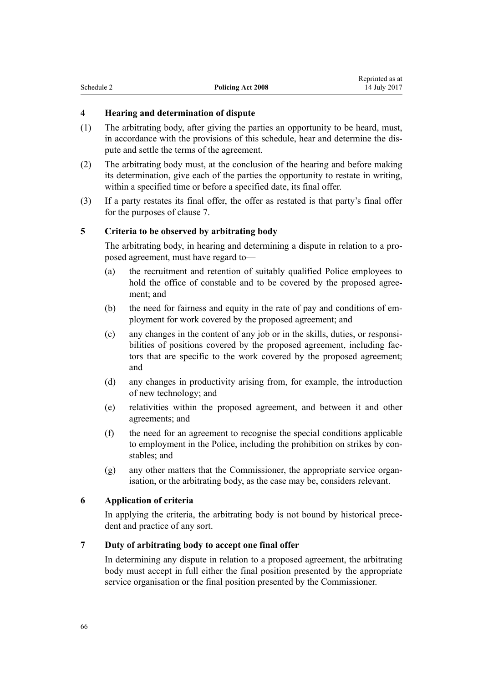| Schedule 2<br>Policing Act 2008 |  | <i>respective as at</i> |
|---------------------------------|--|-------------------------|
|                                 |  | 14 July 2017            |

Reprinted as at

# **4 Hearing and determination of dispute**

- (1) The arbitrating body, after giving the parties an opportunity to be heard, must, in accordance with the provisions of this schedule, hear and determine the dispute and settle the terms of the agreement.
- (2) The arbitrating body must, at the conclusion of the hearing and before making its determination, give each of the parties the opportunity to restate in writing, within a specified time or before a specified date, its final offer.
- (3) If a party restates its final offer, the offer as restated is that party's final offer for the purposes of clause 7.

# **5 Criteria to be observed by arbitrating body**

The arbitrating body, in hearing and determining a dispute in relation to a proposed agreement, must have regard to—

- (a) the recruitment and retention of suitably qualified Police employees to hold the office of constable and to be covered by the proposed agreement; and
- (b) the need for fairness and equity in the rate of pay and conditions of employment for work covered by the proposed agreement; and
- (c) any changes in the content of any job or in the skills, duties, or responsibilities of positions covered by the proposed agreement, including factors that are specific to the work covered by the proposed agreement; and
- (d) any changes in productivity arising from, for example, the introduction of new technology; and
- (e) relativities within the proposed agreement, and between it and other agreements; and
- (f) the need for an agreement to recognise the special conditions applicable to employment in the Police, including the prohibition on strikes by constables; and
- (g) any other matters that the Commissioner, the appropriate service organisation, or the arbitrating body, as the case may be, considers relevant.

# **6 Application of criteria**

In applying the criteria, the arbitrating body is not bound by historical precedent and practice of any sort.

# **7 Duty of arbitrating body to accept one final offer**

In determining any dispute in relation to a proposed agreement, the arbitrating body must accept in full either the final position presented by the appropriate service organisation or the final position presented by the Commissioner.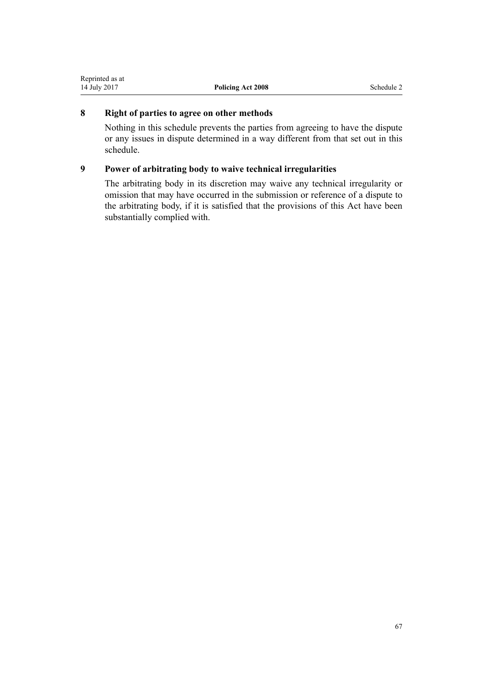# **8 Right of parties to agree on other methods**

Nothing in this schedule prevents the parties from agreeing to have the dispute or any issues in dispute determined in a way different from that set out in this schedule.

# **9 Power of arbitrating body to waive technical irregularities**

The arbitrating body in its discretion may waive any technical irregularity or omission that may have occurred in the submission or reference of a dispute to the arbitrating body, if it is satisfied that the provisions of this Act have been substantially complied with.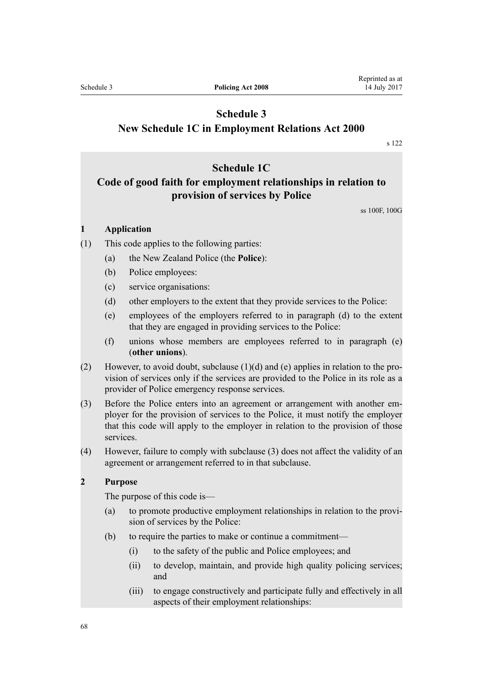# <span id="page-67-0"></span>**Schedule 3 New Schedule 1C in Employment Relations Act 2000**

[s 122](#page-59-0)

# **Schedule 1C**

# **Code of good faith for employment relationships in relation to provision of services by Police**

ss 100F, 100G

#### **1 Application**

- (1) This code applies to the following parties:
	- (a) the New Zealand Police (the **Police**):
	- (b) Police employees:
	- (c) service organisations:
	- (d) other employers to the extent that they provide services to the Police:
	- (e) employees of the employers referred to in paragraph (d) to the extent that they are engaged in providing services to the Police:
	- (f) unions whose members are employees referred to in paragraph (e) (**other unions**).
- (2) However, to avoid doubt, subclause (1)(d) and (e) applies in relation to the provision of services only if the services are provided to the Police in its role as a provider of Police emergency response services.
- (3) Before the Police enters into an agreement or arrangement with another employer for the provision of services to the Police, it must notify the employer that this code will apply to the employer in relation to the provision of those services.
- (4) However, failure to comply with subclause (3) does not affect the validity of an agreement or arrangement referred to in that subclause.

# **2 Purpose**

The purpose of this code is—

- (a) to promote productive employment relationships in relation to the provision of services by the Police:
- (b) to require the parties to make or continue a commitment—
	- (i) to the safety of the public and Police employees; and
	- (ii) to develop, maintain, and provide high quality policing services; and
	- (iii) to engage constructively and participate fully and effectively in all aspects of their employment relationships: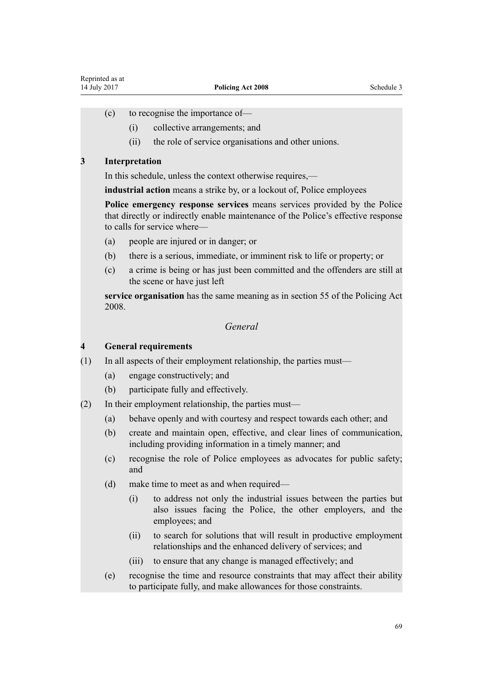- (c) to recognise the importance of—
	- (i) collective arrangements; and
	- (ii) the role of service organisations and other unions.

#### **3 Interpretation**

In this schedule, unless the context otherwise requires,—

**industrial action** means a strike by, or a lockout of, Police employees

**Police emergency response services** means services provided by the Police that directly or indirectly enable maintenance of the Police's effective response to calls for service where—

- (a) people are injured or in danger; or
- (b) there is a serious, immediate, or imminent risk to life or property; or
- (c) a crime is being or has just been committed and the offenders are still at the scene or have just left

**service organisation** has the same meaning as in section 55 of the Policing Act 2008.

## *General*

#### **4 General requirements**

- (1) In all aspects of their employment relationship, the parties must—
	- (a) engage constructively; and
	- (b) participate fully and effectively.
- (2) In their employment relationship, the parties must—
	- (a) behave openly and with courtesy and respect towards each other; and
	- (b) create and maintain open, effective, and clear lines of communication, including providing information in a timely manner; and
	- (c) recognise the role of Police employees as advocates for public safety; and
	- (d) make time to meet as and when required—
		- (i) to address not only the industrial issues between the parties but also issues facing the Police, the other employers, and the employees; and
		- (ii) to search for solutions that will result in productive employment relationships and the enhanced delivery of services; and
		- (iii) to ensure that any change is managed effectively; and
	- (e) recognise the time and resource constraints that may affect their ability to participate fully, and make allowances for those constraints.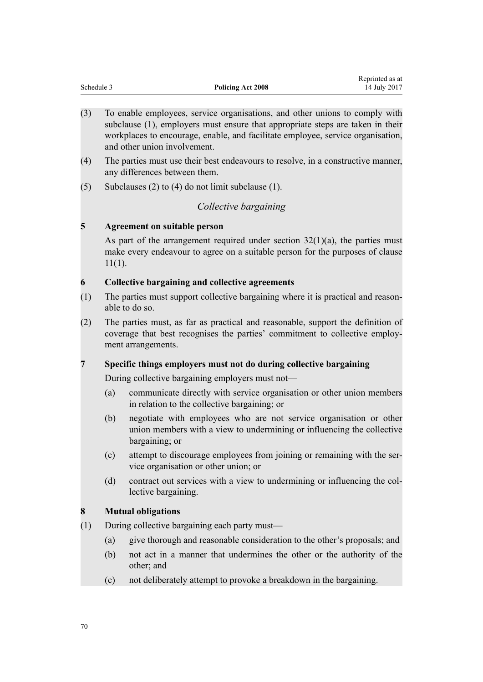|            |                          | Reprinted as at |
|------------|--------------------------|-----------------|
| Schedule 3 | <b>Policing Act 2008</b> | 14 July 2017    |

- (3) To enable employees, service organisations, and other unions to comply with subclause (1), employers must ensure that appropriate steps are taken in their workplaces to encourage, enable, and facilitate employee, service organisation, and other union involvement.
- (4) The parties must use their best endeavours to resolve, in a constructive manner, any differences between them.
- (5) Subclauses (2) to (4) do not limit subclause (1).

# *Collective bargaining*

# **5 Agreement on suitable person**

As part of the arrangement required under section  $32(1)(a)$ , the parties must make every endeavour to agree on a suitable person for the purposes of clause  $11(1)$ .

# **6 Collective bargaining and collective agreements**

- (1) The parties must support collective bargaining where it is practical and reasonable to do so.
- (2) The parties must, as far as practical and reasonable, support the definition of coverage that best recognises the parties' commitment to collective employment arrangements.

# **7 Specific things employers must not do during collective bargaining**

During collective bargaining employers must not—

- (a) communicate directly with service organisation or other union members in relation to the collective bargaining; or
- (b) negotiate with employees who are not service organisation or other union members with a view to undermining or influencing the collective bargaining; or
- (c) attempt to discourage employees from joining or remaining with the service organisation or other union; or
- (d) contract out services with a view to undermining or influencing the collective bargaining.

### **8 Mutual obligations**

- (1) During collective bargaining each party must—
	- (a) give thorough and reasonable consideration to the other's proposals; and
	- (b) not act in a manner that undermines the other or the authority of the other; and
	- (c) not deliberately attempt to provoke a breakdown in the bargaining.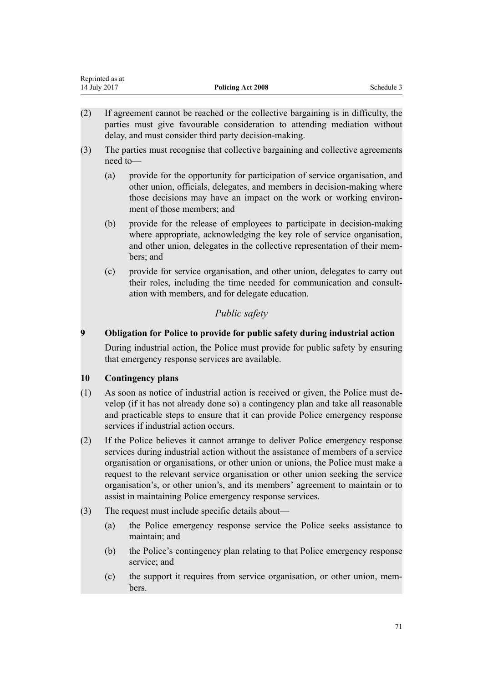| Reprinted as at |                   |            |
|-----------------|-------------------|------------|
| 14 July 2017    | Policing Act 2008 | Schedule 3 |

- (2) If agreement cannot be reached or the collective bargaining is in difficulty, the parties must give favourable consideration to attending mediation without delay, and must consider third party decision-making.
- (3) The parties must recognise that collective bargaining and collective agreements need to—
	- (a) provide for the opportunity for participation of service organisation, and other union, officials, delegates, and members in decision-making where those decisions may have an impact on the work or working environment of those members; and
	- (b) provide for the release of employees to participate in decision-making where appropriate, acknowledging the key role of service organisation, and other union, delegates in the collective representation of their members; and
	- (c) provide for service organisation, and other union, delegates to carry out their roles, including the time needed for communication and consultation with members, and for delegate education.

# *Public safety*

# **9 Obligation for Police to provide for public safety during industrial action**

During industrial action, the Police must provide for public safety by ensuring that emergency response services are available.

## **10 Contingency plans**

Representative as a series as at the series of the series of the series as at the series as at the series as a

- (1) As soon as notice of industrial action is received or given, the Police must develop (if it has not already done so) a contingency plan and take all reasonable and practicable steps to ensure that it can provide Police emergency response services if industrial action occurs.
- (2) If the Police believes it cannot arrange to deliver Police emergency response services during industrial action without the assistance of members of a service organisation or organisations, or other union or unions, the Police must make a request to the relevant service organisation or other union seeking the service organisation's, or other union's, and its members' agreement to maintain or to assist in maintaining Police emergency response services.
- (3) The request must include specific details about—
	- (a) the Police emergency response service the Police seeks assistance to maintain; and
	- (b) the Police's contingency plan relating to that Police emergency response service; and
	- (c) the support it requires from service organisation, or other union, members.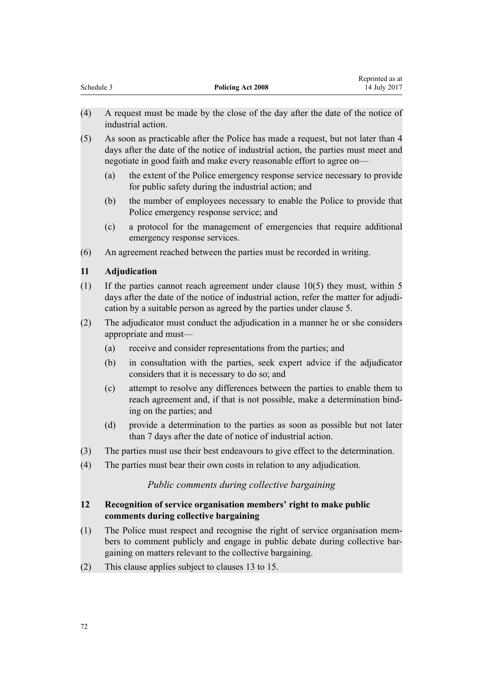|            |                          | Reprinted as at |
|------------|--------------------------|-----------------|
| Schedule 3 | <b>Policing Act 2008</b> | 14 July 2017    |

- (4) A request must be made by the close of the day after the date of the notice of industrial action.
- (5) As soon as practicable after the Police has made a request, but not later than 4 days after the date of the notice of industrial action, the parties must meet and negotiate in good faith and make every reasonable effort to agree on—
	- (a) the extent of the Police emergency response service necessary to provide for public safety during the industrial action; and
	- (b) the number of employees necessary to enable the Police to provide that Police emergency response service; and
	- (c) a protocol for the management of emergencies that require additional emergency response services.
- (6) An agreement reached between the parties must be recorded in writing.

# **11 Adjudication**

- (1) If the parties cannot reach agreement under clause 10(5) they must, within 5 days after the date of the notice of industrial action, refer the matter for adjudication by a suitable person as agreed by the parties under clause 5.
- (2) The adjudicator must conduct the adjudication in a manner he or she considers appropriate and must—
	- (a) receive and consider representations from the parties; and
	- (b) in consultation with the parties, seek expert advice if the adjudicator considers that it is necessary to do so; and
	- (c) attempt to resolve any differences between the parties to enable them to reach agreement and, if that is not possible, make a determination binding on the parties; and
	- (d) provide a determination to the parties as soon as possible but not later than 7 days after the date of notice of industrial action.
- (3) The parties must use their best endeavours to give effect to the determination.
- (4) The parties must bear their own costs in relation to any adjudication.

# *Public comments during collective bargaining*

# **12 Recognition of service organisation members' right to make public comments during collective bargaining**

- (1) The Police must respect and recognise the right of service organisation members to comment publicly and engage in public debate during collective bargaining on matters relevant to the collective bargaining.
- (2) This clause applies subject to clauses 13 to 15.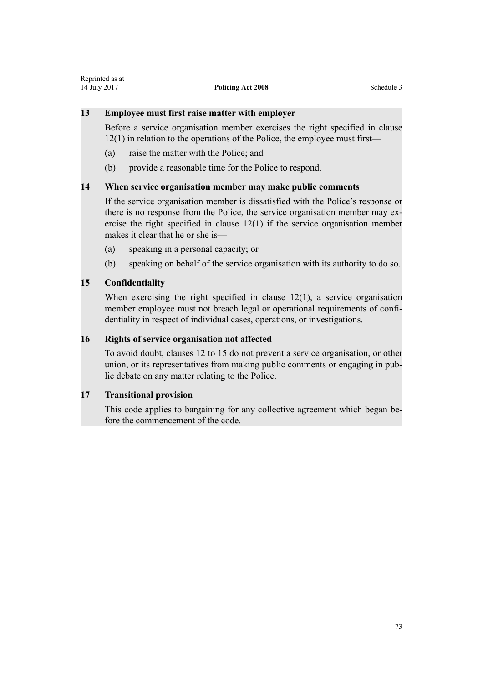## **13 Employee must first raise matter with employer**

Before a service organisation member exercises the right specified in clause 12(1) in relation to the operations of the Police, the employee must first—

- (a) raise the matter with the Police; and
- (b) provide a reasonable time for the Police to respond.

## **14 When service organisation member may make public comments**

If the service organisation member is dissatisfied with the Police's response or there is no response from the Police, the service organisation member may exercise the right specified in clause 12(1) if the service organisation member makes it clear that he or she is—

- (a) speaking in a personal capacity; or
- (b) speaking on behalf of the service organisation with its authority to do so.

## **15 Confidentiality**

When exercising the right specified in clause 12(1), a service organisation member employee must not breach legal or operational requirements of confidentiality in respect of individual cases, operations, or investigations.

## **16 Rights of service organisation not affected**

To avoid doubt, clauses 12 to 15 do not prevent a service organisation, or other union, or its representatives from making public comments or engaging in public debate on any matter relating to the Police.

## **17 Transitional provision**

This code applies to bargaining for any collective agreement which began before the commencement of the code.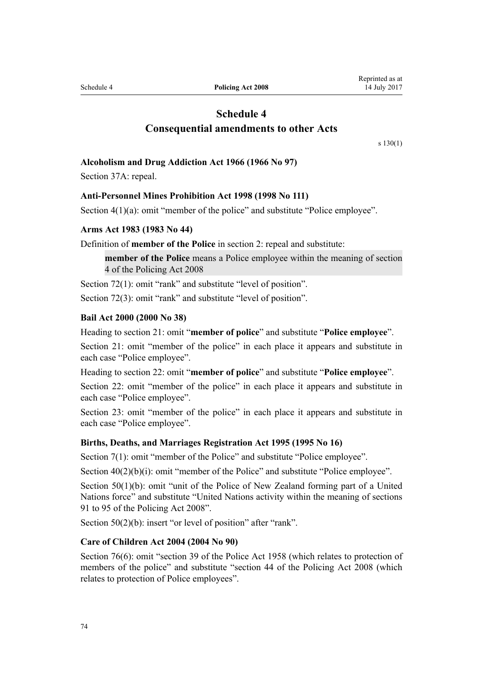Schedule 4 **Policing Act 2008**

# **Schedule 4 Consequential amendments to other Acts**

[s 130\(1\)](#page-60-0)

#### **[Alcoholism and Drug Addiction Act 1966](http://prd-lgnz-nlb.prd.pco.net.nz/pdflink.aspx?id=DLM380084) (1966 No 97)**

Section 37A: repeal.

#### **[Anti-Personnel Mines Prohibition Act 1998](http://prd-lgnz-nlb.prd.pco.net.nz/pdflink.aspx?id=DLM17800) (1998 No 111)**

Section 4(1)(a): omit "member of the police" and substitute "Police employee".

#### **[Arms Act 1983](http://prd-lgnz-nlb.prd.pco.net.nz/pdflink.aspx?id=DLM72621) (1983 No 44)**

Definition of **member of the Police** in section 2: repeal and substitute:

**member of the Police** means a Police employee within the meaning of section 4 of the Policing Act 2008

Section 72(1): omit "rank" and substitute "level of position".

Section 72(3): omit "rank" and substitute "level of position".

#### **[Bail Act 2000](http://prd-lgnz-nlb.prd.pco.net.nz/pdflink.aspx?id=DLM68379) (2000 No 38)**

Heading to section 21: omit "**member of police**" and substitute "**Police employee**".

Section 21: omit "member of the police" in each place it appears and substitute in each case "Police employee".

Heading to section 22: omit "**member of police**" and substitute "**Police employee**".

Section 22: omit "member of the police" in each place it appears and substitute in each case "Police employee".

Section 23: omit "member of the police" in each place it appears and substitute in each case "Police employee".

#### **[Births, Deaths, and Marriages Registration Act 1995](http://prd-lgnz-nlb.prd.pco.net.nz/pdflink.aspx?id=DLM359368) (1995 No 16)**

Section 7(1): omit "member of the Police" and substitute "Police employee".

Section  $40(2)(b)(i)$ : omit "member of the Police" and substitute "Police employee".

Section  $50(1)(b)$ : omit "unit of the Police of New Zealand forming part of a United Nations force" and substitute "United Nations activity within the meaning of sections 91 to 95 of the Policing Act 2008".

Section 50(2)(b): insert "or level of position" after "rank".

## **[Care of Children Act 2004](http://prd-lgnz-nlb.prd.pco.net.nz/pdflink.aspx?id=DLM317232) (2004 No 90)**

Section 76(6): omit "section 39 of the Police Act 1958 (which relates to protection of members of the police" and substitute "section 44 of the Policing Act 2008 (which relates to protection of Police employees".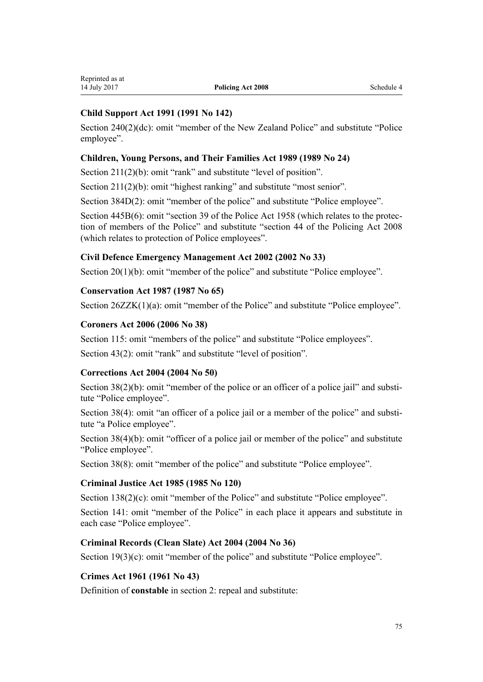## **[Child Support Act 1991](http://prd-lgnz-nlb.prd.pco.net.nz/pdflink.aspx?id=DLM253150) (1991 No 142)**

Section 240(2)(dc): omit "member of the New Zealand Police" and substitute "Police employee".

## **[Children, Young Persons, and Their Families Act 1989](http://prd-lgnz-nlb.prd.pco.net.nz/pdflink.aspx?id=DLM147087) (1989 No 24)**

Section 211(2)(b): omit "rank" and substitute "level of position".

Section 211(2)(b): omit "highest ranking" and substitute "most senior".

Section 384D(2): omit "member of the police" and substitute "Police employee".

Section 445B(6): omit "section 39 of the Police Act 1958 (which relates to the protection of members of the Police" and substitute "section 44 of the Policing Act 2008 (which relates to protection of Police employees".

## **[Civil Defence Emergency Management Act 2002](http://prd-lgnz-nlb.prd.pco.net.nz/pdflink.aspx?id=DLM149788) (2002 No 33)**

Section 20(1)(b): omit "member of the police" and substitute "Police employee".

## **[Conservation Act 1987](http://prd-lgnz-nlb.prd.pco.net.nz/pdflink.aspx?id=DLM103609) (1987 No 65)**

Section 26ZZK(1)(a): omit "member of the Police" and substitute "Police employee".

## **[Coroners Act 2006](http://prd-lgnz-nlb.prd.pco.net.nz/pdflink.aspx?id=DLM377056) (2006 No 38)**

Section 115: omit "members of the police" and substitute "Police employees".

Section 43(2): omit "rank" and substitute "level of position".

#### **[Corrections Act 2004](http://prd-lgnz-nlb.prd.pco.net.nz/pdflink.aspx?id=DLM294848) (2004 No 50)**

Section 38(2)(b): omit "member of the police or an officer of a police jail" and substitute "Police employee".

Section 38(4): omit "an officer of a police jail or a member of the police" and substitute "a Police employee".

Section 38(4)(b): omit "officer of a police jail or member of the police" and substitute "Police employee".

Section 38(8): omit "member of the police" and substitute "Police employee".

#### **[Criminal Justice Act 1985](http://prd-lgnz-nlb.prd.pco.net.nz/pdflink.aspx?id=DLM76615) (1985 No 120)**

Section 138(2)(c): omit "member of the Police" and substitute "Police employee".

Section 141: omit "member of the Police" in each place it appears and substitute in each case "Police employee".

## **[Criminal Records \(Clean Slate\) Act 2004](http://prd-lgnz-nlb.prd.pco.net.nz/pdflink.aspx?id=DLM280839) (2004 No 36)**

Section 19(3)(c): omit "member of the police" and substitute "Police employee".

## **[Crimes Act 1961](http://prd-lgnz-nlb.prd.pco.net.nz/pdflink.aspx?id=DLM327381) (1961 No 43)**

Definition of **constable** in section 2: repeal and substitute: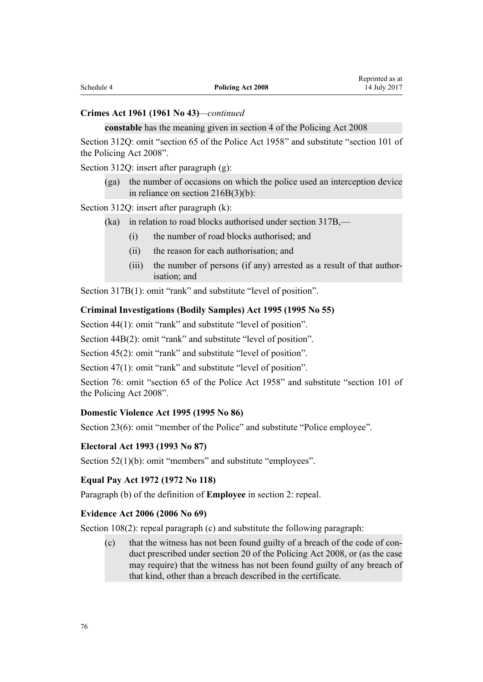#### **Crimes Act 1961 (1961 No 43)***—continued*

#### **constable** has the meaning given in section 4 of the Policing Act 2008

Section 312Q: omit "section 65 of the Police Act 1958" and substitute "section 101 of the Policing Act 2008".

Section 312Q: insert after paragraph (g):

(ga) the number of occasions on which the police used an interception device in reliance on section 216B(3)(b):

Section 312Q: insert after paragraph (k):

- (ka) in relation to road blocks authorised under section 317B,—
	- (i) the number of road blocks authorised; and
	- (ii) the reason for each authorisation; and
	- (iii) the number of persons (if any) arrested as a result of that authorisation; and

Section 317B(1): omit "rank" and substitute "level of position".

#### **[Criminal Investigations \(Bodily Samples\) Act 1995](http://prd-lgnz-nlb.prd.pco.net.nz/pdflink.aspx?id=DLM368903) (1995 No 55)**

Section 44(1): omit "rank" and substitute "level of position".

Section 44B(2): omit "rank" and substitute "level of position".

Section 45(2): omit "rank" and substitute "level of position".

Section 47(1): omit "rank" and substitute "level of position".

Section 76: omit "section 65 of the Police Act 1958" and substitute "section 101 of the Policing Act 2008".

#### **[Domestic Violence Act 1995](http://prd-lgnz-nlb.prd.pco.net.nz/pdflink.aspx?id=DLM371925) (1995 No 86)**

Section 23(6): omit "member of the Police" and substitute "Police employee".

#### **[Electoral Act 1993](http://prd-lgnz-nlb.prd.pco.net.nz/pdflink.aspx?id=DLM307518) (1993 No 87)**

Section 52(1)(b): omit "members" and substitute "employees".

## **[Equal Pay Act 1972](http://prd-lgnz-nlb.prd.pco.net.nz/pdflink.aspx?id=DLM407769) (1972 No 118)**

Paragraph (b) of the definition of **Employee** in section 2: repeal.

#### **[Evidence Act 2006](http://prd-lgnz-nlb.prd.pco.net.nz/pdflink.aspx?id=DLM393462) (2006 No 69)**

Section 108(2): repeal paragraph (c) and substitute the following paragraph:

(c) that the witness has not been found guilty of a breach of the code of conduct prescribed under section 20 of the Policing Act 2008, or (as the case may require) that the witness has not been found guilty of any breach of that kind, other than a breach described in the certificate.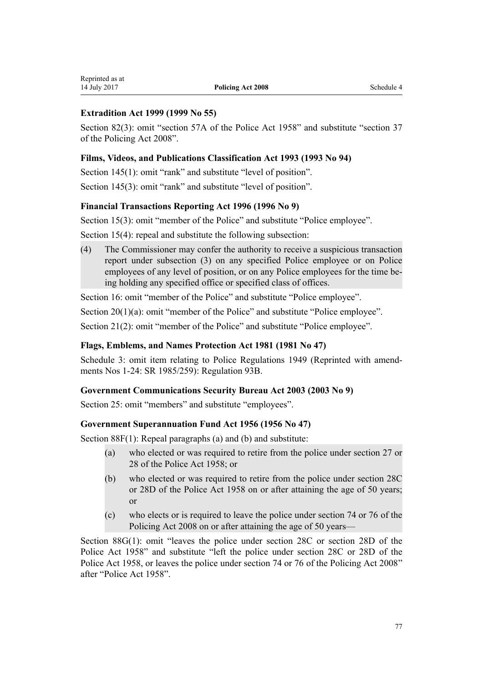## **[Extradition Act 1999](http://prd-lgnz-nlb.prd.pco.net.nz/pdflink.aspx?id=DLM25627) (1999 No 55)**

Section 82(3): omit "section 57A of the Police Act 1958" and substitute "section 37 of the Policing Act 2008".

#### **[Films, Videos, and Publications Classification Act 1993](http://prd-lgnz-nlb.prd.pco.net.nz/pdflink.aspx?id=DLM312894) (1993 No 94)**

Section 145(1): omit "rank" and substitute "level of position". Section 145(3): omit "rank" and substitute "level of position".

## **[Financial Transactions Reporting Act 1996](http://prd-lgnz-nlb.prd.pco.net.nz/pdflink.aspx?id=DLM373803) (1996 No 9)**

Section 15(3): omit "member of the Police" and substitute "Police employee".

Section 15(4): repeal and substitute the following subsection:

(4) The Commissioner may confer the authority to receive a suspicious transaction report under subsection (3) on any specified Police employee or on Police employees of any level of position, or on any Police employees for the time being holding any specified office or specified class of offices.

Section 16: omit "member of the Police" and substitute "Police employee".

Section 20(1)(a): omit "member of the Police" and substitute "Police employee".

Section 21(2): omit "member of the Police" and substitute "Police employee".

## **[Flags, Emblems, and Names Protection Act 1981](http://prd-lgnz-nlb.prd.pco.net.nz/pdflink.aspx?id=DLM51357) (1981 No 47)**

Schedule 3: omit item relating to Police Regulations 1949 (Reprinted with amendments Nos 1-24: SR 1985/259): Regulation 93B.

#### **[Government Communications Security Bureau Act 2003](http://prd-lgnz-nlb.prd.pco.net.nz/pdflink.aspx?id=DLM187177) (2003 No 9)**

Section 25: omit "members" and substitute "employees".

#### **[Government Superannuation Fund Act 1956](http://prd-lgnz-nlb.prd.pco.net.nz/pdflink.aspx?id=DLM446000) (1956 No 47)**

Section 88F(1): Repeal paragraphs (a) and (b) and substitute:

- (a) who elected or was required to retire from the police under section 27 or 28 of the Police Act 1958; or
- (b) who elected or was required to retire from the police under section 28C or 28D of the Police Act 1958 on or after attaining the age of 50 years; or
- (c) who elects or is required to leave the police under section 74 or 76 of the Policing Act 2008 on or after attaining the age of 50 years—

Section 88G(1): omit "leaves the police under section 28C or section 28D of the Police Act 1958" and substitute "left the police under section 28C or 28D of the Police Act 1958, or leaves the police under section 74 or 76 of the Policing Act 2008" after "Police Act 1958".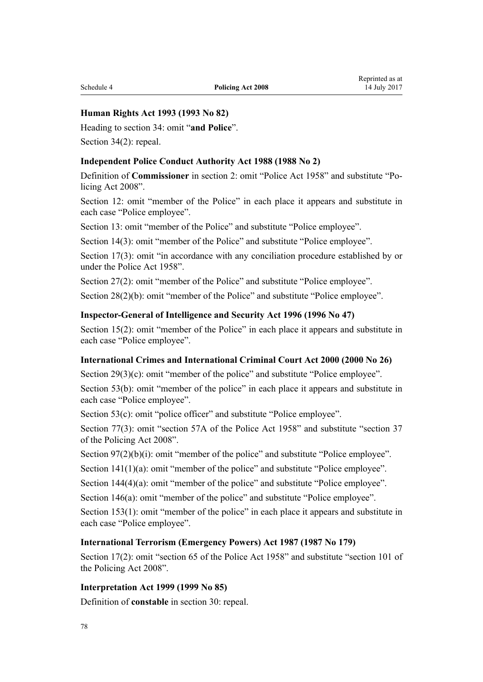## **[Human Rights Act 1993](http://prd-lgnz-nlb.prd.pco.net.nz/pdflink.aspx?id=DLM304211) (1993 No 82)**

Heading to section 34: omit "**and Police**".

Section 34(2): repeal.

#### **[Independent Police Conduct Authority Act 1988](http://prd-lgnz-nlb.prd.pco.net.nz/pdflink.aspx?id=DLM126221) (1988 No 2)**

Definition of **Commissioner** in section 2: omit "Police Act 1958" and substitute "Policing Act 2008".

Section 12: omit "member of the Police" in each place it appears and substitute in each case "Police employee".

Section 13: omit "member of the Police" and substitute "Police employee".

Section 14(3): omit "member of the Police" and substitute "Police employee".

Section 17(3): omit "in accordance with any conciliation procedure established by or under the Police Act 1958".

Section 27(2): omit "member of the Police" and substitute "Police employee".

Section 28(2)(b): omit "member of the Police" and substitute "Police employee".

#### **[Inspector-General of Intelligence and Security Act 1996](http://prd-lgnz-nlb.prd.pco.net.nz/pdflink.aspx?id=DLM392284) (1996 No 47)**

Section 15(2): omit "member of the Police" in each place it appears and substitute in each case "Police employee".

#### **[International Crimes and International Criminal Court Act 2000](http://prd-lgnz-nlb.prd.pco.net.nz/pdflink.aspx?id=DLM63090) (2000 No 26)**

Section 29(3)(c): omit "member of the police" and substitute "Police employee".

Section 53(b): omit "member of the police" in each place it appears and substitute in each case "Police employee".

Section 53(c): omit "police officer" and substitute "Police employee".

Section 77(3): omit "section 57A of the Police Act 1958" and substitute "section 37 of the Policing Act 2008".

Section 97(2)(b)(i): omit "member of the police" and substitute "Police employee".

Section 141(1)(a): omit "member of the police" and substitute "Police employee".

Section 144(4)(a): omit "member of the police" and substitute "Police employee".

Section 146(a): omit "member of the police" and substitute "Police employee".

Section 153(1): omit "member of the police" in each place it appears and substitute in each case "Police employee".

#### **[International Terrorism \(Emergency Powers\) Act 1987](http://prd-lgnz-nlb.prd.pco.net.nz/pdflink.aspx?id=DLM124822) (1987 No 179)**

Section 17(2): omit "section 65 of the Police Act 1958" and substitute "section 101 of the Policing Act 2008".

#### **[Interpretation Act 1999](http://prd-lgnz-nlb.prd.pco.net.nz/pdflink.aspx?id=DLM31458) (1999 No 85)**

Definition of **constable** in section 30: repeal.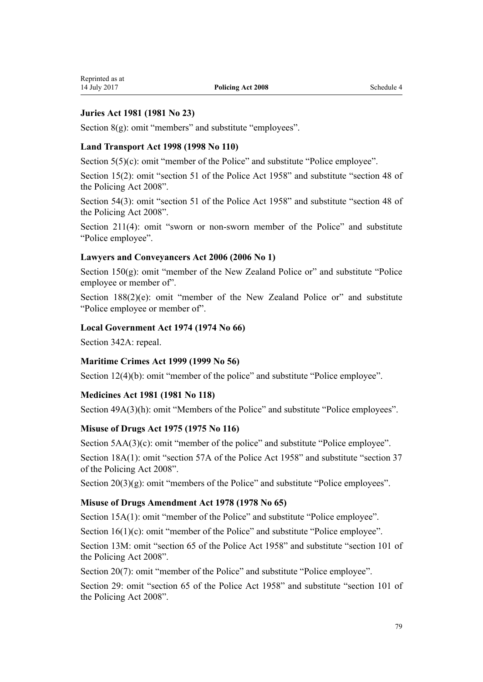## **[Juries Act 1981](http://prd-lgnz-nlb.prd.pco.net.nz/pdflink.aspx?id=DLM44098) (1981 No 23)**

Section 8(g): omit "members" and substitute "employees".

## **[Land Transport Act 1998](http://prd-lgnz-nlb.prd.pco.net.nz/pdflink.aspx?id=DLM433612) (1998 No 110)**

Section 5(5)(c): omit "member of the Police" and substitute "Police employee".

Section 15(2): omit "section 51 of the Police Act 1958" and substitute "section 48 of the Policing Act 2008".

Section 54(3): omit "section 51 of the Police Act 1958" and substitute "section 48 of the Policing Act 2008".

Section 211(4): omit "sworn or non-sworn member of the Police" and substitute "Police employee".

#### **[Lawyers and Conveyancers Act 2006](http://prd-lgnz-nlb.prd.pco.net.nz/pdflink.aspx?id=DLM364938) (2006 No 1)**

Section 150(g): omit "member of the New Zealand Police or" and substitute "Police employee or member of".

Section  $188(2)(e)$ : omit "member of the New Zealand Police or" and substitute "Police employee or member of".

#### **[Local Government Act 1974](http://prd-lgnz-nlb.prd.pco.net.nz/pdflink.aspx?id=DLM415531) (1974 No 66)**

Section 342A: repeal.

#### **[Maritime Crimes Act 1999](http://prd-lgnz-nlb.prd.pco.net.nz/pdflink.aspx?id=DLM28200) (1999 No 56)**

Section 12(4)(b): omit "member of the police" and substitute "Police employee".

#### **[Medicines Act 1981](http://prd-lgnz-nlb.prd.pco.net.nz/pdflink.aspx?id=DLM53789) (1981 No 118)**

Section 49A(3)(h): omit "Members of the Police" and substitute "Police employees".

#### **[Misuse of Drugs Act 1975](http://prd-lgnz-nlb.prd.pco.net.nz/pdflink.aspx?id=DLM436100) (1975 No 116)**

Section 5AA(3)(c): omit "member of the police" and substitute "Police employee". Section 18A(1): omit "section 57A of the Police Act 1958" and substitute "section 37 of the Policing Act 2008".

Section 20(3)(g): omit "members of the Police" and substitute "Police employees".

### **[Misuse of Drugs Amendment Act 1978](http://prd-lgnz-nlb.prd.pco.net.nz/pdflink.aspx?id=DLM23069) (1978 No 65)**

Section 15A(1): omit "member of the Police" and substitute "Police employee".

Section 16(1)(c): omit "member of the Police" and substitute "Police employee".

Section 13M: omit "section 65 of the Police Act 1958" and substitute "section 101 of the Policing Act 2008".

Section 20(7): omit "member of the Police" and substitute "Police employee".

Section 29: omit "section 65 of the Police Act 1958" and substitute "section 101 of the Policing Act 2008".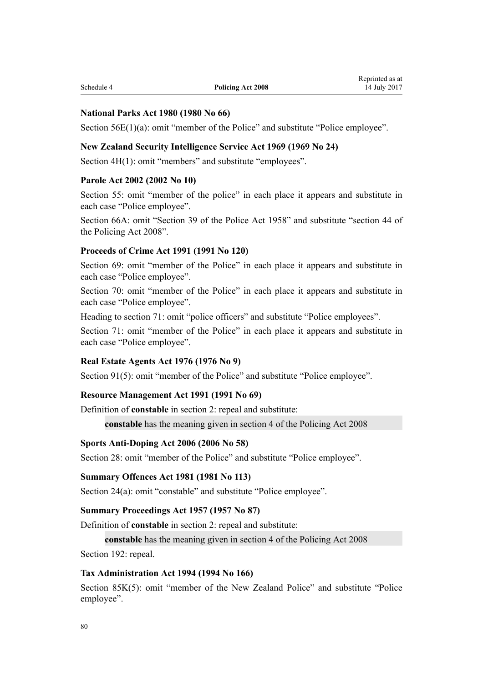#### **[National Parks Act 1980](http://prd-lgnz-nlb.prd.pco.net.nz/pdflink.aspx?id=DLM36962) (1980 No 66)**

Section 56E(1)(a): omit "member of the Police" and substitute "Police employee".

#### **[New Zealand Security Intelligence Service Act 1969](http://prd-lgnz-nlb.prd.pco.net.nz/pdflink.aspx?id=DLM391605) (1969 No 24)**

Section 4H(1): omit "members" and substitute "employees".

#### **[Parole Act 2002](http://prd-lgnz-nlb.prd.pco.net.nz/pdflink.aspx?id=DLM137631) (2002 No 10)**

Section 55: omit "member of the police" in each place it appears and substitute in each case "Police employee".

Section 66A: omit "Section 39 of the Police Act 1958" and substitute "section 44 of the Policing Act 2008".

#### **[Proceeds of Crime Act 1991](http://prd-lgnz-nlb.prd.pco.net.nz/pdflink.aspx?id=DLM250668) (1991 No 120)**

Section 69: omit "member of the Police" in each place it appears and substitute in each case "Police employee".

Section 70: omit "member of the Police" in each place it appears and substitute in each case "Police employee".

Heading to section 71: omit "police officers" and substitute "Police employees".

Section 71: omit "member of the Police" in each place it appears and substitute in each case "Police employee".

#### **[Real Estate Agents Act 1976](http://prd-lgnz-nlb.prd.pco.net.nz/pdflink.aspx?id=DLM437937) (1976 No 9)**

Section 91(5): omit "member of the Police" and substitute "Police employee".

#### **[Resource Management Act 1991](http://prd-lgnz-nlb.prd.pco.net.nz/pdflink.aspx?id=DLM230264) (1991 No 69)**

Definition of **constable** in section 2: repeal and substitute:

**constable** has the meaning given in section 4 of the Policing Act 2008

#### **[Sports Anti-Doping Act 2006](http://prd-lgnz-nlb.prd.pco.net.nz/pdflink.aspx?id=DLM390106) (2006 No 58)**

Section 28: omit "member of the Police" and substitute "Police employee".

#### **[Summary Offences Act 1981](http://prd-lgnz-nlb.prd.pco.net.nz/pdflink.aspx?id=DLM53347) (1981 No 113)**

Section 24(a): omit "constable" and substitute "Police employee".

#### **[Summary Proceedings Act 1957](http://prd-lgnz-nlb.prd.pco.net.nz/pdflink.aspx?id=DLM310742) (1957 No 87)**

Definition of **constable** in section 2: repeal and substitute:

#### **constable** has the meaning given in section 4 of the Policing Act 2008

Section 192: repeal.

#### **[Tax Administration Act 1994](http://prd-lgnz-nlb.prd.pco.net.nz/pdflink.aspx?id=DLM348342) (1994 No 166)**

Section 85K(5): omit "member of the New Zealand Police" and substitute "Police" employee".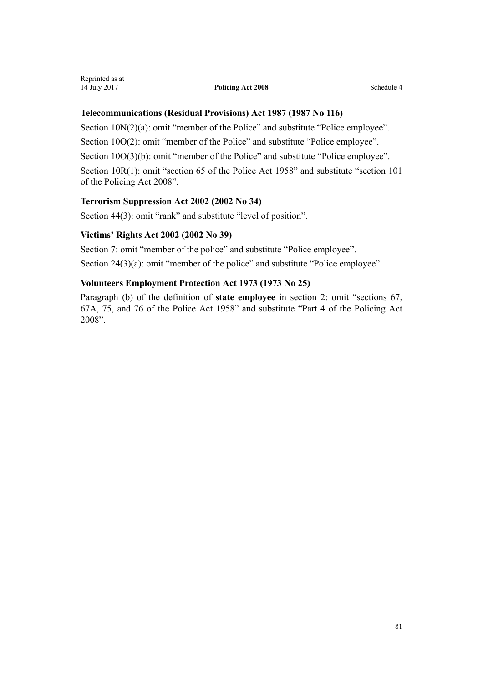## **[Telecommunications \(Residual Provisions\) Act 1987](http://prd-lgnz-nlb.prd.pco.net.nz/pdflink.aspx?id=DLM119011) (1987 No 116)**

Section  $10N(2)(a)$ : omit "member of the Police" and substitute "Police employee".

Section 10O(2): omit "member of the Police" and substitute "Police employee".

Section 10O(3)(b): omit "member of the Police" and substitute "Police employee".

Section 10R(1): omit "section 65 of the Police Act 1958" and substitute "section 101 of the Policing Act 2008".

## **[Terrorism Suppression Act 2002](http://prd-lgnz-nlb.prd.pco.net.nz/pdflink.aspx?id=DLM151490) (2002 No 34)**

Section 44(3): omit "rank" and substitute "level of position".

## **[Victims' Rights Act 2002](http://prd-lgnz-nlb.prd.pco.net.nz/pdflink.aspx?id=DLM157812) (2002 No 39)**

Section 7: omit "member of the police" and substitute "Police employee". Section 24(3)(a): omit "member of the police" and substitute "Police employee".

## **[Volunteers Employment Protection Act 1973](http://prd-lgnz-nlb.prd.pco.net.nz/pdflink.aspx?id=DLM409765) (1973 No 25)**

Paragraph (b) of the definition of **state employee** in section 2: omit "sections 67, 67A, 75, and 76 of the Police Act 1958" and substitute "Part 4 of the Policing Act 2008".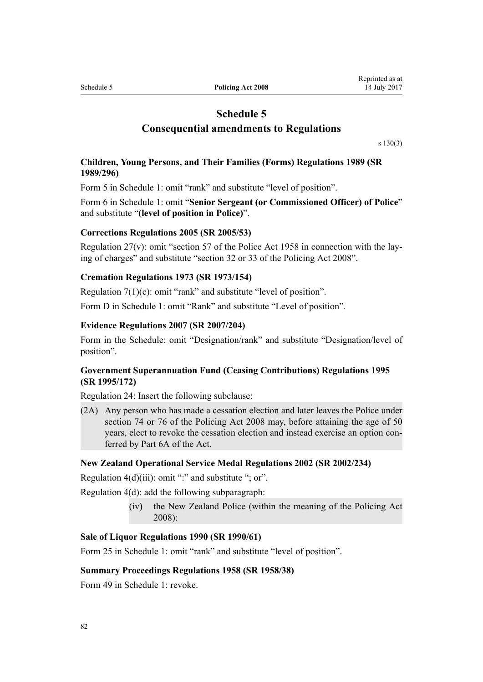# **Schedule 5 Consequential amendments to Regulations**

[s 130\(3\)](#page-60-0)

### **[Children, Young Persons, and Their Families \(Forms\) Regulations 1989](http://prd-lgnz-nlb.prd.pco.net.nz/pdflink.aspx?id=DLM132881) (SR 1989/296)**

Form 5 in Schedule 1: omit "rank" and substitute "level of position".

Form 6 in Schedule 1: omit "**Senior Sergeant (or Commissioned Officer) of Police**" and substitute "**(level of position in Police)**".

#### **[Corrections Regulations 2005](http://prd-lgnz-nlb.prd.pco.net.nz/pdflink.aspx?id=DLM315416) (SR 2005/53)**

Regulation 27(v): omit "section 57 of the Police Act 1958 in connection with the laying of charges" and substitute "section 32 or 33 of the Policing Act 2008".

#### **[Cremation Regulations 1973](http://prd-lgnz-nlb.prd.pco.net.nz/pdflink.aspx?id=DLM39375) (SR 1973/154)**

Regulation 7(1)(c): omit "rank" and substitute "level of position".

Form D in Schedule 1: omit "Rank" and substitute "Level of position".

#### **[Evidence Regulations 2007](http://prd-lgnz-nlb.prd.pco.net.nz/pdflink.aspx?id=DLM443072) (SR 2007/204)**

Form in the Schedule: omit "Designation/rank" and substitute "Designation/level of position".

### **[Government Superannuation Fund \(Ceasing Contributions\) Regulations 1995](http://prd-lgnz-nlb.prd.pco.net.nz/pdflink.aspx?id=DLM203168) (SR 1995/172)**

Regulation 24: Insert the following subclause:

(2A) Any person who has made a cessation election and later leaves the Police under section 74 or 76 of the Policing Act 2008 may, before attaining the age of 50 years, elect to revoke the cessation election and instead exercise an option conferred by Part 6A of the Act.

#### **[New Zealand Operational Service Medal Regulations 2002](http://prd-lgnz-nlb.prd.pco.net.nz/pdflink.aspx?id=DLM141523) (SR 2002/234)**

Regulation  $4(d)(iii)$ : omit ":" and substitute "; or".

Regulation 4(d): add the following subparagraph:

(iv) the New Zealand Police (within the meaning of the Policing Act 2008):

#### **[Sale of Liquor Regulations 1990](http://prd-lgnz-nlb.prd.pco.net.nz/pdflink.aspx?id=DLM135470) (SR 1990/61)**

Form 25 in Schedule 1: omit "rank" and substitute "level of position".

#### **[Summary Proceedings Regulations 1958](http://prd-lgnz-nlb.prd.pco.net.nz/pdflink.aspx?id=DLM11295) (SR 1958/38)**

Form 49 in Schedule 1: revoke.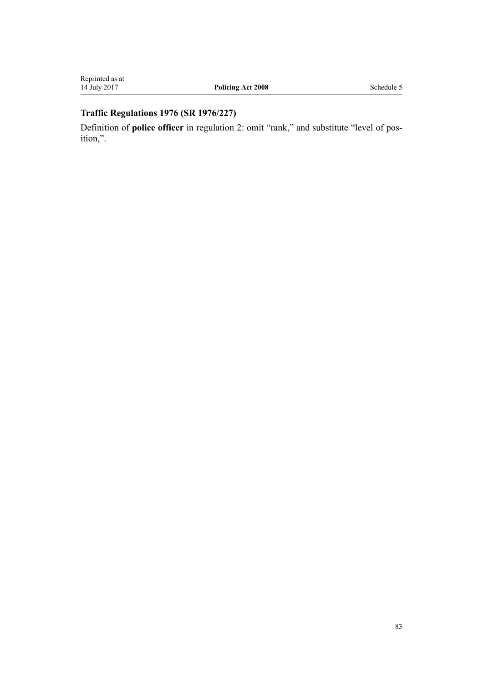# **[Traffic Regulations 1976](http://prd-lgnz-nlb.prd.pco.net.nz/pdflink.aspx?id=DLM50037) (SR 1976/227)**

Definition of **police officer** in regulation 2: omit "rank," and substitute "level of position,".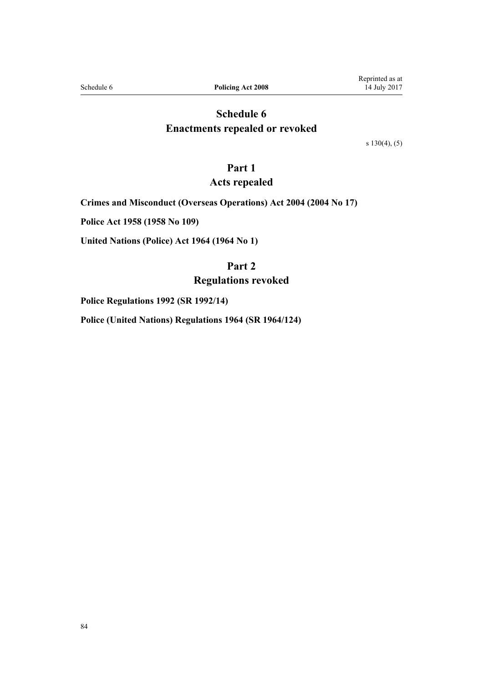Schedule 6 **Policing Act 2008** 

# **Schedule 6 Enactments repealed or revoked**

[s 130\(4\), \(5\)](#page-60-0)

## **Part 1**

## **Acts repealed**

**[Crimes and Misconduct \(Overseas Operations\) Act 2004](http://prd-lgnz-nlb.prd.pco.net.nz/pdflink.aspx?id=DLM242303) (2004 No 17)**

**[Police Act 1958](http://prd-lgnz-nlb.prd.pco.net.nz/pdflink.aspx?id=DLM321405) (1958 No 109)**

**[United Nations \(Police\) Act 1964](http://prd-lgnz-nlb.prd.pco.net.nz/pdflink.aspx?id=DLM350925) (1964 No 1)**

## **Part 2**

## **Regulations revoked**

**[Police Regulations 1992](http://prd-lgnz-nlb.prd.pco.net.nz/pdflink.aspx?id=DLM151131) (SR 1992/14)**

**[Police \(United Nations\) Regulations 1964](http://prd-lgnz-nlb.prd.pco.net.nz/pdflink.aspx?id=DLM20263) (SR 1964/124)**